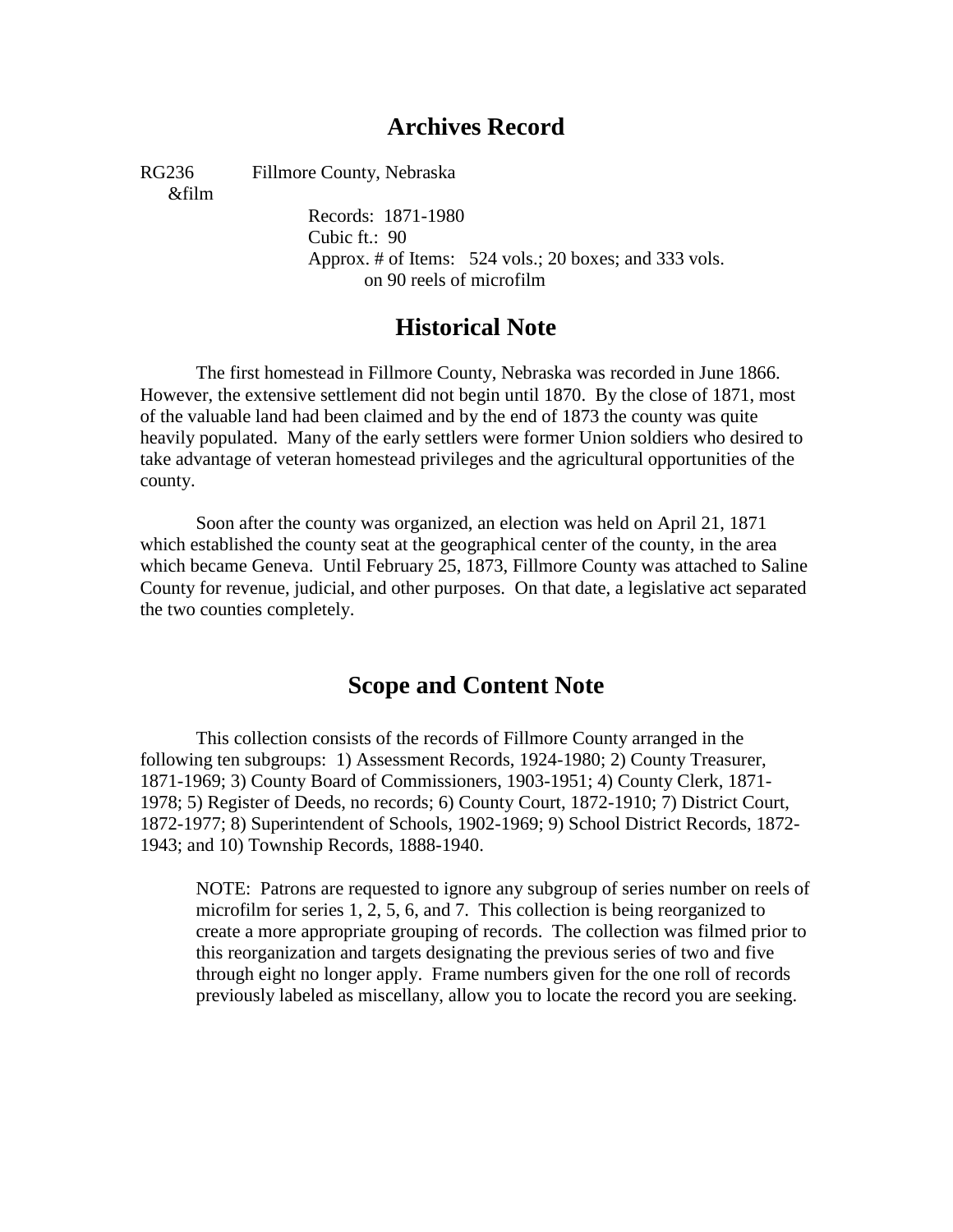# **Archives Record**

&film

RG236 Fillmore County, Nebraska

Records: 1871-1980 Cubic ft.: 90 Approx. # of Items: 524 vols.; 20 boxes; and 333 vols. on 90 reels of microfilm

# **Historical Note**

The first homestead in Fillmore County, Nebraska was recorded in June 1866. However, the extensive settlement did not begin until 1870. By the close of 1871, most of the valuable land had been claimed and by the end of 1873 the county was quite heavily populated. Many of the early settlers were former Union soldiers who desired to take advantage of veteran homestead privileges and the agricultural opportunities of the county.

Soon after the county was organized, an election was held on April 21, 1871 which established the county seat at the geographical center of the county, in the area which became Geneva. Until February 25, 1873, Fillmore County was attached to Saline County for revenue, judicial, and other purposes. On that date, a legislative act separated the two counties completely.

# **Scope and Content Note**

This collection consists of the records of Fillmore County arranged in the following ten subgroups: 1) Assessment Records, 1924-1980; 2) County Treasurer, 1871-1969; 3) County Board of Commissioners, 1903-1951; 4) County Clerk, 1871- 1978; 5) Register of Deeds, no records; 6) County Court, 1872-1910; 7) District Court, 1872-1977; 8) Superintendent of Schools, 1902-1969; 9) School District Records, 1872- 1943; and 10) Township Records, 1888-1940.

NOTE: Patrons are requested to ignore any subgroup of series number on reels of microfilm for series 1, 2, 5, 6, and 7. This collection is being reorganized to create a more appropriate grouping of records. The collection was filmed prior to this reorganization and targets designating the previous series of two and five through eight no longer apply. Frame numbers given for the one roll of records previously labeled as miscellany, allow you to locate the record you are seeking.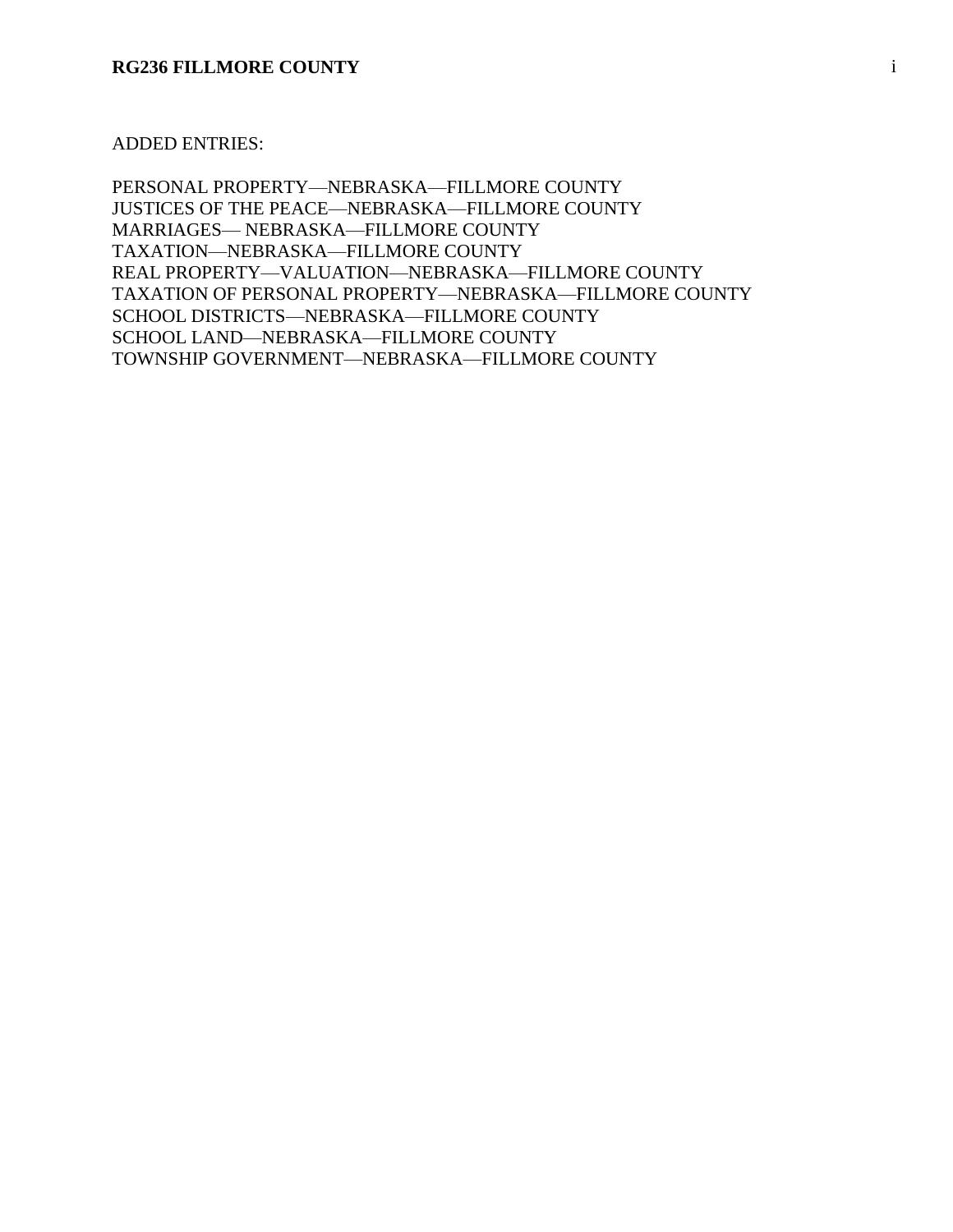#### ADDED ENTRIES:

PERSONAL PROPERTY—NEBRASKA—FILLMORE COUNTY JUSTICES OF THE PEACE—NEBRASKA—FILLMORE COUNTY MARRIAGES— NEBRASKA—FILLMORE COUNTY TAXATION—NEBRASKA—FILLMORE COUNTY REAL PROPERTY—VALUATION—NEBRASKA—FILLMORE COUNTY TAXATION OF PERSONAL PROPERTY—NEBRASKA—FILLMORE COUNTY SCHOOL DISTRICTS—NEBRASKA—FILLMORE COUNTY SCHOOL LAND—NEBRASKA—FILLMORE COUNTY TOWNSHIP GOVERNMENT—NEBRASKA—FILLMORE COUNTY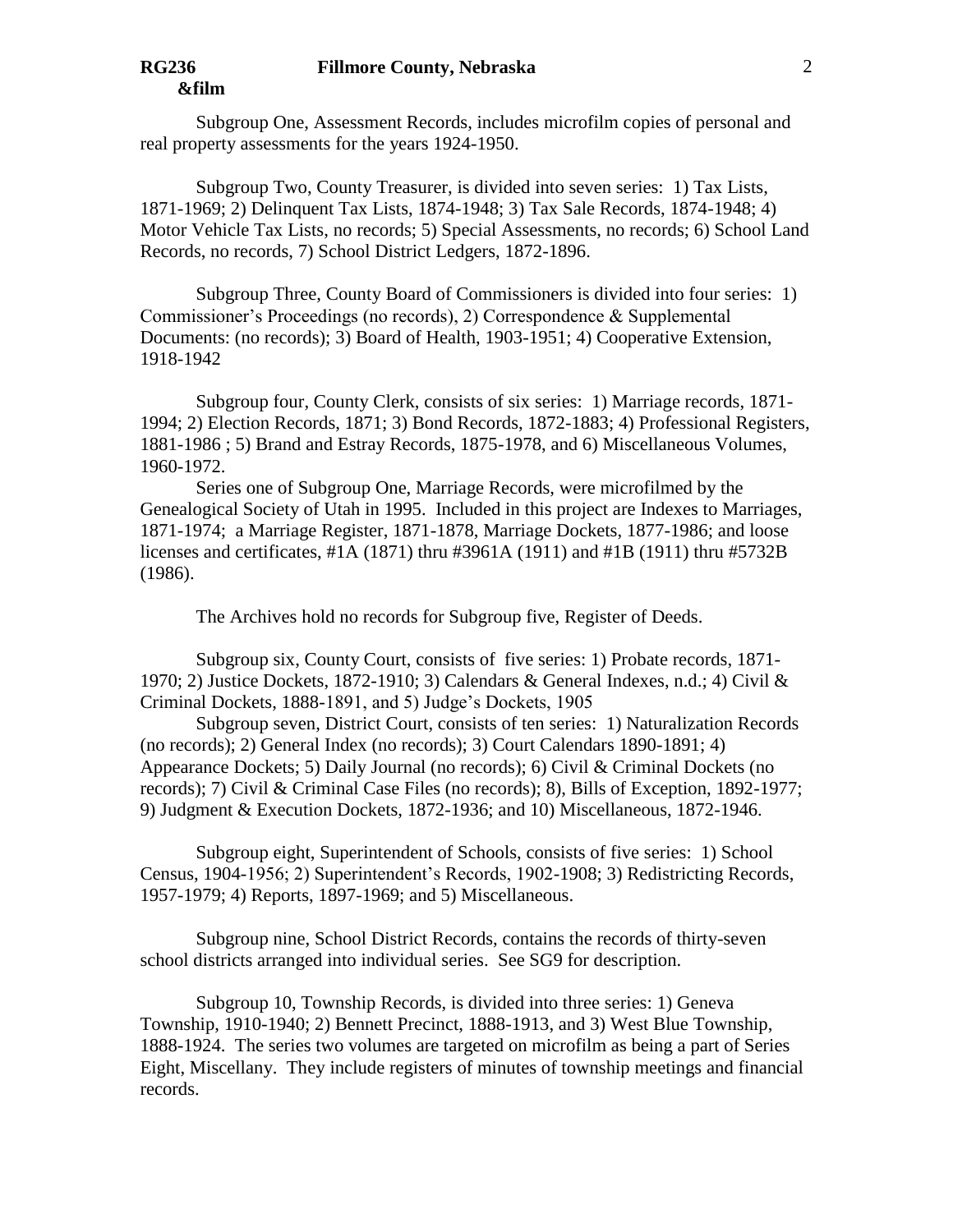Subgroup One, Assessment Records, includes microfilm copies of personal and real property assessments for the years 1924-1950.

Subgroup Two, County Treasurer, is divided into seven series: 1) Tax Lists, 1871-1969; 2) Delinquent Tax Lists, 1874-1948; 3) Tax Sale Records, 1874-1948; 4) Motor Vehicle Tax Lists, no records; 5) Special Assessments, no records; 6) School Land Records, no records, 7) School District Ledgers, 1872-1896.

Subgroup Three, County Board of Commissioners is divided into four series: 1) Commissioner's Proceedings (no records), 2) Correspondence & Supplemental Documents: (no records); 3) Board of Health, 1903-1951; 4) Cooperative Extension, 1918-1942

Subgroup four, County Clerk, consists of six series: 1) Marriage records, 1871- 1994; 2) Election Records, 1871; 3) Bond Records, 1872-1883; 4) Professional Registers, 1881-1986 ; 5) Brand and Estray Records, 1875-1978, and 6) Miscellaneous Volumes, 1960-1972.

Series one of Subgroup One, Marriage Records, were microfilmed by the Genealogical Society of Utah in 1995. Included in this project are Indexes to Marriages, 1871-1974; a Marriage Register, 1871-1878, Marriage Dockets, 1877-1986; and loose licenses and certificates, #1A (1871) thru #3961A (1911) and #1B (1911) thru #5732B (1986).

The Archives hold no records for Subgroup five, Register of Deeds.

Subgroup six, County Court, consists of five series: 1) Probate records, 1871- 1970; 2) Justice Dockets, 1872-1910; 3) Calendars & General Indexes, n.d.; 4) Civil & Criminal Dockets, 1888-1891, and 5) Judge's Dockets, 1905

Subgroup seven, District Court, consists of ten series: 1) Naturalization Records (no records); 2) General Index (no records); 3) Court Calendars 1890-1891; 4) Appearance Dockets; 5) Daily Journal (no records); 6) Civil & Criminal Dockets (no records); 7) Civil & Criminal Case Files (no records); 8), Bills of Exception, 1892-1977; 9) Judgment & Execution Dockets, 1872-1936; and 10) Miscellaneous, 1872-1946.

Subgroup eight, Superintendent of Schools, consists of five series: 1) School Census, 1904-1956; 2) Superintendent's Records, 1902-1908; 3) Redistricting Records, 1957-1979; 4) Reports, 1897-1969; and 5) Miscellaneous.

Subgroup nine, School District Records, contains the records of thirty-seven school districts arranged into individual series. See SG9 for description.

Subgroup 10, Township Records, is divided into three series: 1) Geneva Township, 1910-1940; 2) Bennett Precinct, 1888-1913, and 3) West Blue Township, 1888-1924. The series two volumes are targeted on microfilm as being a part of Series Eight, Miscellany. They include registers of minutes of township meetings and financial records.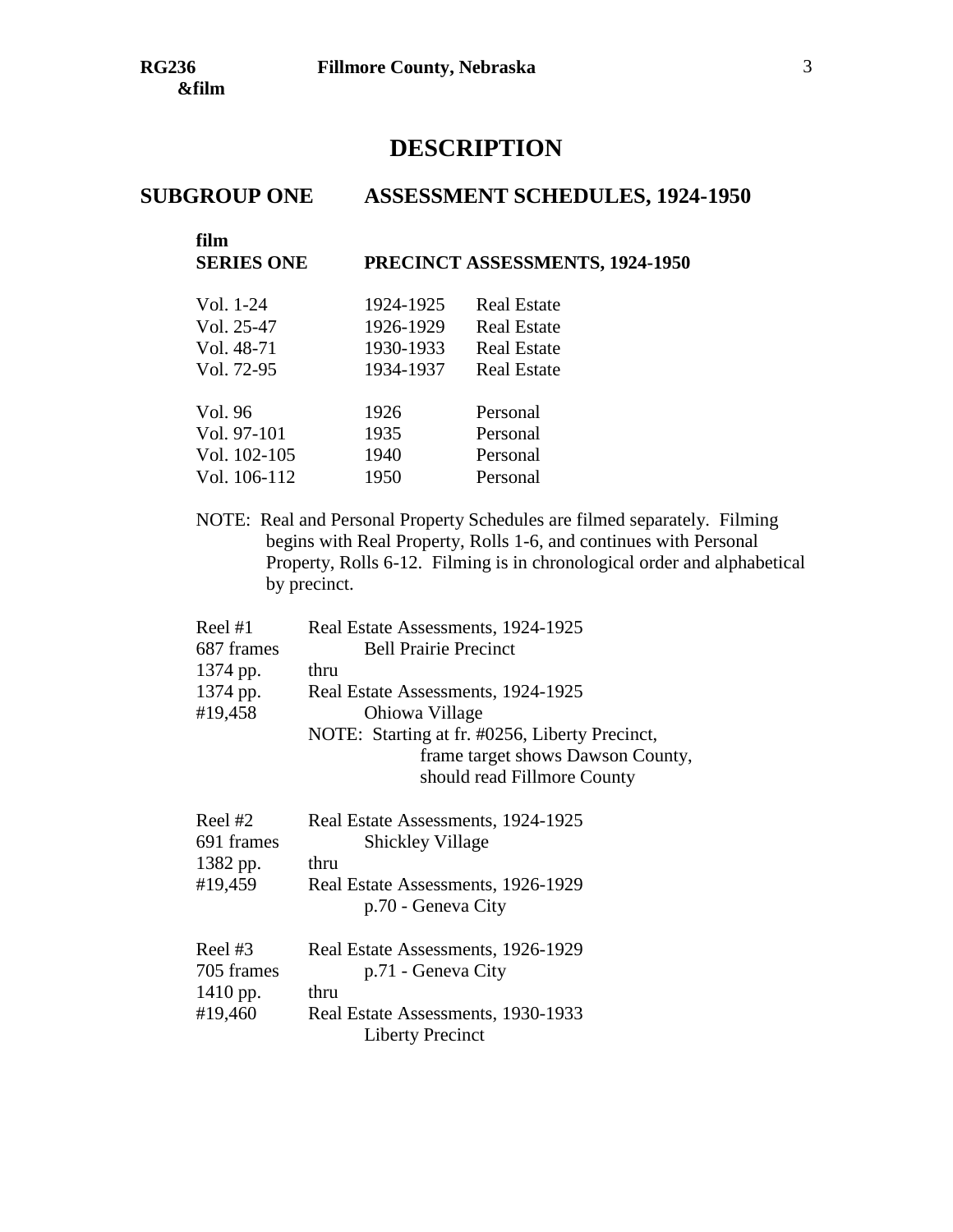# **DESCRIPTION**

# **SUBGROUP ONE ASSESSMENT SCHEDULES, 1924-1950**

| film<br><b>SERIES ONE</b> |           | PRECINCT ASSESSMENTS, 1924-1950 |
|---------------------------|-----------|---------------------------------|
| Vol. 1-24                 | 1924-1925 | <b>Real Estate</b>              |
| Vol. 25-47                | 1926-1929 | <b>Real Estate</b>              |
| Vol. 48-71                | 1930-1933 | Real Estate                     |
| Vol. 72-95                | 1934-1937 | <b>Real Estate</b>              |
|                           |           |                                 |
| Vol. 96                   | 1926      | Personal                        |
| Vol. 97-101               | 1935      | Personal                        |
| Vol. 102-105              | 1940      | Personal                        |
| Vol. 106-112              | 1950      | Personal                        |

NOTE: Real and Personal Property Schedules are filmed separately. Filming begins with Real Property, Rolls 1-6, and continues with Personal Property, Rolls 6-12. Filming is in chronological order and alphabetical by precinct.

| Reel $#1$<br>687 frames<br>1374 pp.<br>1374 pp.<br>#19,458 | Real Estate Assessments, 1924-1925<br><b>Bell Prairie Precinct</b><br>thru<br>Real Estate Assessments, 1924-1925<br>Ohiowa Village<br>NOTE: Starting at fr. #0256, Liberty Precinct,<br>frame target shows Dawson County,<br>should read Fillmore County |
|------------------------------------------------------------|----------------------------------------------------------------------------------------------------------------------------------------------------------------------------------------------------------------------------------------------------------|
| Reel $#2$<br>691 frames<br>1382 pp.<br>#19,459             | Real Estate Assessments, 1924-1925<br><b>Shickley Village</b><br>thru<br>Real Estate Assessments, 1926-1929<br>p.70 - Geneva City                                                                                                                        |
| Reel $#3$<br>705 frames<br>$1410$ pp.                      | Real Estate Assessments, 1926-1929<br>p.71 - Geneva City<br>thru                                                                                                                                                                                         |

#19,460 Real Estate Assessments, 1930-1933 Liberty Precinct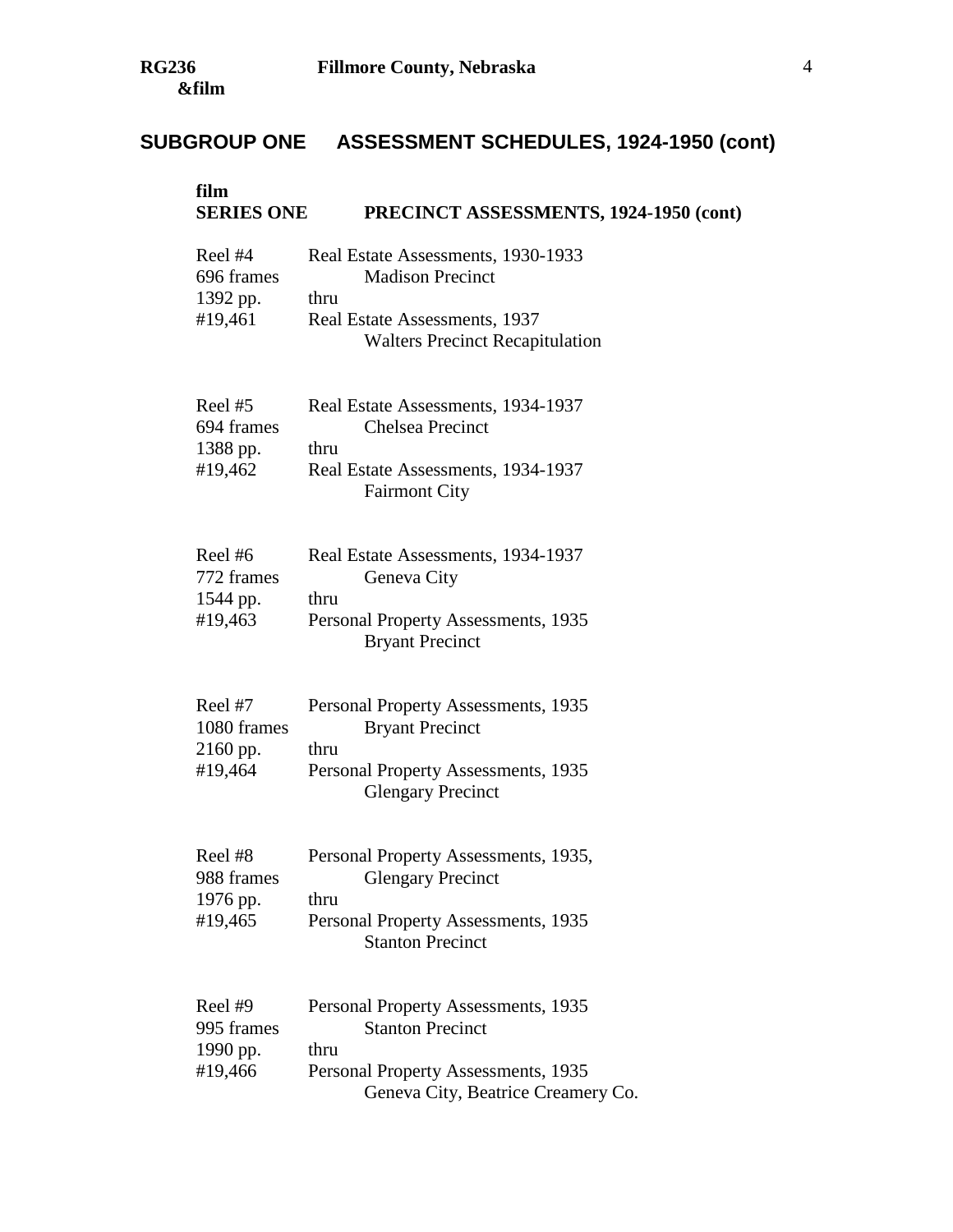# **SUBGROUP ONE ASSESSMENT SCHEDULES, 1924-1950 (cont)**

| film<br><b>SERIES ONE</b>                     | PRECINCT ASSESSMENTS, 1924-1950 (cont)                                                                                                              |
|-----------------------------------------------|-----------------------------------------------------------------------------------------------------------------------------------------------------|
| Reel #4<br>696 frames<br>1392 pp.<br>#19,461  | Real Estate Assessments, 1930-1933<br><b>Madison Precinct</b><br>thru<br>Real Estate Assessments, 1937<br><b>Walters Precinct Recapitulation</b>    |
| Reel #5<br>694 frames<br>1388 pp.<br>#19,462  | Real Estate Assessments, 1934-1937<br><b>Chelsea Precinct</b><br>thru<br>Real Estate Assessments, 1934-1937<br><b>Fairmont City</b>                 |
| Reel#6<br>772 frames<br>1544 pp.<br>#19,463   | Real Estate Assessments, 1934-1937<br>Geneva City<br>thru<br>Personal Property Assessments, 1935<br><b>Bryant Precinct</b>                          |
| Reel #7<br>1080 frames<br>2160 pp.<br>#19,464 | Personal Property Assessments, 1935<br><b>Bryant Precinct</b><br>thru<br>Personal Property Assessments, 1935<br><b>Glengary Precinct</b>            |
| Reel #8<br>988 frames<br>1976 pp.<br>#19,465  | Personal Property Assessments, 1935,<br><b>Glengary Precinct</b><br>thru<br>Personal Property Assessments, 1935<br><b>Stanton Precinct</b>          |
| Reel #9<br>995 frames<br>1990 pp.<br>#19,466  | Personal Property Assessments, 1935<br><b>Stanton Precinct</b><br>thru<br>Personal Property Assessments, 1935<br>Geneva City, Beatrice Creamery Co. |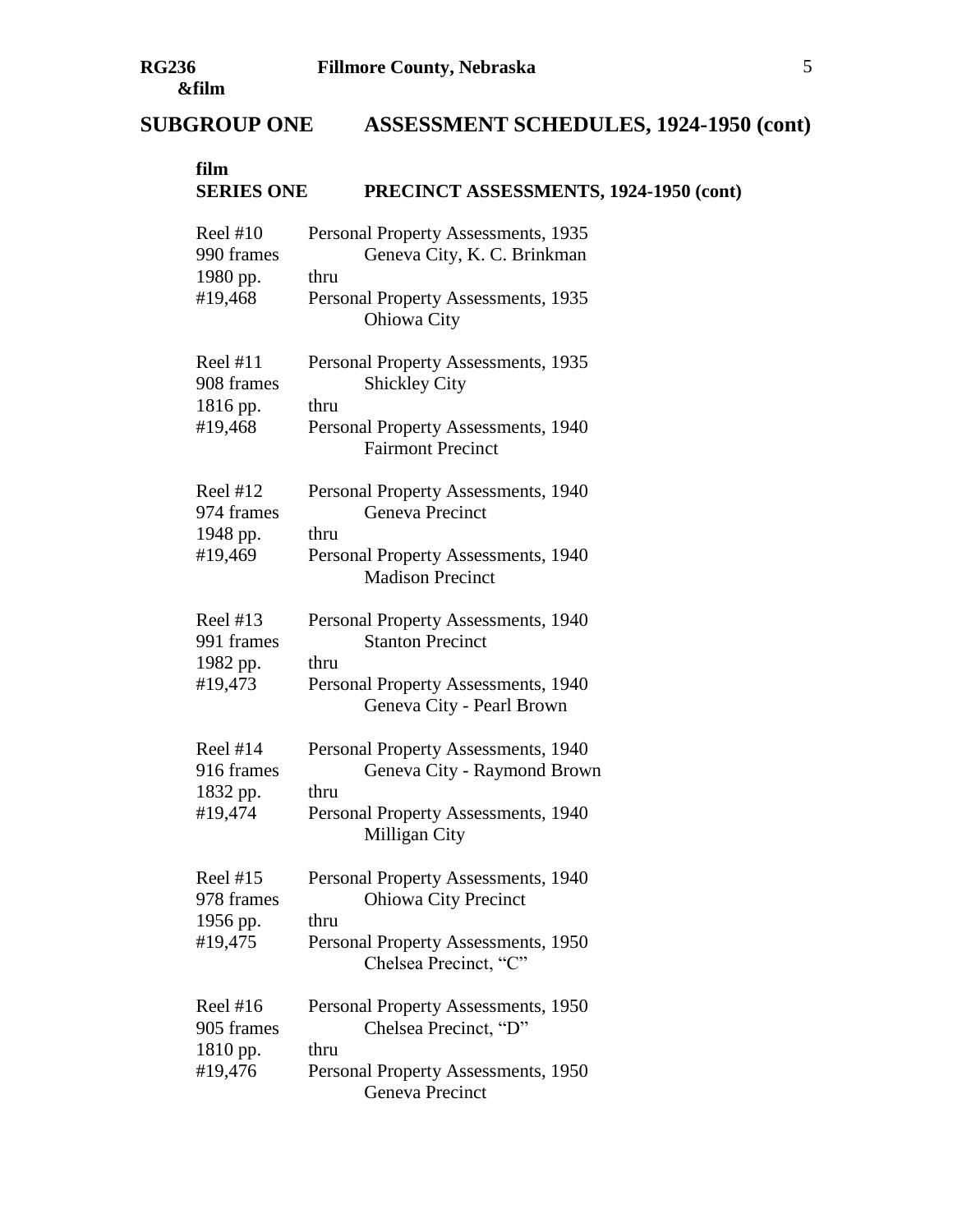# **SUBGROUP ONE ASSESSMENT SCHEDULES, 1924-1950 (cont)**

| film<br><b>SERIES ONE</b>                       | PRECINCT ASSESSMENTS, 1924-1950 (cont)                                                                                                     |
|-------------------------------------------------|--------------------------------------------------------------------------------------------------------------------------------------------|
| Reel $#10$<br>990 frames<br>1980 pp.<br>#19,468 | Personal Property Assessments, 1935<br>Geneva City, K. C. Brinkman<br>thru<br>Personal Property Assessments, 1935<br>Ohiowa City           |
| Reel $#11$<br>908 frames<br>1816 pp.<br>#19,468 | Personal Property Assessments, 1935<br><b>Shickley City</b><br>thru<br>Personal Property Assessments, 1940<br><b>Fairmont Precinct</b>     |
| Reel $#12$<br>974 frames<br>1948 pp.<br>#19,469 | Personal Property Assessments, 1940<br>Geneva Precinct<br>thru<br>Personal Property Assessments, 1940<br><b>Madison Precinct</b>           |
| Reel $#13$<br>991 frames<br>1982 pp.<br>#19,473 | Personal Property Assessments, 1940<br><b>Stanton Precinct</b><br>thru<br>Personal Property Assessments, 1940<br>Geneva City - Pearl Brown |
| Reel $#14$<br>916 frames<br>1832 pp.<br>#19,474 | Personal Property Assessments, 1940<br>Geneva City - Raymond Brown<br>thru<br>Personal Property Assessments, 1940<br>Milligan City         |
| Reel $#15$<br>978 frames<br>1956 pp.<br>#19,475 | Personal Property Assessments, 1940<br><b>Ohiowa City Precinct</b><br>thru<br>Personal Property Assessments, 1950<br>Chelsea Precinct, "C" |
| Reel $#16$<br>905 frames<br>1810 pp.<br>#19,476 | Personal Property Assessments, 1950<br>Chelsea Precinct, "D"<br>thru<br>Personal Property Assessments, 1950<br>Geneva Precinct             |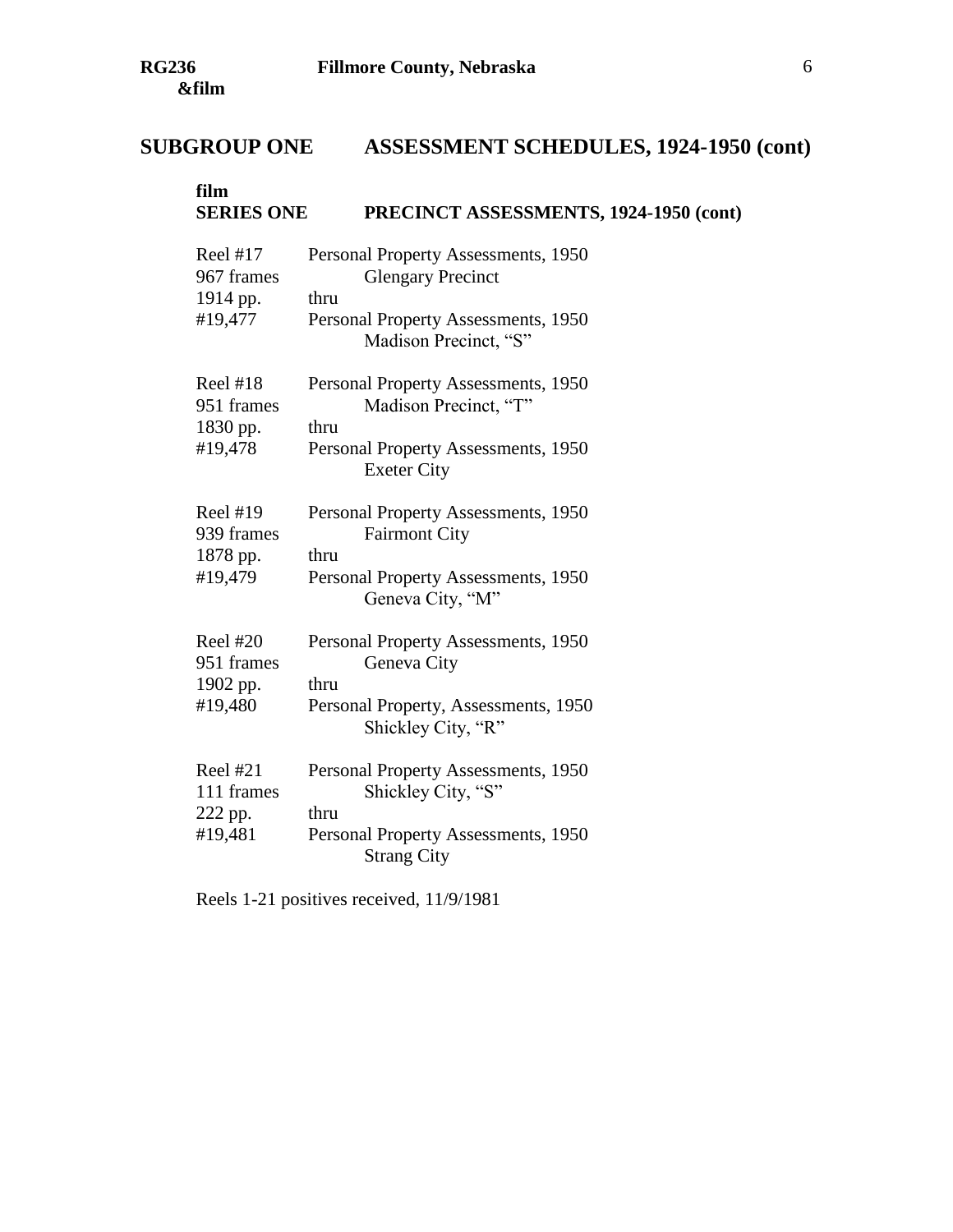# **SUBGROUP ONE ASSESSMENT SCHEDULES, 1924-1950 (cont)**

| film<br><b>SERIES ONE</b>                            | PRECINCT ASSESSMENTS, 1924-1950 (cont)                                                                                                  |
|------------------------------------------------------|-----------------------------------------------------------------------------------------------------------------------------------------|
| Reel $#17$<br>967 frames<br>1914 pp.<br>#19,477      | Personal Property Assessments, 1950<br><b>Glengary Precinct</b><br>thru<br>Personal Property Assessments, 1950<br>Madison Precinct, "S" |
| Reel $#18$<br>951 frames<br>1830 pp.<br>#19,478      | Personal Property Assessments, 1950<br>Madison Precinct, "T"<br>thru<br>Personal Property Assessments, 1950<br><b>Exeter City</b>       |
| <b>Reel #19</b><br>939 frames<br>1878 pp.<br>#19,479 | Personal Property Assessments, 1950<br><b>Fairmont City</b><br>thru<br>Personal Property Assessments, 1950<br>Geneva City, "M"          |
| Reel $#20$<br>951 frames<br>1902 pp.<br>#19,480      | Personal Property Assessments, 1950<br>Geneva City<br>thru<br>Personal Property, Assessments, 1950<br>Shickley City, "R"                |
| Reel $#21$<br>111 frames<br>222 pp.<br>#19,481       | Personal Property Assessments, 1950<br>Shickley City, "S"<br>thru<br>Personal Property Assessments, 1950<br><b>Strang City</b>          |

Reels 1-21 positives received, 11/9/1981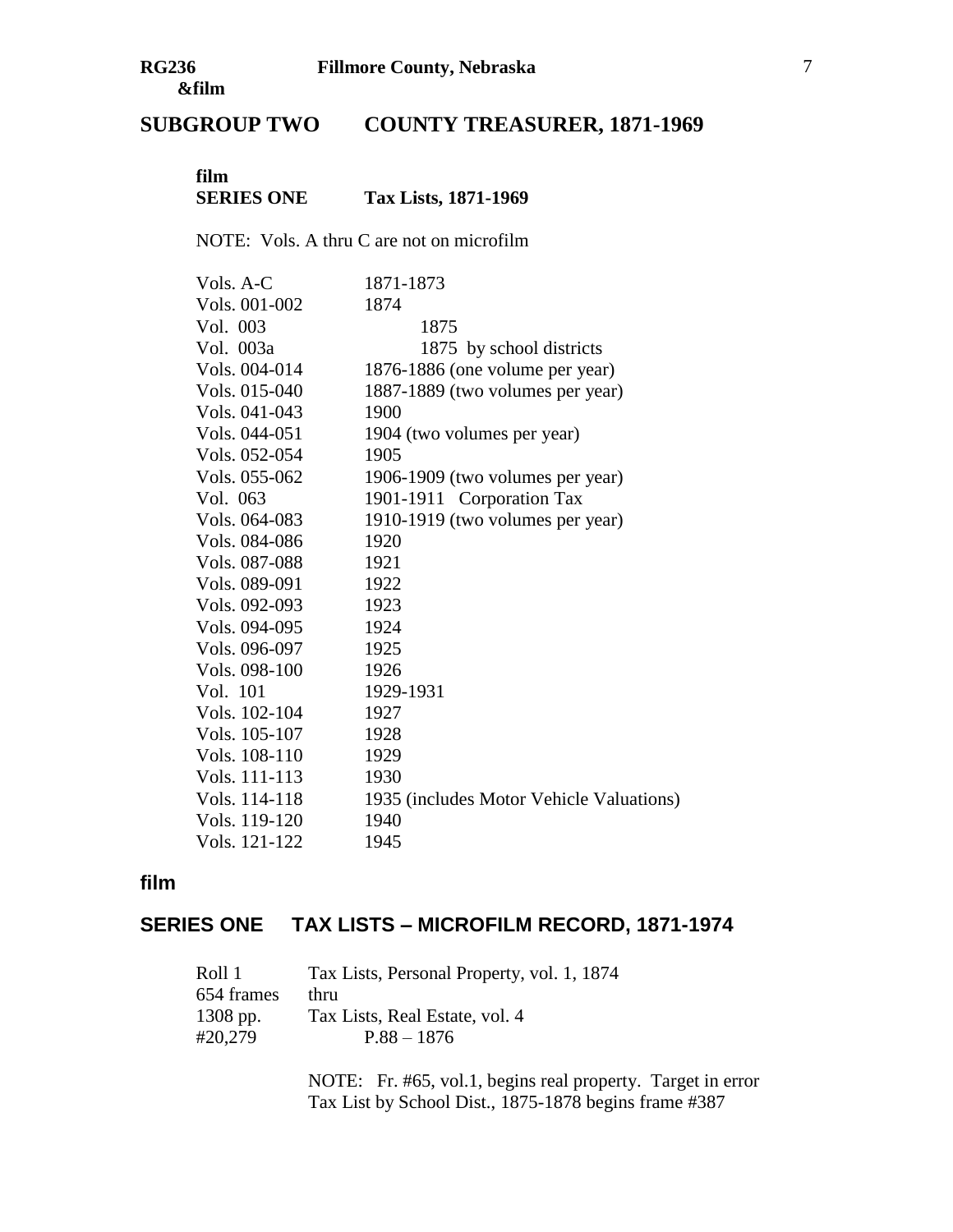# **SUBGROUP TWO COUNTY TREASURER, 1871-1969**

### **film SERIES ONE Tax Lists, 1871-1969**

NOTE: Vols. A thru C are not on microfilm

| Vols. A-C     | 1871-1873                                |
|---------------|------------------------------------------|
| Vols. 001-002 | 1874                                     |
| Vol. 003      | 1875                                     |
| Vol. 003a     | 1875 by school districts                 |
| Vols. 004-014 | 1876-1886 (one volume per year)          |
| Vols. 015-040 | 1887-1889 (two volumes per year)         |
| Vols. 041-043 | 1900                                     |
| Vols. 044-051 | 1904 (two volumes per year)              |
| Vols. 052-054 | 1905                                     |
| Vols. 055-062 | 1906-1909 (two volumes per year)         |
| Vol. 063      | 1901-1911 Corporation Tax                |
| Vols. 064-083 | 1910-1919 (two volumes per year)         |
| Vols. 084-086 | 1920                                     |
| Vols. 087-088 | 1921                                     |
| Vols. 089-091 | 1922                                     |
| Vols. 092-093 | 1923                                     |
| Vols. 094-095 | 1924                                     |
| Vols. 096-097 | 1925                                     |
| Vols. 098-100 | 1926                                     |
| Vol. 101      | 1929-1931                                |
| Vols. 102-104 | 1927                                     |
| Vols. 105-107 | 1928                                     |
| Vols. 108-110 | 1929                                     |
| Vols. 111-113 | 1930                                     |
| Vols. 114-118 | 1935 (includes Motor Vehicle Valuations) |
| Vols. 119-120 | 1940                                     |
| Vols. 121-122 | 1945                                     |

# **film**

# **SERIES ONE TAX LISTS – MICROFILM RECORD, 1871-1974**

| Roll 1     | Tax Lists, Personal Property, vol. 1, 1874 |
|------------|--------------------------------------------|
| 654 frames | thru                                       |
| $1308$ pp. | Tax Lists, Real Estate, vol. 4             |
| #20,279    | $P.88 - 1876$                              |

NOTE: Fr. #65, vol.1, begins real property. Target in error Tax List by School Dist., 1875-1878 begins frame #387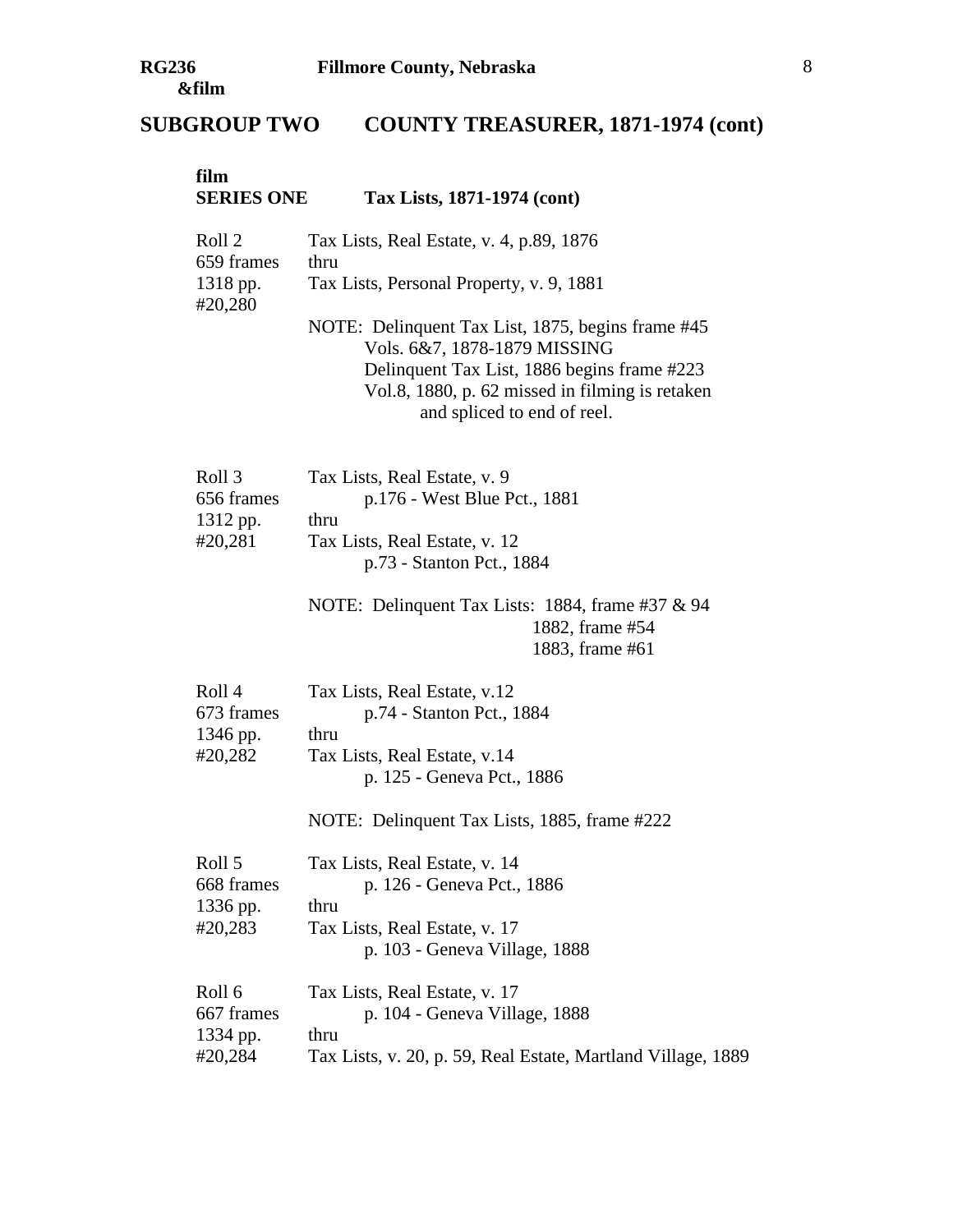# **SUBGROUP TWO COUNTY TREASURER, 1871-1974 (cont)**

| film<br><b>SERIES ONE</b>                   | Tax Lists, 1871-1974 (cont)                                                                                                                                                                                        |
|---------------------------------------------|--------------------------------------------------------------------------------------------------------------------------------------------------------------------------------------------------------------------|
| Roll 2<br>659 frames<br>1318 pp.<br>#20,280 | Tax Lists, Real Estate, v. 4, p.89, 1876<br>thru<br>Tax Lists, Personal Property, v. 9, 1881                                                                                                                       |
|                                             | NOTE: Delinquent Tax List, 1875, begins frame #45<br>Vols. 6&7, 1878-1879 MISSING<br>Delinquent Tax List, 1886 begins frame #223<br>Vol.8, 1880, p. 62 missed in filming is retaken<br>and spliced to end of reel. |
| Roll 3<br>656 frames<br>1312 pp.            | Tax Lists, Real Estate, v. 9<br>p.176 - West Blue Pct., 1881<br>thru                                                                                                                                               |
| #20,281                                     | Tax Lists, Real Estate, v. 12<br>p.73 - Stanton Pct., 1884                                                                                                                                                         |
|                                             | NOTE: Delinquent Tax Lists: 1884, frame #37 & 94<br>1882, frame #54<br>1883, frame #61                                                                                                                             |
| Roll 4<br>673 frames<br>1346 pp.            | Tax Lists, Real Estate, v.12<br>p.74 - Stanton Pct., 1884<br>thru                                                                                                                                                  |
| #20,282                                     | Tax Lists, Real Estate, v.14<br>p. 125 - Geneva Pct., 1886                                                                                                                                                         |
|                                             | NOTE: Delinquent Tax Lists, 1885, frame #222                                                                                                                                                                       |
| Roll 5<br>668 frames<br>1336 pp.            | Tax Lists, Real Estate, v. 14<br>p. 126 - Geneva Pct., 1886<br>thru                                                                                                                                                |
| #20,283                                     | Tax Lists, Real Estate, v. 17<br>p. 103 - Geneva Village, 1888                                                                                                                                                     |
| Roll 6<br>667 frames<br>1334 pp.            | Tax Lists, Real Estate, v. 17<br>p. 104 - Geneva Village, 1888<br>thru                                                                                                                                             |
| #20,284                                     | Tax Lists, v. 20, p. 59, Real Estate, Martland Village, 1889                                                                                                                                                       |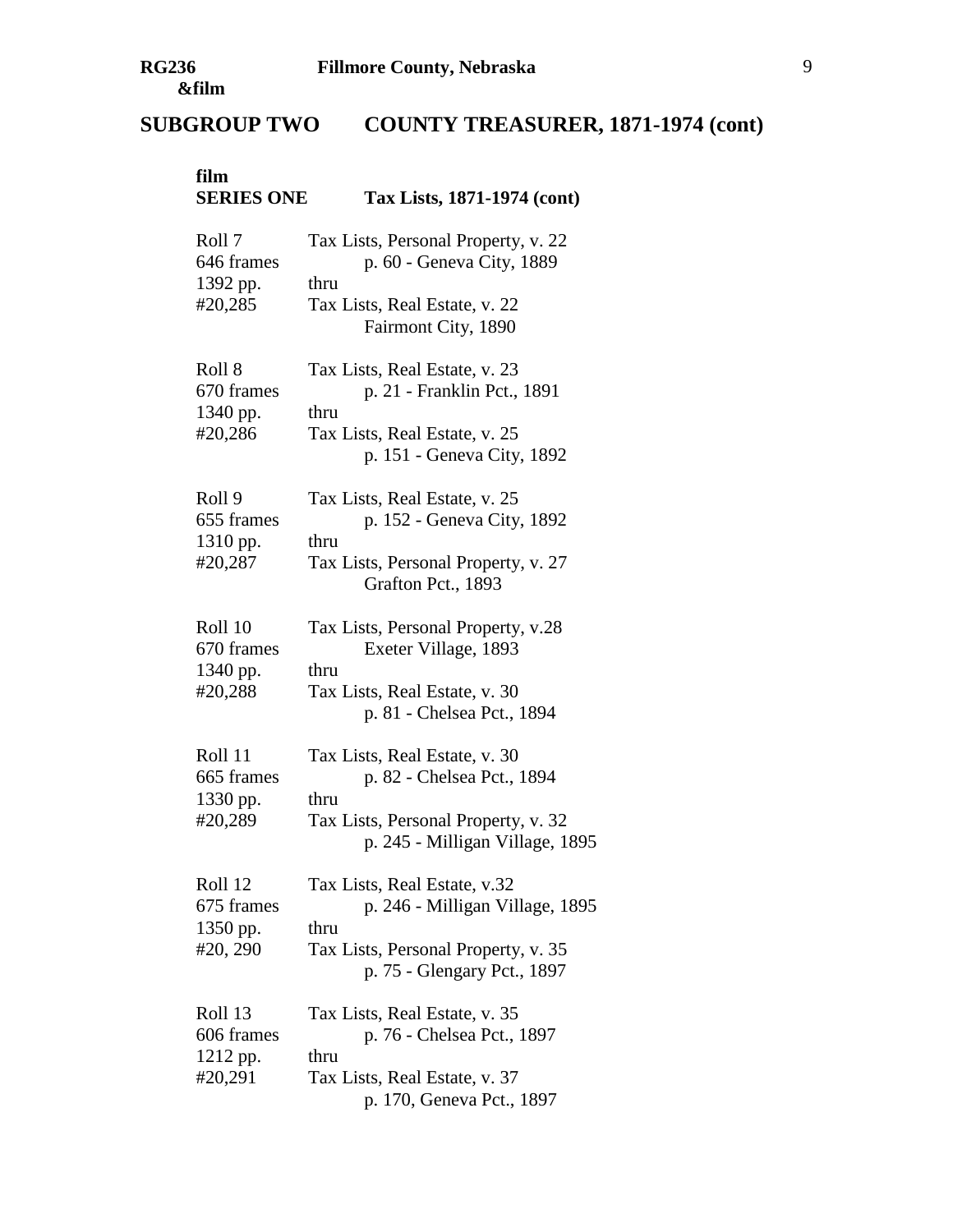# **SUBGROUP TWO COUNTY TREASURER, 1871-1974 (cont)**

| film<br><b>SERIES ONE</b>                     | Tax Lists, 1871-1974 (cont)                                                                                                                   |
|-----------------------------------------------|-----------------------------------------------------------------------------------------------------------------------------------------------|
| Roll 7<br>646 frames<br>1392 pp.<br>#20,285   | Tax Lists, Personal Property, v. 22<br>p. 60 - Geneva City, 1889<br>thru<br>Tax Lists, Real Estate, v. 22<br>Fairmont City, 1890              |
| Roll 8<br>670 frames<br>1340 pp.<br>#20,286   | Tax Lists, Real Estate, v. 23<br>p. 21 - Franklin Pct., 1891<br>thru<br>Tax Lists, Real Estate, v. 25<br>p. 151 - Geneva City, 1892           |
| Roll 9<br>655 frames<br>1310 pp.<br>#20,287   | Tax Lists, Real Estate, v. 25<br>p. 152 - Geneva City, 1892<br>thru<br>Tax Lists, Personal Property, v. 27<br>Grafton Pct., 1893              |
| Roll 10<br>670 frames<br>1340 pp.<br>#20,288  | Tax Lists, Personal Property, v.28<br>Exeter Village, 1893<br>thru<br>Tax Lists, Real Estate, v. 30<br>p. 81 - Chelsea Pct., 1894             |
| Roll 11<br>665 frames<br>1330 pp.<br>#20,289  | Tax Lists, Real Estate, v. 30<br>p. 82 - Chelsea Pct., 1894<br>thru<br>Tax Lists, Personal Property, v. 32<br>p. 245 - Milligan Village, 1895 |
| Roll 12<br>675 frames<br>1350 pp.<br>#20, 290 | Tax Lists, Real Estate, v.32<br>p. 246 - Milligan Village, 1895<br>thru<br>Tax Lists, Personal Property, v. 35<br>p. 75 - Glengary Pct., 1897 |
| Roll 13<br>606 frames<br>1212 pp.<br>#20,291  | Tax Lists, Real Estate, v. 35<br>p. 76 - Chelsea Pct., 1897<br>thru<br>Tax Lists, Real Estate, v. 37<br>p. 170, Geneva Pct., 1897             |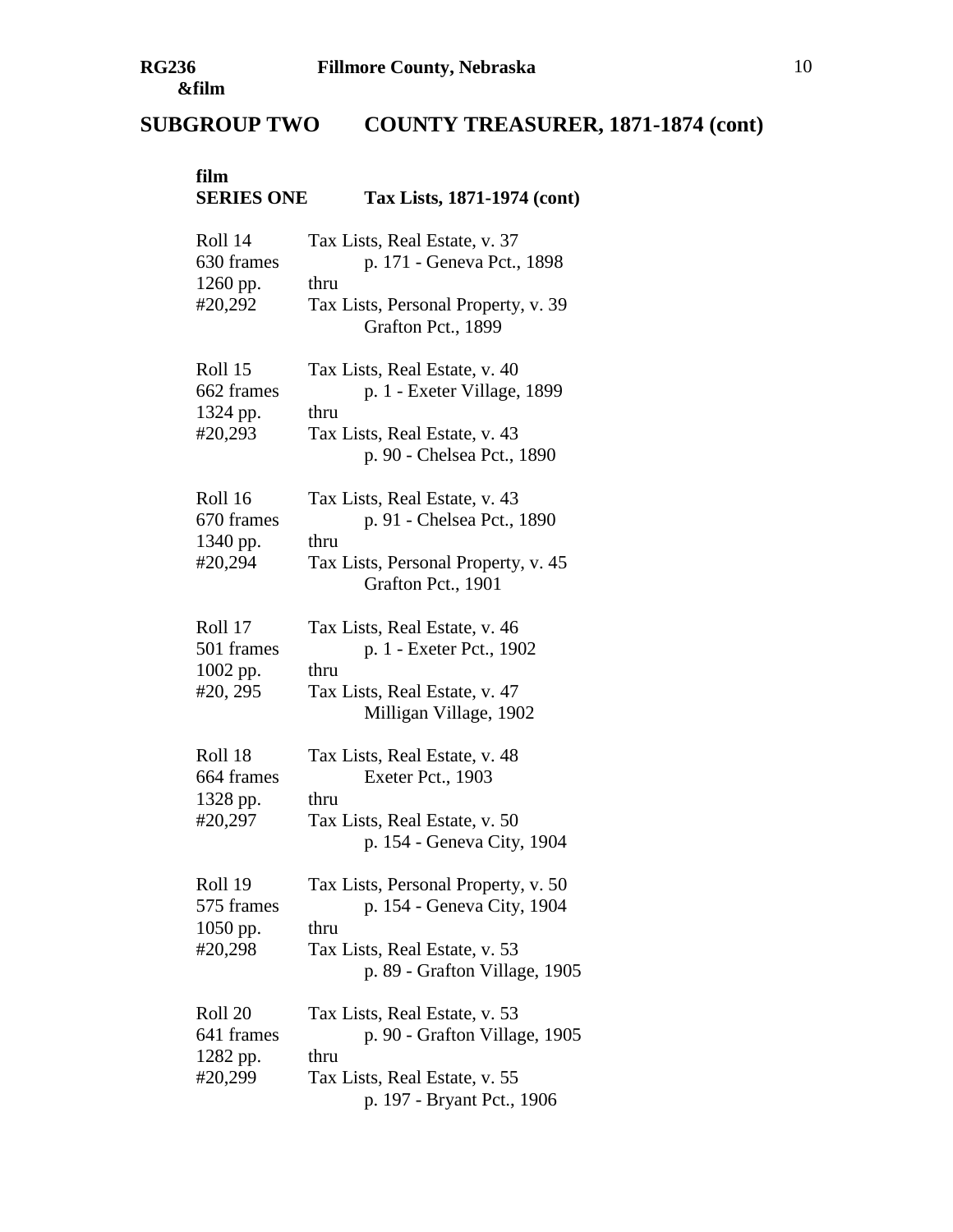# **SUBGROUP TWO COUNTY TREASURER, 1871-1874 (cont)**

| film<br><b>SERIES ONE</b>                     | Tax Lists, 1871-1974 (cont)                                                                                                                 |
|-----------------------------------------------|---------------------------------------------------------------------------------------------------------------------------------------------|
| Roll 14<br>630 frames<br>1260 pp.<br>#20,292  | Tax Lists, Real Estate, v. 37<br>p. 171 - Geneva Pct., 1898<br>thru<br>Tax Lists, Personal Property, v. 39<br>Grafton Pct., 1899            |
| Roll 15<br>662 frames<br>1324 pp.<br>#20,293  | Tax Lists, Real Estate, v. 40<br>p. 1 - Exeter Village, 1899<br>thru<br>Tax Lists, Real Estate, v. 43<br>p. 90 - Chelsea Pct., 1890         |
| Roll 16<br>670 frames<br>1340 pp.<br>#20,294  | Tax Lists, Real Estate, v. 43<br>p. 91 - Chelsea Pct., 1890<br>thru<br>Tax Lists, Personal Property, v. 45<br>Grafton Pct., 1901            |
| Roll 17<br>501 frames<br>1002 pp.<br>#20, 295 | Tax Lists, Real Estate, v. 46<br>p. 1 - Exeter Pct., 1902<br>thru<br>Tax Lists, Real Estate, v. 47<br>Milligan Village, 1902                |
| Roll 18<br>664 frames<br>1328 pp.<br>#20,297  | Tax Lists, Real Estate, v. 48<br>Exeter Pct., 1903<br>thru<br>Tax Lists, Real Estate, v. 50<br>p. 154 - Geneva City, 1904                   |
| Roll 19<br>575 frames<br>1050 pp.<br>#20,298  | Tax Lists, Personal Property, v. 50<br>p. 154 - Geneva City, 1904<br>thru<br>Tax Lists, Real Estate, v. 53<br>p. 89 - Grafton Village, 1905 |
| Roll 20<br>641 frames<br>1282 pp.<br>#20,299  | Tax Lists, Real Estate, v. 53<br>p. 90 - Grafton Village, 1905<br>thru<br>Tax Lists, Real Estate, v. 55<br>p. 197 - Bryant Pct., 1906       |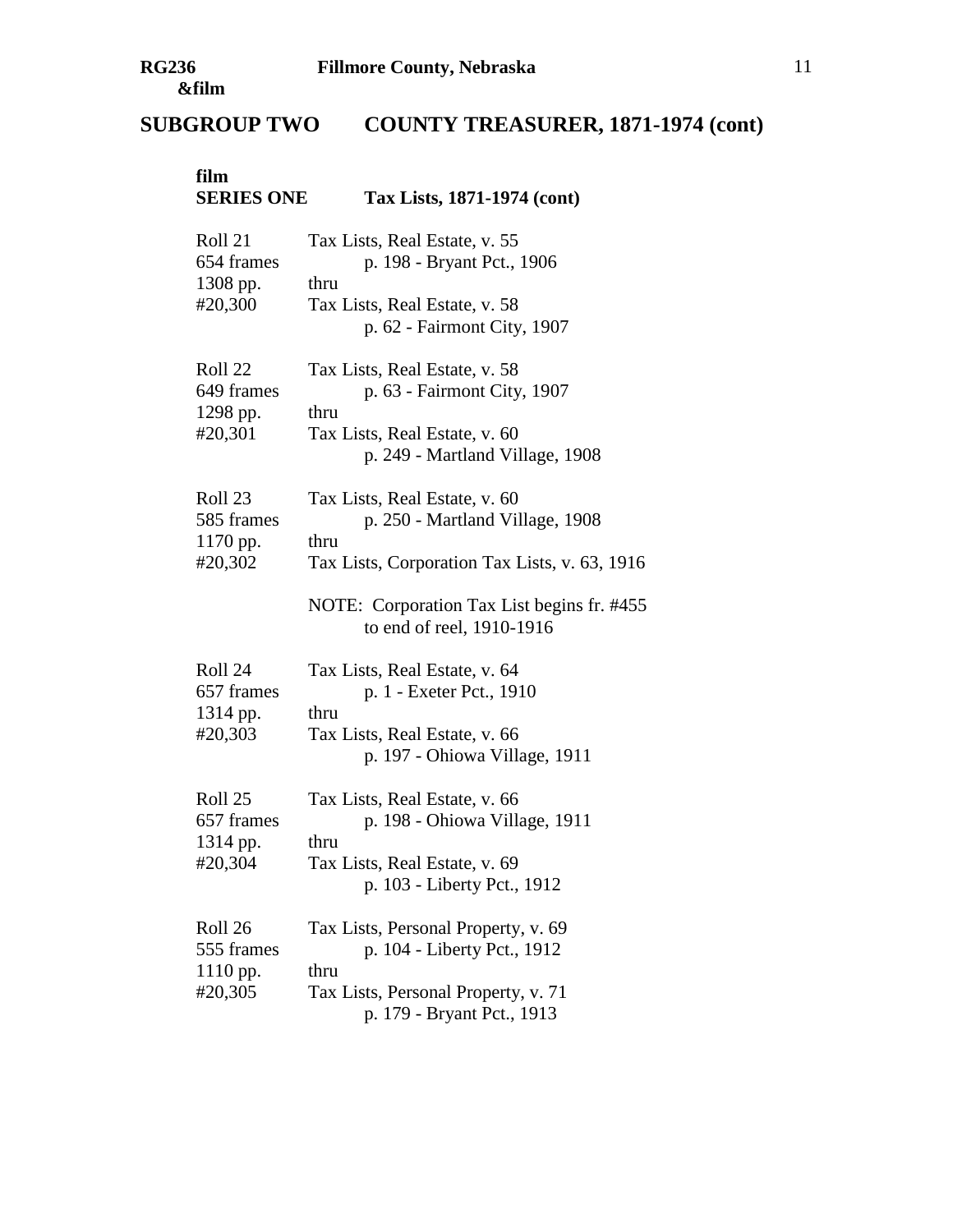# **SUBGROUP TWO COUNTY TREASURER, 1871-1974 (cont)**

| film<br><b>SERIES ONE</b>                    | Tax Lists, 1871-1974 (cont)                                                                                                                                                                          |
|----------------------------------------------|------------------------------------------------------------------------------------------------------------------------------------------------------------------------------------------------------|
| Roll 21<br>654 frames<br>1308 pp.<br>#20,300 | Tax Lists, Real Estate, v. 55<br>p. 198 - Bryant Pct., 1906<br>thru<br>Tax Lists, Real Estate, v. 58<br>p. 62 - Fairmont City, 1907                                                                  |
| Roll 22<br>649 frames<br>1298 pp.<br>#20,301 | Tax Lists, Real Estate, v. 58<br>p. 63 - Fairmont City, 1907<br>thru<br>Tax Lists, Real Estate, v. 60<br>p. 249 - Martland Village, 1908                                                             |
| Roll 23<br>585 frames<br>1170 pp.<br>#20,302 | Tax Lists, Real Estate, v. 60<br>p. 250 - Martland Village, 1908<br>thru<br>Tax Lists, Corporation Tax Lists, v. 63, 1916<br>NOTE: Corporation Tax List begins fr. #455<br>to end of reel, 1910-1916 |
| Roll 24<br>657 frames<br>1314 pp.<br>#20,303 | Tax Lists, Real Estate, v. 64<br>p. 1 - Exeter Pct., 1910<br>thru<br>Tax Lists, Real Estate, v. 66<br>p. 197 - Ohiowa Village, 1911                                                                  |
| Roll 25<br>657 frames<br>1314 pp.<br>#20,304 | Tax Lists, Real Estate, v. 66<br>p. 198 - Ohiowa Village, 1911<br>thru<br>Tax Lists, Real Estate, v. 69<br>p. 103 - Liberty Pct., 1912                                                               |
| Roll 26<br>555 frames<br>1110 pp.<br>#20,305 | Tax Lists, Personal Property, v. 69<br>p. 104 - Liberty Pct., 1912<br>thru<br>Tax Lists, Personal Property, v. 71<br>p. 179 - Bryant Pct., 1913                                                      |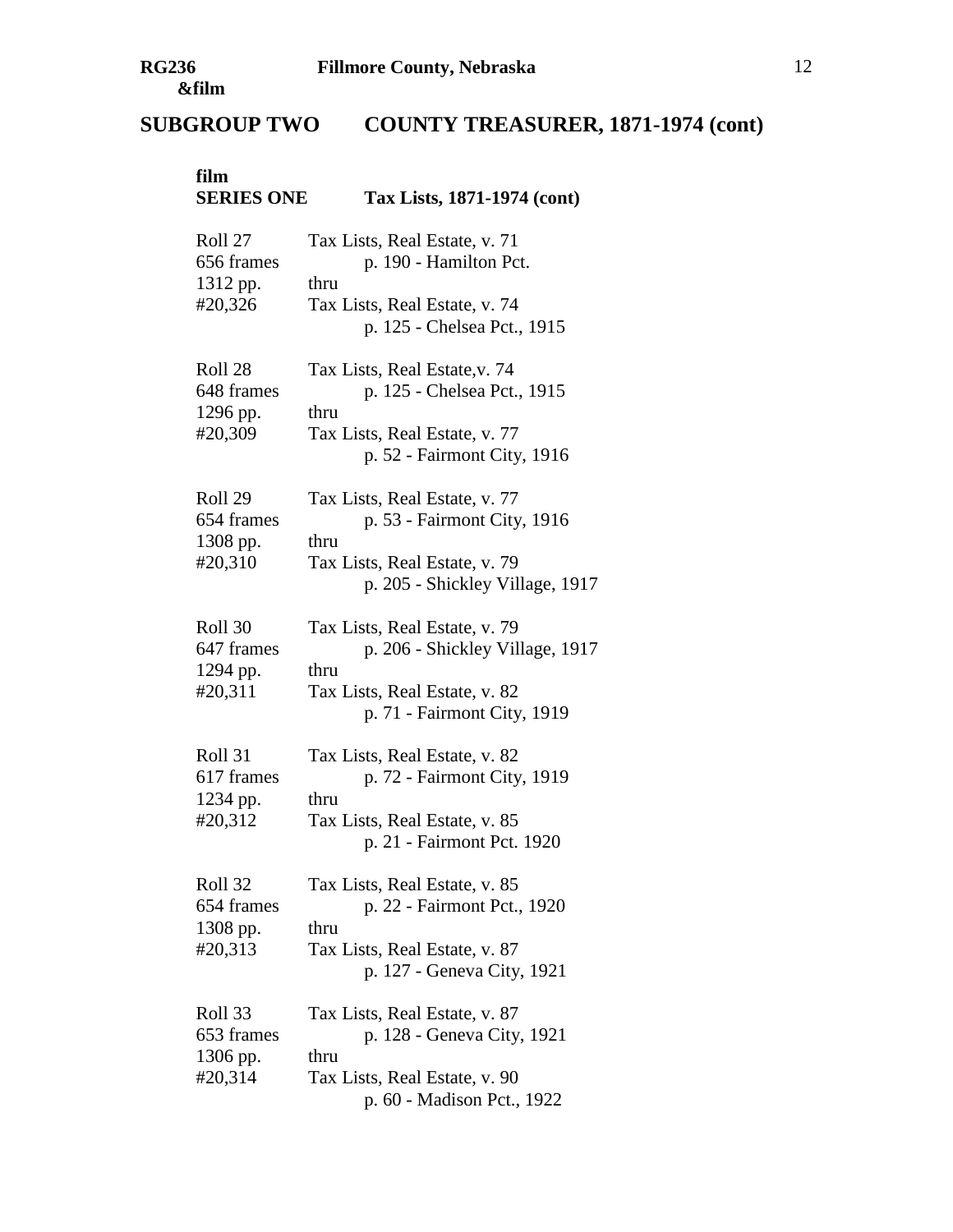# **SUBGROUP TWO COUNTY TREASURER, 1871-1974 (cont)**

| film<br><b>SERIES ONE</b>                    | Tax Lists, 1871-1974 (cont)                                                                                                              |
|----------------------------------------------|------------------------------------------------------------------------------------------------------------------------------------------|
| Roll 27<br>656 frames<br>1312 pp.<br>#20,326 | Tax Lists, Real Estate, v. 71<br>p. 190 - Hamilton Pct.<br>thru<br>Tax Lists, Real Estate, v. 74<br>p. 125 - Chelsea Pct., 1915          |
| Roll 28<br>648 frames<br>1296 pp.<br>#20,309 | Tax Lists, Real Estate, v. 74<br>p. 125 - Chelsea Pct., 1915<br>thru<br>Tax Lists, Real Estate, v. 77<br>p. 52 - Fairmont City, 1916     |
| Roll 29<br>654 frames<br>1308 pp.<br>#20,310 | Tax Lists, Real Estate, v. 77<br>p. 53 - Fairmont City, 1916<br>thru<br>Tax Lists, Real Estate, v. 79<br>p. 205 - Shickley Village, 1917 |
| Roll 30<br>647 frames<br>1294 pp.<br>#20,311 | Tax Lists, Real Estate, v. 79<br>p. 206 - Shickley Village, 1917<br>thru<br>Tax Lists, Real Estate, v. 82<br>p. 71 - Fairmont City, 1919 |
| Roll 31<br>617 frames<br>1234 pp.<br>#20,312 | Tax Lists, Real Estate, v. 82<br>p. 72 - Fairmont City, 1919<br>thru<br>Tax Lists, Real Estate, v. 85<br>p. 21 - Fairmont Pct. 1920      |
| Roll 32<br>654 frames<br>1308 pp.<br>#20,313 | Tax Lists, Real Estate, v. 85<br>p. 22 - Fairmont Pct., 1920<br>thru<br>Tax Lists, Real Estate, v. 87<br>p. 127 - Geneva City, 1921      |
| Roll 33<br>653 frames<br>1306 pp.<br>#20,314 | Tax Lists, Real Estate, v. 87<br>p. 128 - Geneva City, 1921<br>thru<br>Tax Lists, Real Estate, v. 90<br>p. 60 - Madison Pct., 1922       |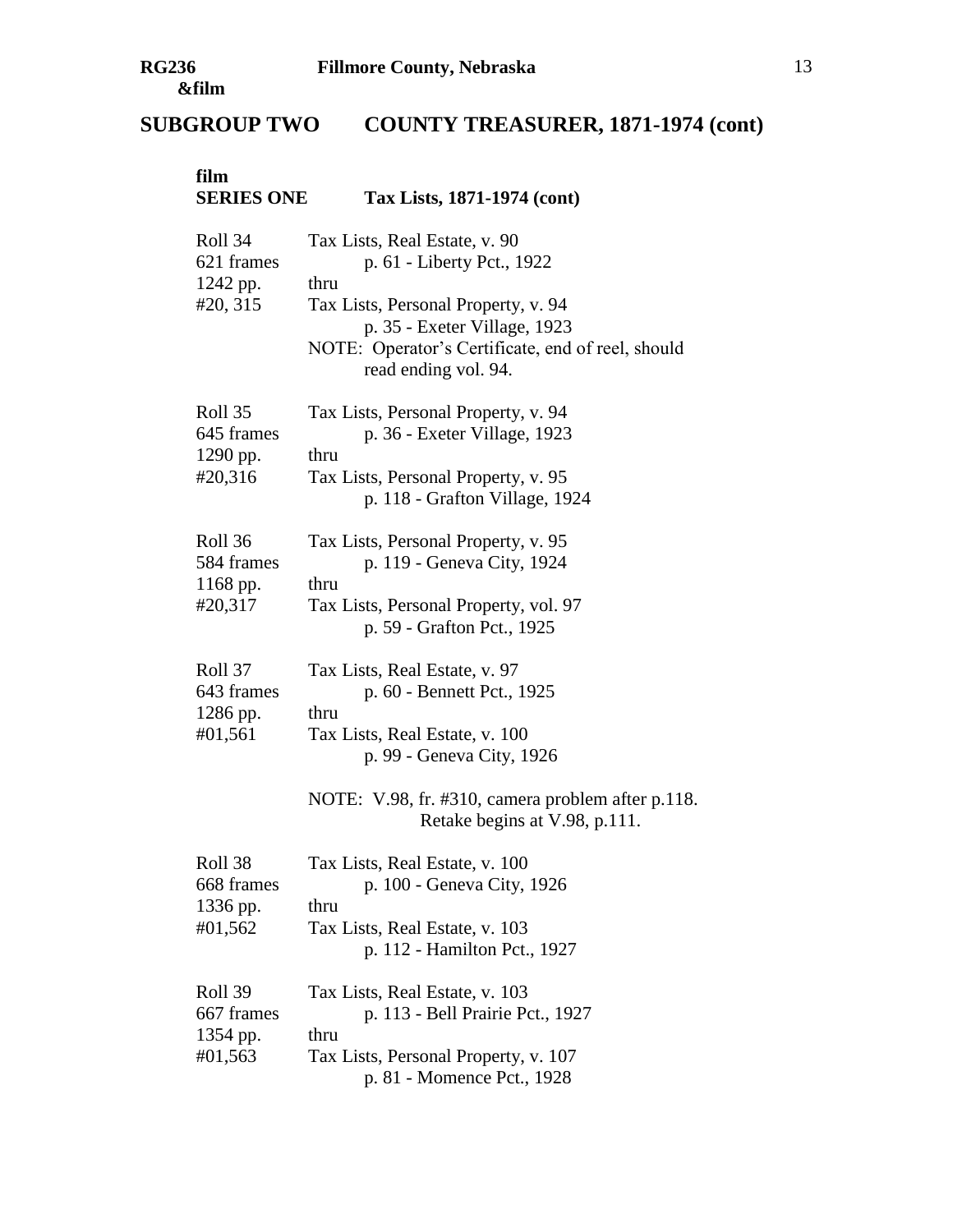# **film SERIES ONE Tax Lists, 1871-1974 (cont)** Roll 34 Tax Lists, Real Estate, v. 90 621 frames p. 61 - Liberty Pct., 1922  $1242$  pp. thru #20, 315 Tax Lists, Personal Property, v. 94 p. 35 - Exeter Village, 1923 NOTE: Operator's Certificate, end of reel, should read ending vol. 94. Roll 35 Tax Lists, Personal Property, v. 94 645 frames p. 36 - Exeter Village, 1923 1290 pp. thru #20,316 Tax Lists, Personal Property, v. 95 p. 118 - Grafton Village, 1924 Roll 36 Tax Lists, Personal Property, v. 95 584 frames p. 119 - Geneva City, 1924 1168 pp. thru #20,317 Tax Lists, Personal Property, vol. 97 p. 59 - Grafton Pct., 1925 Roll 37 Tax Lists, Real Estate, v. 97 643 frames p. 60 - Bennett Pct., 1925  $1286$  pp. thru #01,561 Tax Lists, Real Estate, v. 100 p. 99 - Geneva City, 1926 NOTE: V.98, fr. #310, camera problem after p.118. Retake begins at V.98, p.111. Roll 38 Tax Lists, Real Estate, v. 100 668 frames p. 100 - Geneva City, 1926 1336 pp. thru #01,562 Tax Lists, Real Estate, v. 103 p. 112 - Hamilton Pct., 1927 Roll 39 Tax Lists, Real Estate, v. 103 667 frames p. 113 - Bell Prairie Pct., 1927 1354 pp. thru #01,563 Tax Lists, Personal Property, v. 107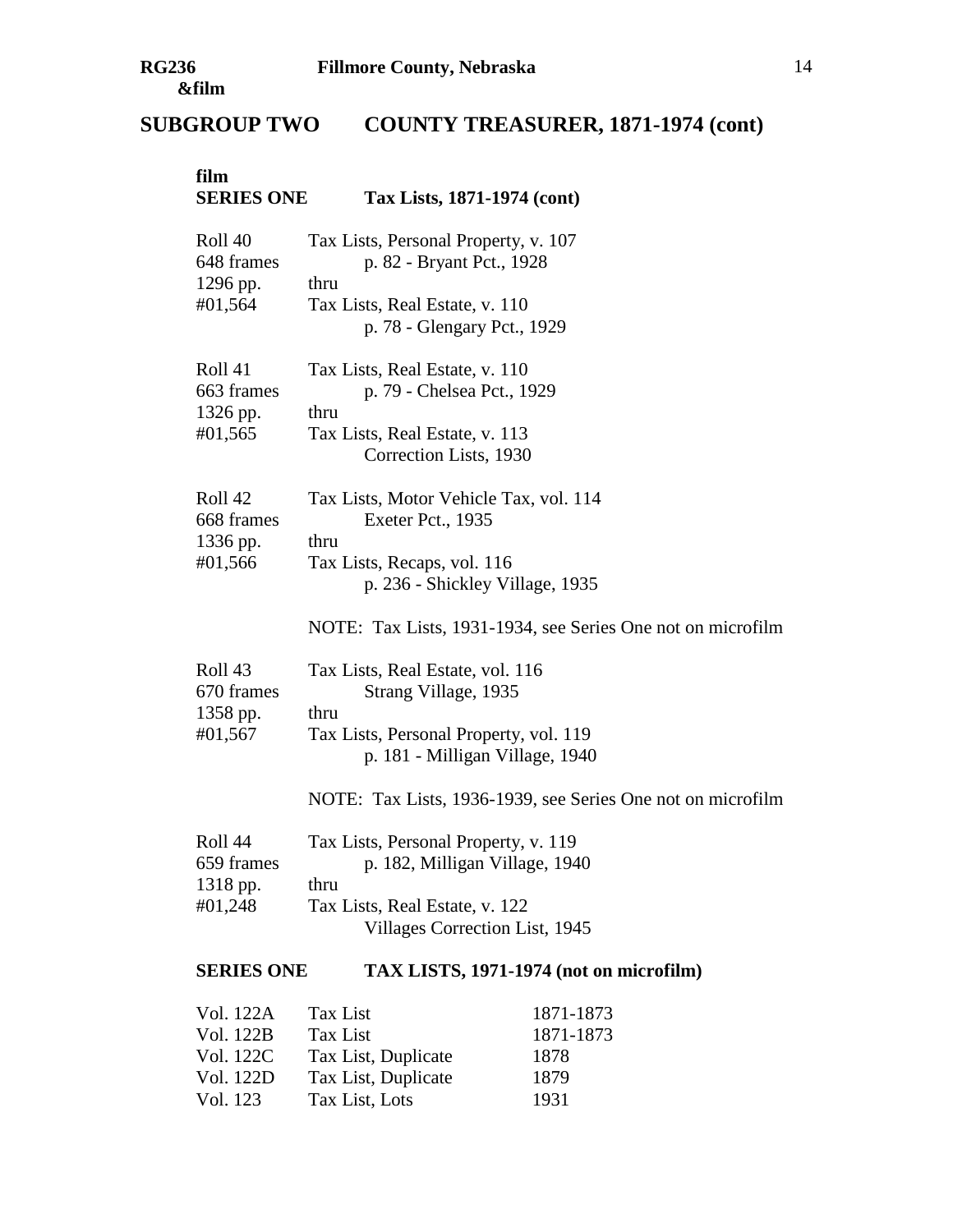# **SUBGROUP TWO COUNTY TREASURER, 1871-1974 (cont)**

| film<br><b>SERIES ONE</b>                               | Tax Lists, 1871-1974 (cont)                                                                                                                                                                                  |
|---------------------------------------------------------|--------------------------------------------------------------------------------------------------------------------------------------------------------------------------------------------------------------|
| Roll 40<br>648 frames<br>1296 pp.<br>#01,564            | Tax Lists, Personal Property, v. 107<br>p. 82 - Bryant Pct., 1928<br>thru<br>Tax Lists, Real Estate, v. 110<br>p. 78 - Glengary Pct., 1929                                                                   |
| Roll 41<br>663 frames<br>1326 pp.<br>#01,565            | Tax Lists, Real Estate, v. 110<br>p. 79 - Chelsea Pct., 1929<br>thru<br>Tax Lists, Real Estate, v. 113<br>Correction Lists, 1930                                                                             |
| Roll 42<br>668 frames<br>1336 pp.<br>#01,566            | Tax Lists, Motor Vehicle Tax, vol. 114<br>Exeter Pct., 1935<br>thru<br>Tax Lists, Recaps, vol. 116<br>p. 236 - Shickley Village, 1935<br>NOTE: Tax Lists, 1931-1934, see Series One not on microfilm         |
| Roll <sub>43</sub><br>670 frames<br>1358 pp.<br>#01,567 | Tax Lists, Real Estate, vol. 116<br>Strang Village, 1935<br>thru<br>Tax Lists, Personal Property, vol. 119<br>p. 181 - Milligan Village, 1940<br>NOTE: Tax Lists, 1936-1939, see Series One not on microfilm |
| Roll 44<br>659 frames<br>1318 pp.<br>#01,248            | Tax Lists, Personal Property, v. 119<br>p. 182, Milligan Village, 1940<br>thru<br>Tax Lists, Real Estate, v. 122<br>Villages Correction List, 1945                                                           |
| <b>SERIES ONE</b>                                       | TAX LISTS, 1971-1974 (not on microfilm)                                                                                                                                                                      |
|                                                         |                                                                                                                                                                                                              |

| Vol. 122A | Tax List            | 1871-1873 |
|-----------|---------------------|-----------|
| Vol. 122B | Tax List            | 1871-1873 |
| Vol. 122C | Tax List, Duplicate | 1878      |
| Vol. 122D | Tax List, Duplicate | 1879      |
| Vol. 123  | Tax List, Lots      | 1931      |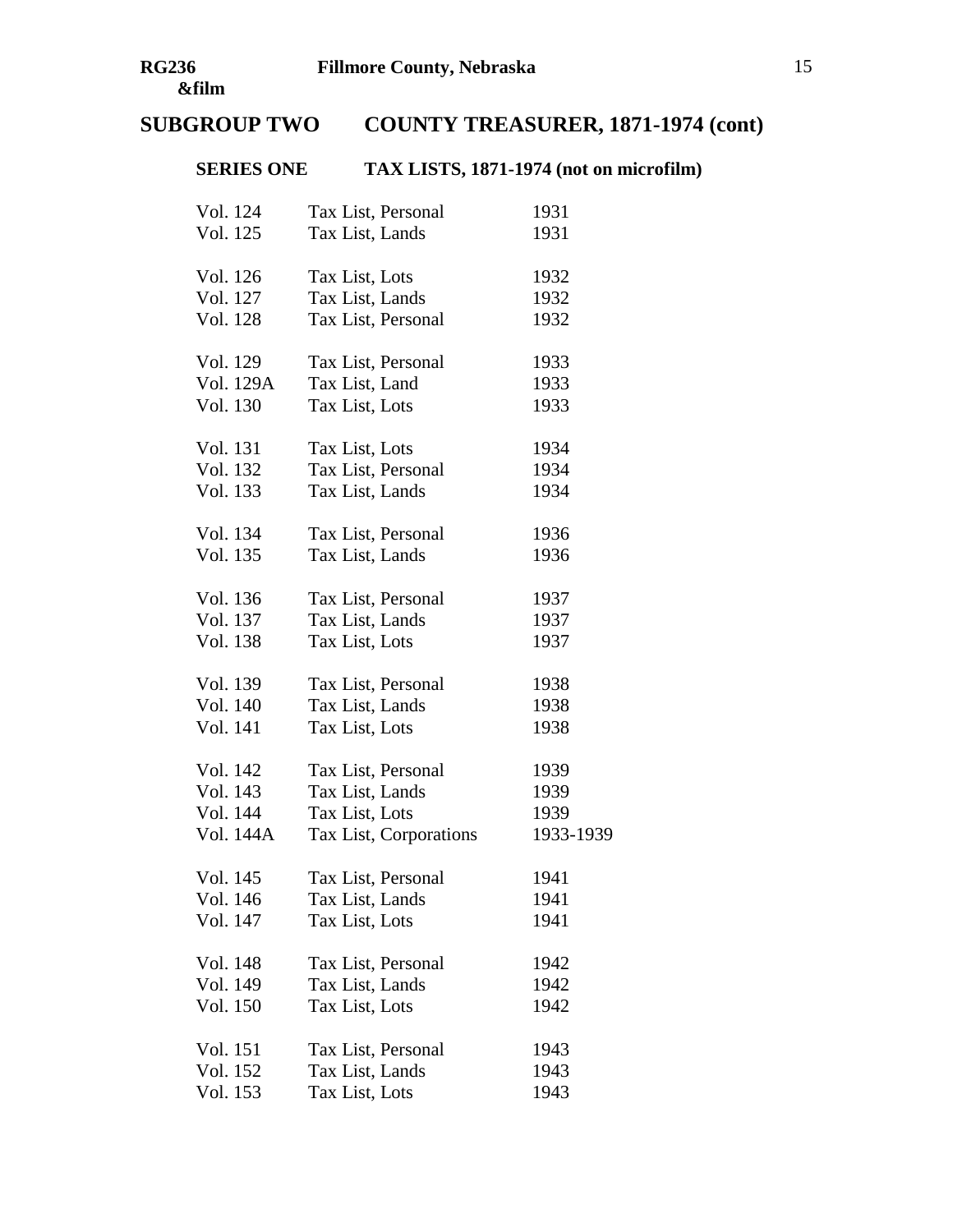# **SERIES ONE TAX LISTS, 1871-1974 (not on microfilm)**

| Tax List, Personal     | 1931      |
|------------------------|-----------|
| Tax List, Lands        | 1931      |
| Tax List, Lots         | 1932      |
| Tax List, Lands        | 1932      |
| Tax List, Personal     | 1932      |
| Tax List, Personal     | 1933      |
| Tax List, Land         | 1933      |
| Tax List, Lots         | 1933      |
| Tax List, Lots         | 1934      |
| Tax List, Personal     | 1934      |
| Tax List, Lands        | 1934      |
| Tax List, Personal     | 1936      |
| Tax List, Lands        | 1936      |
| Tax List, Personal     | 1937      |
| Tax List, Lands        | 1937      |
| Tax List, Lots         | 1937      |
| Tax List, Personal     | 1938      |
| Tax List, Lands        | 1938      |
| Tax List, Lots         | 1938      |
| Tax List, Personal     | 1939      |
| Tax List, Lands        | 1939      |
| Tax List, Lots         | 1939      |
| Tax List, Corporations | 1933-1939 |
| Tax List, Personal     | 1941      |
| Tax List, Lands        | 1941      |
| Tax List, Lots         | 1941      |
| Tax List, Personal     | 1942      |
| Tax List, Lands        | 1942      |
| Tax List, Lots         | 1942      |
| Tax List, Personal     | 1943      |
| Tax List, Lands        | 1943      |
| Tax List, Lots         | 1943      |
|                        |           |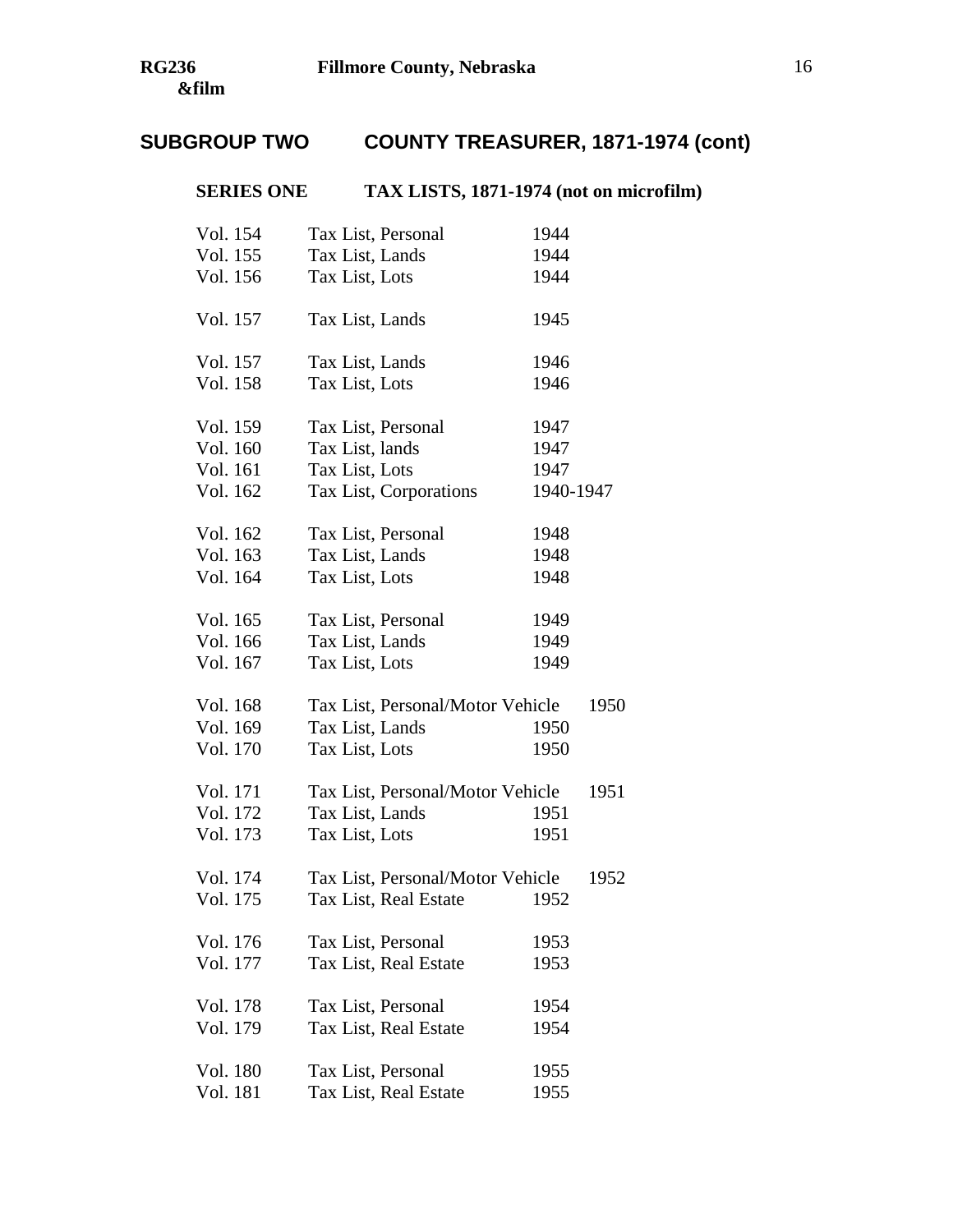# **SERIES ONE TAX LISTS, 1871-1974 (not on microfilm)**

| Vol. 154 | Tax List, Personal               | 1944      |      |
|----------|----------------------------------|-----------|------|
| Vol. 155 | Tax List, Lands                  | 1944      |      |
| Vol. 156 | Tax List, Lots                   | 1944      |      |
| Vol. 157 | Tax List, Lands                  | 1945      |      |
| Vol. 157 | Tax List, Lands                  | 1946      |      |
| Vol. 158 | Tax List, Lots                   | 1946      |      |
| Vol. 159 | Tax List, Personal               | 1947      |      |
| Vol. 160 | Tax List, lands                  | 1947      |      |
| Vol. 161 | Tax List, Lots                   | 1947      |      |
| Vol. 162 | Tax List, Corporations           | 1940-1947 |      |
| Vol. 162 | Tax List, Personal               | 1948      |      |
| Vol. 163 | Tax List, Lands                  | 1948      |      |
| Vol. 164 | Tax List, Lots                   | 1948      |      |
| Vol. 165 | Tax List, Personal               | 1949      |      |
| Vol. 166 | Tax List, Lands                  | 1949      |      |
| Vol. 167 | Tax List, Lots                   | 1949      |      |
| Vol. 168 | Tax List, Personal/Motor Vehicle |           | 1950 |
| Vol. 169 | Tax List, Lands                  | 1950      |      |
| Vol. 170 | Tax List, Lots                   | 1950      |      |
| Vol. 171 | Tax List, Personal/Motor Vehicle |           | 1951 |
| Vol. 172 | Tax List, Lands                  | 1951      |      |
| Vol. 173 | Tax List, Lots                   | 1951      |      |
| Vol. 174 | Tax List, Personal/Motor Vehicle |           | 1952 |
| Vol. 175 | Tax List, Real Estate            | 1952      |      |
| Vol. 176 | Tax List, Personal               | 1953      |      |
| Vol. 177 | Tax List, Real Estate            | 1953      |      |
| Vol. 178 | Tax List, Personal               | 1954      |      |
| Vol. 179 | Tax List, Real Estate            | 1954      |      |
| Vol. 180 | Tax List, Personal               | 1955      |      |
| Vol. 181 | Tax List, Real Estate            | 1955      |      |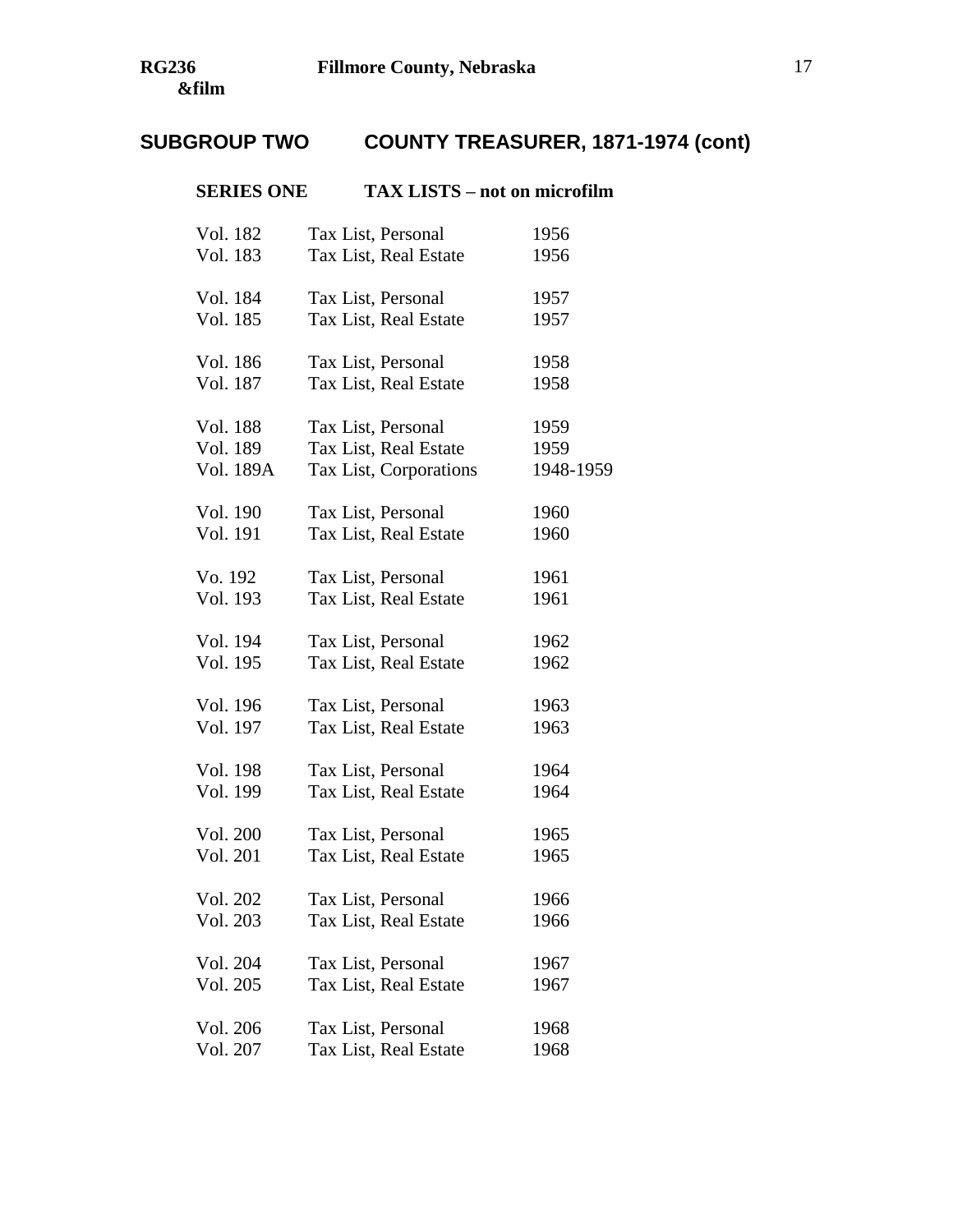| <b>SERIES ONE</b> | <b>TAX LISTS – not on microfilm</b> |           |
|-------------------|-------------------------------------|-----------|
| Vol. 182          | Tax List, Personal                  | 1956      |
| Vol. 183          | Tax List, Real Estate               | 1956      |
| Vol. 184          | Tax List, Personal                  | 1957      |
| Vol. 185          | Tax List, Real Estate               | 1957      |
| Vol. 186          | Tax List, Personal                  | 1958      |
| Vol. 187          | Tax List, Real Estate               | 1958      |
| Vol. 188          | Tax List, Personal                  | 1959      |
| Vol. 189          | Tax List, Real Estate               | 1959      |
| Vol. 189A         | Tax List, Corporations              | 1948-1959 |
| Vol. 190          | Tax List, Personal                  | 1960      |
| Vol. 191          | Tax List, Real Estate               | 1960      |
| Vo. 192           | Tax List, Personal                  | 1961      |
| Vol. 193          | Tax List, Real Estate               | 1961      |
| Vol. 194          | Tax List, Personal                  | 1962      |
| Vol. 195          | Tax List, Real Estate               | 1962      |
| Vol. 196          | Tax List, Personal                  | 1963      |
| Vol. 197          | Tax List, Real Estate               | 1963      |
| Vol. 198          | Tax List, Personal                  | 1964      |
| Vol. 199          | Tax List, Real Estate               | 1964      |
| Vol. 200          | Tax List, Personal                  | 1965      |
| Vol. 201          | Tax List, Real Estate               | 1965      |
| Vol. 202          | Tax List, Personal                  | 1966      |
| Vol. 203          | Tax List, Real Estate               | 1966      |
| Vol. 204          | Tax List, Personal                  | 1967      |
| Vol. 205          | Tax List, Real Estate               | 1967      |
| Vol. 206          | Tax List, Personal                  | 1968      |
| Vol. 207          | Tax List, Real Estate               | 1968      |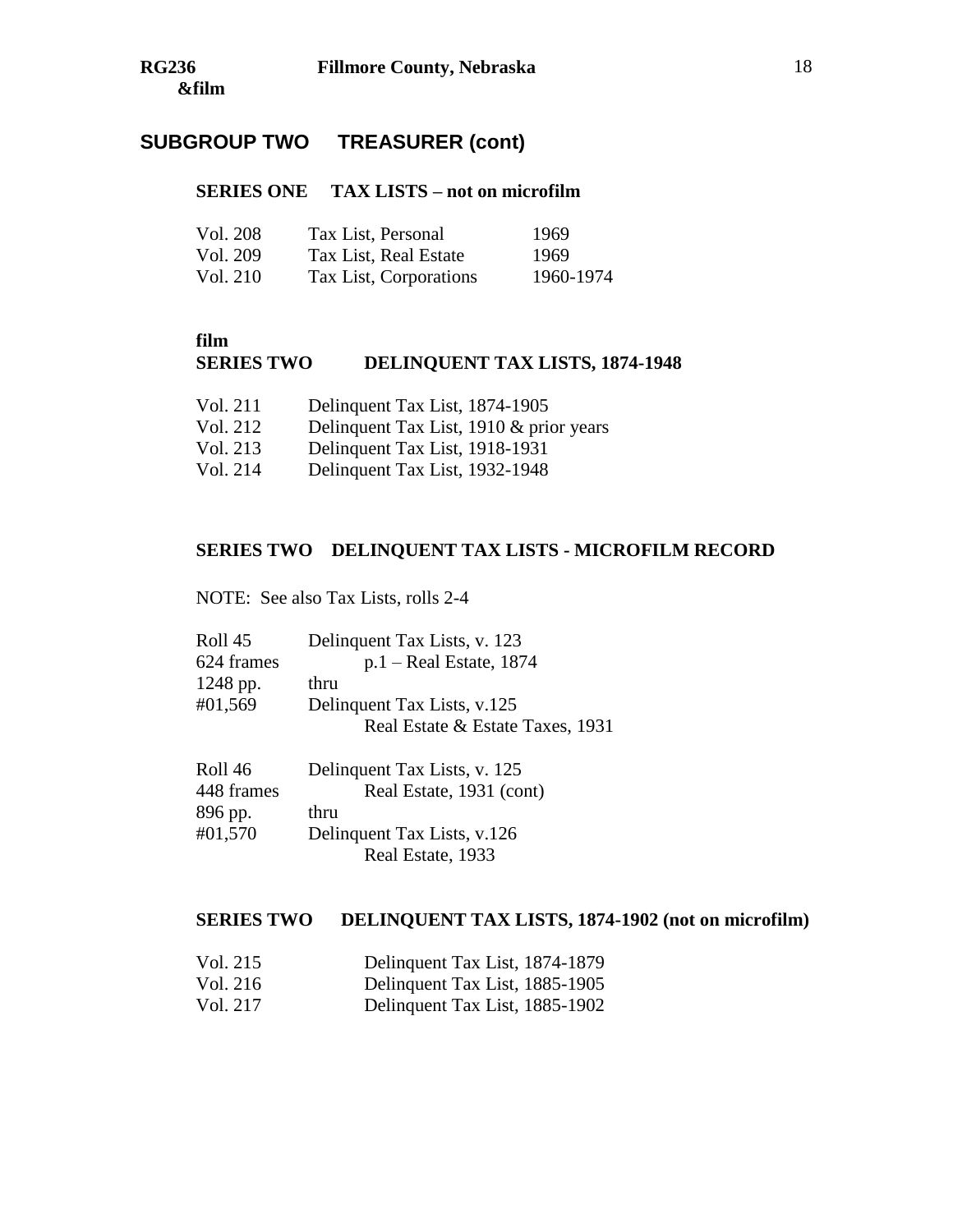# **SUBGROUP TWO TREASURER (cont)**

#### **SERIES ONE TAX LISTS – not on microfilm**

| Vol. 208 | Tax List, Personal     | 1969      |
|----------|------------------------|-----------|
| Vol. 209 | Tax List, Real Estate  | -1969     |
| Vol. 210 | Tax List, Corporations | 1960-1974 |

#### **film**

# **SERIES TWO DELINQUENT TAX LISTS, 1874-1948**

| Vol. 211 | Delinquent Tax List, 1874-1905 |  |
|----------|--------------------------------|--|
|----------|--------------------------------|--|

- Vol. 212 Delinquent Tax List, 1910 & prior years
- Vol. 213 Delinquent Tax List, 1918-1931
- Vol. 214 Delinquent Tax List, 1932-1948

# **SERIES TWO DELINQUENT TAX LISTS - MICROFILM RECORD**

NOTE: See also Tax Lists, rolls 2-4

| Roll 45    | Delinquent Tax Lists, v. 123     |
|------------|----------------------------------|
| 624 frames | $p.1 - Real$ Estate, 1874        |
| 1248 pp.   | thru                             |
| #01,569    | Delinquent Tax Lists, v.125      |
|            | Real Estate & Estate Taxes, 1931 |
|            |                                  |

| Roll 46    | Delinquent Tax Lists, v. 125 |
|------------|------------------------------|
| 448 frames | Real Estate, 1931 (cont)     |
| 896 pp.    | thru                         |
| #01,570    | Delinquent Tax Lists, v.126  |
|            | Real Estate, 1933            |

## **SERIES TWO DELINQUENT TAX LISTS, 1874-1902 (not on microfilm)**

| Vol. 215 | Delinquent Tax List, 1874-1879 |
|----------|--------------------------------|
| Vol. 216 | Delinquent Tax List, 1885-1905 |
| Vol. 217 | Delinquent Tax List, 1885-1902 |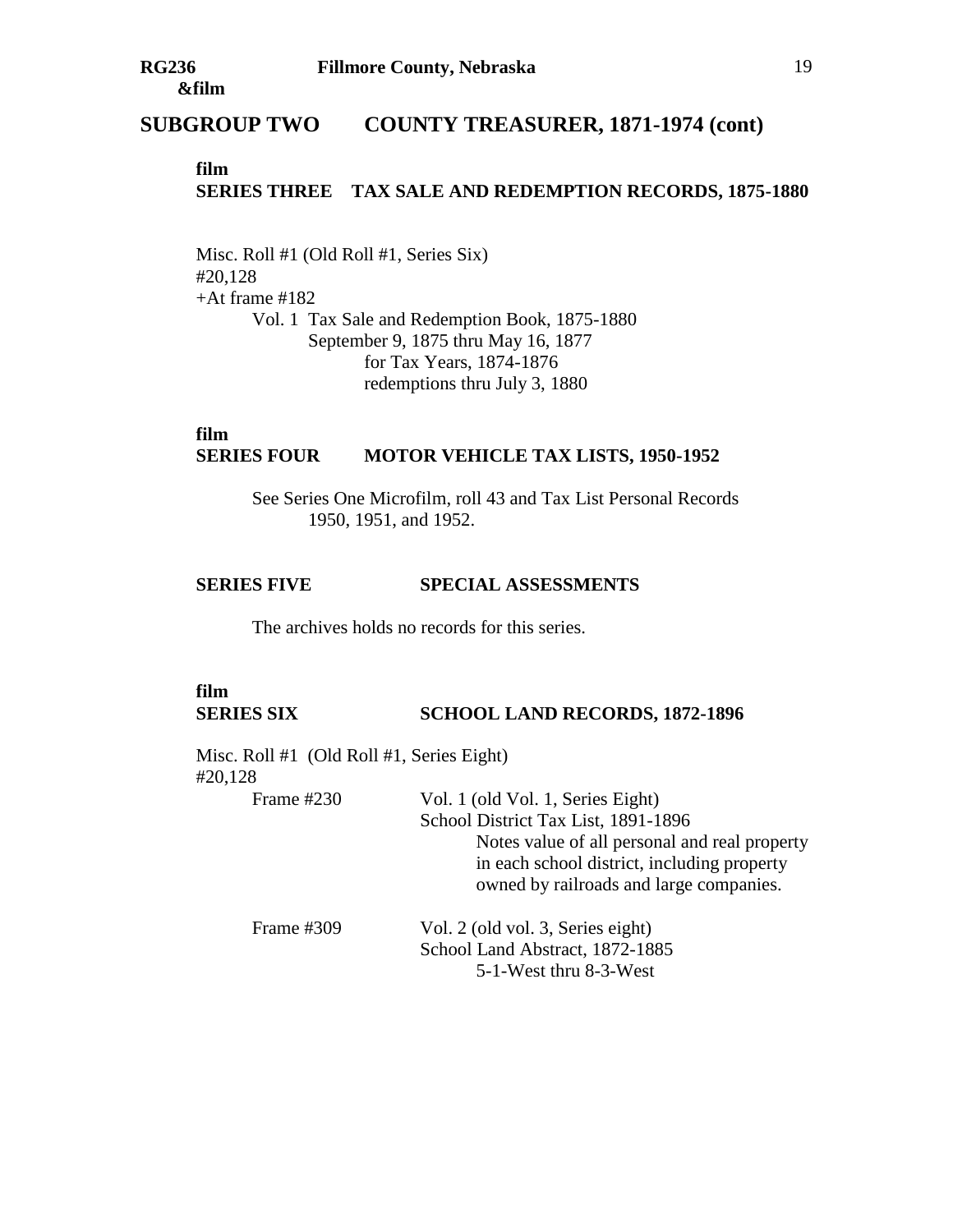## **SUBGROUP TWO COUNTY TREASURER, 1871-1974 (cont)**

## **film SERIES THREE TAX SALE AND REDEMPTION RECORDS, 1875-1880**

Misc. Roll #1 (Old Roll #1, Series Six) #20,128  $+At$  frame #182 Vol. 1 Tax Sale and Redemption Book, 1875-1880 September 9, 1875 thru May 16, 1877 for Tax Years, 1874-1876 redemptions thru July 3, 1880

#### **film SERIES FOUR MOTOR VEHICLE TAX LISTS, 1950-1952**

See Series One Microfilm, roll 43 and Tax List Personal Records 1950, 1951, and 1952.

#### **SERIES FIVE SPECIAL ASSESSMENTS**

The archives holds no records for this series.

### **film SERIES SIX SCHOOL LAND RECORDS, 1872-1896**

Misc. Roll #1 (Old Roll #1, Series Eight) #20,128 Frame #230 Vol. 1 (old Vol. 1, Series Eight) School District Tax List, 1891-1896 Notes value of all personal and real property in each school district, including property owned by railroads and large companies. Frame #309 Vol. 2 (old vol. 3, Series eight) School Land Abstract, 1872-1885 5-1-West thru 8-3-West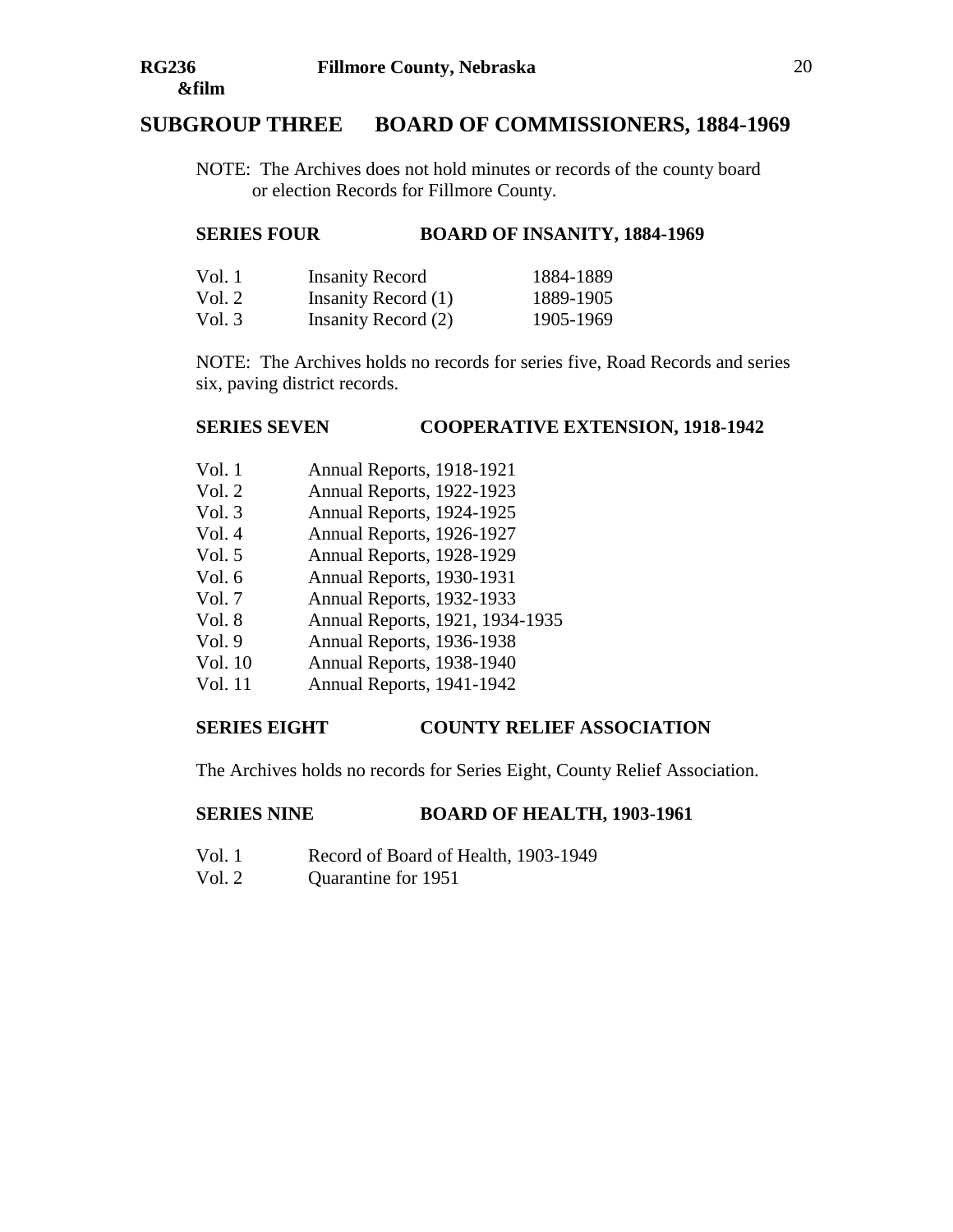# **SUBGROUP THREE BOARD OF COMMISSIONERS, 1884-1969**

NOTE: The Archives does not hold minutes or records of the county board or election Records for Fillmore County.

## **SERIES FOUR BOARD OF INSANITY, 1884-1969**

| Vol. 1   | <b>Insanity Record</b> | 1884-1889 |
|----------|------------------------|-----------|
| Vol. $2$ | Insanity Record (1)    | 1889-1905 |
| Vol. $3$ | Insanity Record (2)    | 1905-1969 |

NOTE: The Archives holds no records for series five, Road Records and series six, paving district records.

#### **SERIES SEVEN COOPERATIVE EXTENSION, 1918-1942**

| Vol. 1   | Annual Reports, 1918-1921       |
|----------|---------------------------------|
| Vol. 2   | Annual Reports, 1922-1923       |
| Vol. $3$ | Annual Reports, 1924-1925       |
| Vol. 4   | Annual Reports, 1926-1927       |
| Vol. $5$ | Annual Reports, 1928-1929       |
| Vol. 6   | Annual Reports, 1930-1931       |
| Vol. 7   | Annual Reports, 1932-1933       |
| Vol. 8   | Annual Reports, 1921, 1934-1935 |
| Vol.9    | Annual Reports, 1936-1938       |
| Vol. 10  | Annual Reports, 1938-1940       |
| Vol. 11  | Annual Reports, 1941-1942       |
|          |                                 |

## **SERIES EIGHT COUNTY RELIEF ASSOCIATION**

The Archives holds no records for Series Eight, County Relief Association.

### **SERIES NINE BOARD OF HEALTH, 1903-1961**

- Vol. 1 Record of Board of Health, 1903-1949
- Vol. 2 Quarantine for 1951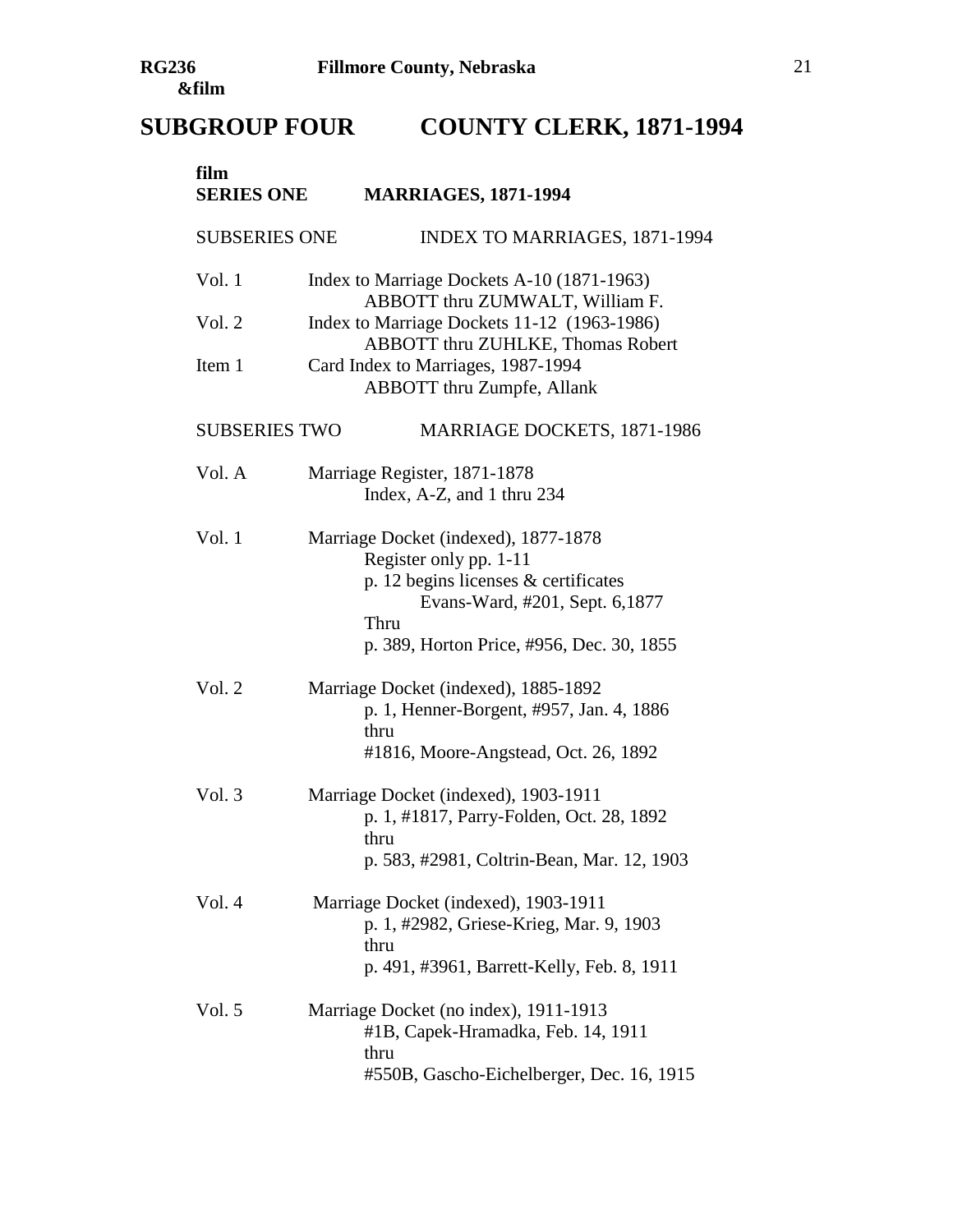# **SUBGROUP FOUR COUNTY CLERK, 1871-1994**

| film<br><b>SERIES ONE</b> | <b>MARRIAGES, 1871-1994</b>                                                                                                                                                                     |
|---------------------------|-------------------------------------------------------------------------------------------------------------------------------------------------------------------------------------------------|
| <b>SUBSERIES ONE</b>      | <b>INDEX TO MARRIAGES, 1871-1994</b>                                                                                                                                                            |
| Vol. 1                    | Index to Marriage Dockets A-10 (1871-1963)<br>ABBOTT thru ZUMWALT, William F.                                                                                                                   |
| Vol. 2                    | Index to Marriage Dockets 11-12 (1963-1986)<br>ABBOTT thru ZUHLKE, Thomas Robert                                                                                                                |
| Item 1                    | Card Index to Marriages, 1987-1994<br>ABBOTT thru Zumpfe, Allank                                                                                                                                |
| <b>SUBSERIES TWO</b>      | MARRIAGE DOCKETS, 1871-1986                                                                                                                                                                     |
| Vol. A                    | Marriage Register, 1871-1878<br>Index, A-Z, and 1 thru 234                                                                                                                                      |
| Vol. 1                    | Marriage Docket (indexed), 1877-1878<br>Register only pp. 1-11<br>p. 12 begins licenses $&$ certificates<br>Evans-Ward, #201, Sept. 6,1877<br>Thru<br>p. 389, Horton Price, #956, Dec. 30, 1855 |
| Vol. 2                    | Marriage Docket (indexed), 1885-1892<br>p. 1, Henner-Borgent, #957, Jan. 4, 1886<br>thru<br>#1816, Moore-Angstead, Oct. 26, 1892                                                                |
| Vol. 3                    | Marriage Docket (indexed), 1903-1911<br>p. 1, #1817, Parry-Folden, Oct. 28, 1892<br>thru<br>p. 583, #2981, Coltrin-Bean, Mar. 12, 1903                                                          |
| Vol.4                     | Marriage Docket (indexed), 1903-1911<br>p. 1, #2982, Griese-Krieg, Mar. 9, 1903<br>thru<br>p. 491, #3961, Barrett-Kelly, Feb. 8, 1911                                                           |
| Vol. $5$                  | Marriage Docket (no index), 1911-1913<br>#1B, Capek-Hramadka, Feb. 14, 1911<br>thru<br>#550B, Gascho-Eichelberger, Dec. 16, 1915                                                                |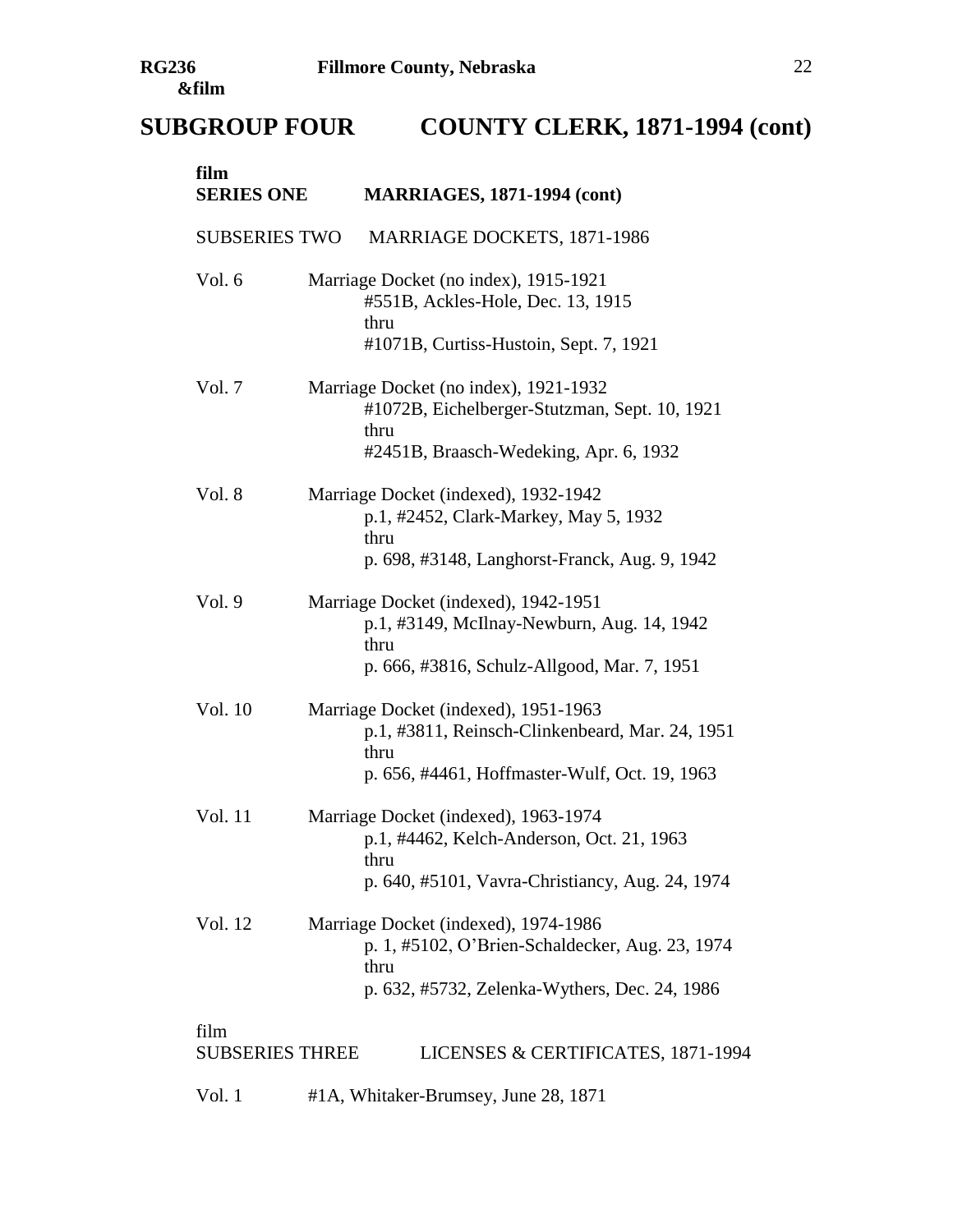# **SUBGROUP FOUR COUNTY CLERK, 1871-1994 (cont)**

| film<br><b>SERIES ONE</b>      | <b>MARRIAGES, 1871-1994 (cont)</b>                                                                                                               |
|--------------------------------|--------------------------------------------------------------------------------------------------------------------------------------------------|
| <b>SUBSERIES TWO</b>           | MARRIAGE DOCKETS, 1871-1986                                                                                                                      |
| Vol. 6                         | Marriage Docket (no index), 1915-1921<br>#551B, Ackles-Hole, Dec. 13, 1915<br>thru<br>#1071B, Curtiss-Hustoin, Sept. 7, 1921                     |
| Vol. 7                         | Marriage Docket (no index), 1921-1932<br>#1072B, Eichelberger-Stutzman, Sept. 10, 1921<br>thru<br>#2451B, Braasch-Wedeking, Apr. 6, 1932         |
| Vol. 8                         | Marriage Docket (indexed), 1932-1942<br>p.1, #2452, Clark-Markey, May 5, 1932<br>thru<br>p. 698, #3148, Langhorst-Franck, Aug. 9, 1942           |
| Vol.9                          | Marriage Docket (indexed), 1942-1951<br>p.1, #3149, McIlnay-Newburn, Aug. 14, 1942<br>thru<br>p. 666, #3816, Schulz-Allgood, Mar. 7, 1951        |
| Vol. 10                        | Marriage Docket (indexed), 1951-1963<br>p.1, #3811, Reinsch-Clinkenbeard, Mar. 24, 1951<br>thru<br>p. 656, #4461, Hoffmaster-Wulf, Oct. 19, 1963 |
| Vol. 11                        | Marriage Docket (indexed), 1963-1974<br>p.1, #4462, Kelch-Anderson, Oct. 21, 1963<br>thru<br>p. 640, #5101, Vavra-Christiancy, Aug. 24, 1974     |
| Vol. 12                        | Marriage Docket (indexed), 1974-1986<br>p. 1, #5102, O'Brien-Schaldecker, Aug. 23, 1974<br>thru<br>p. 632, #5732, Zelenka-Wythers, Dec. 24, 1986 |
| film<br><b>SUBSERIES THREE</b> | LICENSES & CERTIFICATES, 1871-1994                                                                                                               |

Vol. 1 #1A, Whitaker-Brumsey, June 28, 1871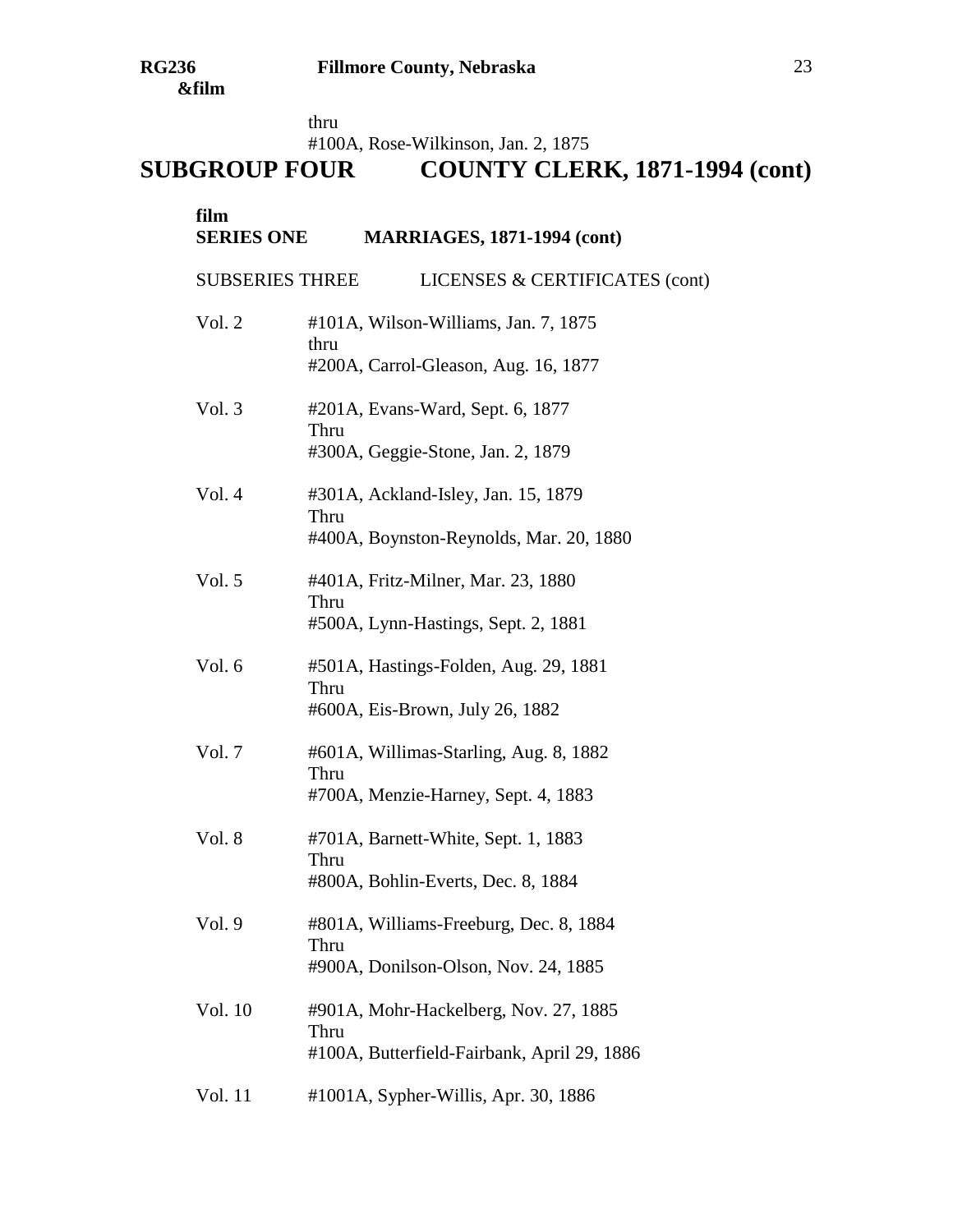thru

#100A, Rose-Wilkinson, Jan. 2, 1875

| film<br><b>SERIES ONE</b><br><b>MARRIAGES, 1871-1994 (cont)</b> |                                                                                              |  |
|-----------------------------------------------------------------|----------------------------------------------------------------------------------------------|--|
| <b>SUBSERIES THREE</b>                                          | LICENSES & CERTIFICATES (cont)                                                               |  |
| Vol. 2                                                          | #101A, Wilson-Williams, Jan. 7, 1875<br>thru<br>#200A, Carrol-Gleason, Aug. 16, 1877         |  |
| Vol. 3                                                          | #201A, Evans-Ward, Sept. 6, 1877<br>Thru<br>#300A, Geggie-Stone, Jan. 2, 1879                |  |
| Vol. 4                                                          | #301A, Ackland-Isley, Jan. 15, 1879<br>Thru<br>#400A, Boynston-Reynolds, Mar. 20, 1880       |  |
| Vol. 5                                                          | #401A, Fritz-Milner, Mar. 23, 1880<br>Thru<br>#500A, Lynn-Hastings, Sept. 2, 1881            |  |
| Vol. 6                                                          | #501A, Hastings-Folden, Aug. 29, 1881<br>Thru<br>#600A, Eis-Brown, July 26, 1882             |  |
| Vol. 7                                                          | #601A, Willimas-Starling, Aug. 8, 1882<br>Thru<br>#700A, Menzie-Harney, Sept. 4, 1883        |  |
| Vol. 8                                                          | #701A, Barnett-White, Sept. 1, 1883<br>Thru<br>#800A, Bohlin-Everts, Dec. 8, 1884            |  |
| Vol. 9                                                          | #801A, Williams-Freeburg, Dec. 8, 1884<br>Thru<br>#900A, Donilson-Olson, Nov. 24, 1885       |  |
| Vol. 10                                                         | #901A, Mohr-Hackelberg, Nov. 27, 1885<br>Thru<br>#100A, Butterfield-Fairbank, April 29, 1886 |  |
| Vol. 11                                                         | $#1001A$ , Sypher-Willis, Apr. 30, 1886                                                      |  |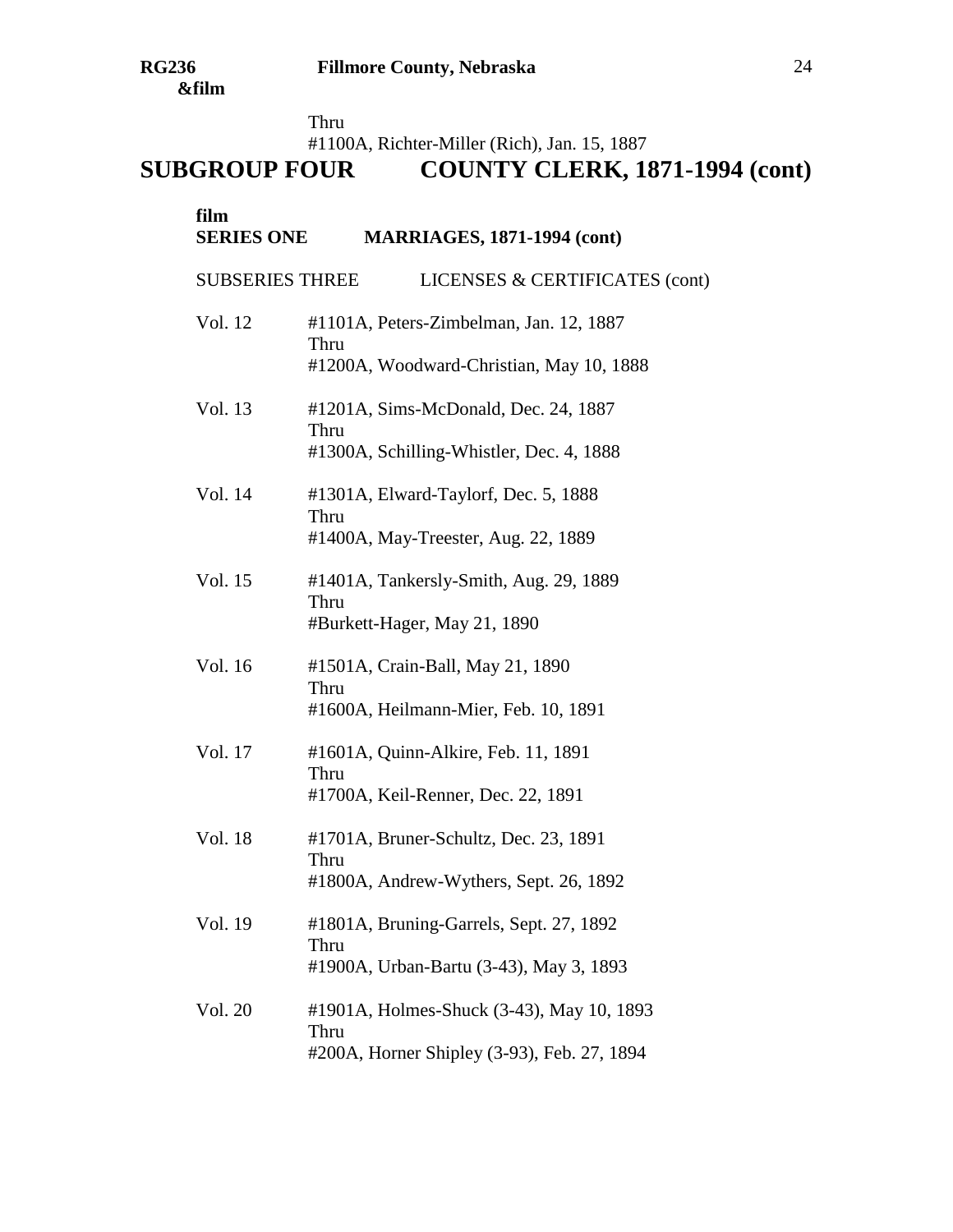Thru

#1100A, Richter-Miller (Rich), Jan. 15, 1887

| film<br><b>SERIES ONE</b> | <b>MARRIAGES, 1871-1994 (cont)</b>                                                               |
|---------------------------|--------------------------------------------------------------------------------------------------|
| <b>SUBSERIES THREE</b>    | LICENSES & CERTIFICATES (cont)                                                                   |
| Vol. 12                   | #1101A, Peters-Zimbelman, Jan. 12, 1887<br>Thru<br>#1200A, Woodward-Christian, May 10, 1888      |
| Vol. 13                   | #1201A, Sims-McDonald, Dec. 24, 1887<br>Thru<br>#1300A, Schilling-Whistler, Dec. 4, 1888         |
| Vol. 14                   | #1301A, Elward-Taylorf, Dec. 5, 1888<br>Thru<br>#1400A, May-Treester, Aug. 22, 1889              |
| Vol. 15                   | #1401A, Tankersly-Smith, Aug. 29, 1889<br>Thru<br>#Burkett-Hager, May 21, 1890                   |
| Vol. 16                   | #1501A, Crain-Ball, May 21, 1890<br>Thru<br>#1600A, Heilmann-Mier, Feb. 10, 1891                 |
| Vol. 17                   | #1601A, Quinn-Alkire, Feb. 11, 1891<br>Thru<br>#1700A, Keil-Renner, Dec. 22, 1891                |
| Vol. 18                   | #1701A, Bruner-Schultz, Dec. 23, 1891<br>Thru<br>#1800A, Andrew-Wythers, Sept. 26, 1892          |
| Vol. 19                   | #1801A, Bruning-Garrels, Sept. 27, 1892<br>Thru<br>#1900A, Urban-Bartu (3-43), May 3, 1893       |
| Vol. 20                   | #1901A, Holmes-Shuck (3-43), May 10, 1893<br>Thru<br>#200A, Horner Shipley (3-93), Feb. 27, 1894 |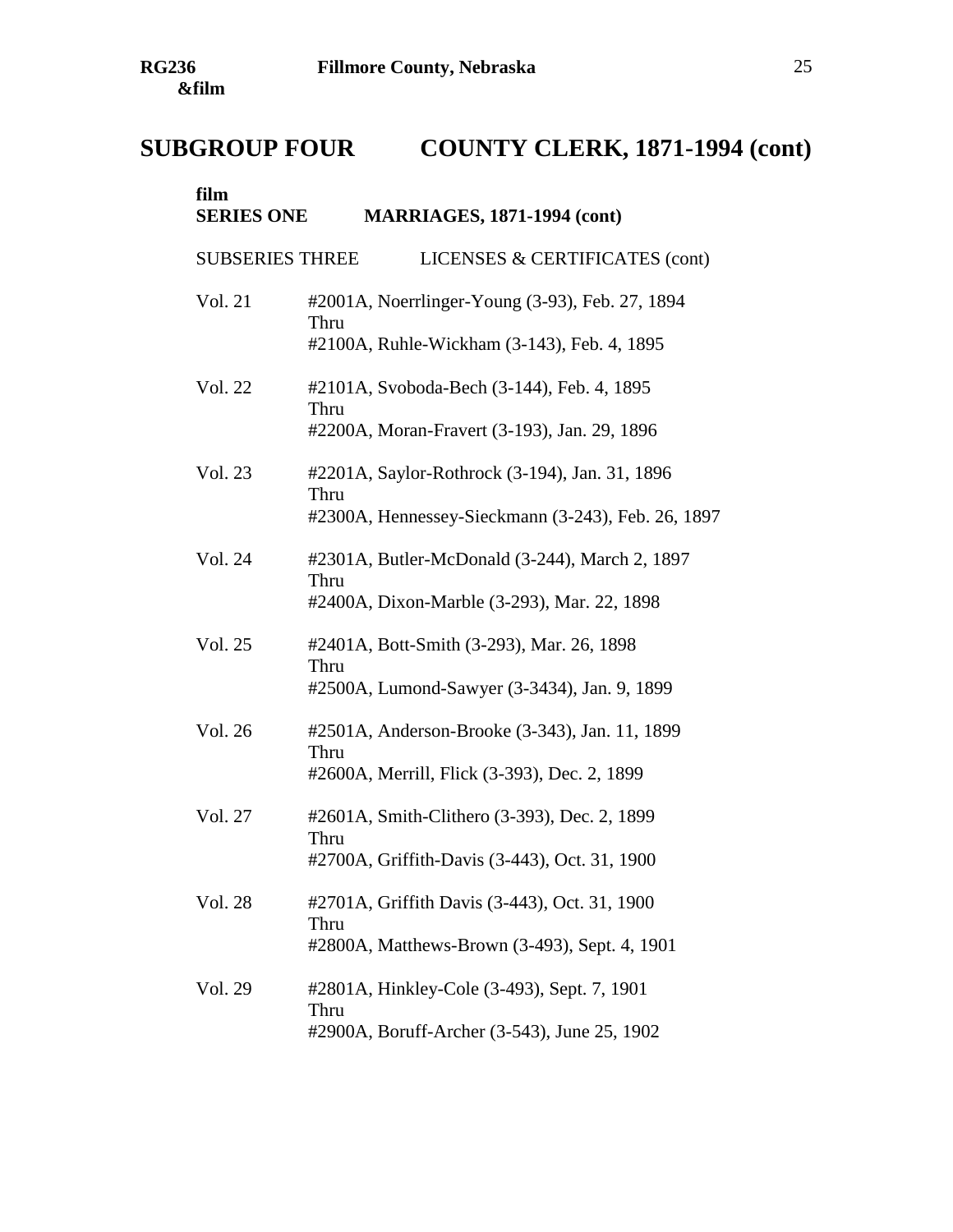| film<br><b>SERIES ONE</b> | <b>MARRIAGES, 1871-1994 (cont)</b>                                                                           |
|---------------------------|--------------------------------------------------------------------------------------------------------------|
| <b>SUBSERIES THREE</b>    | LICENSES & CERTIFICATES (cont)                                                                               |
| Vol. 21                   | #2001A, Noerrlinger-Young (3-93), Feb. 27, 1894<br>Thru<br>#2100A, Ruhle-Wickham (3-143), Feb. 4, 1895       |
| Vol. 22                   | #2101A, Svoboda-Bech (3-144), Feb. 4, 1895<br>Thru<br>#2200A, Moran-Fravert (3-193), Jan. 29, 1896           |
| Vol. 23                   | #2201A, Saylor-Rothrock (3-194), Jan. 31, 1896<br>Thru<br>#2300A, Hennessey-Sieckmann (3-243), Feb. 26, 1897 |
| Vol. 24                   | #2301A, Butler-McDonald (3-244), March 2, 1897<br>Thru<br>#2400A, Dixon-Marble (3-293), Mar. 22, 1898        |
| Vol. 25                   | #2401A, Bott-Smith (3-293), Mar. 26, 1898<br>Thru<br>#2500A, Lumond-Sawyer (3-3434), Jan. 9, 1899            |
| Vol. 26                   | #2501A, Anderson-Brooke (3-343), Jan. 11, 1899<br>Thru<br>#2600A, Merrill, Flick (3-393), Dec. 2, 1899       |
| Vol. 27                   | #2601A, Smith-Clithero (3-393), Dec. 2, 1899<br>Thru<br>#2700A, Griffith-Davis (3-443), Oct. 31, 1900        |
| Vol. 28                   | #2701A, Griffith Davis (3-443), Oct. 31, 1900<br>Thru<br>#2800A, Matthews-Brown (3-493), Sept. 4, 1901       |
| Vol. 29                   | #2801A, Hinkley-Cole (3-493), Sept. 7, 1901<br>Thru<br>#2900A, Boruff-Archer (3-543), June 25, 1902          |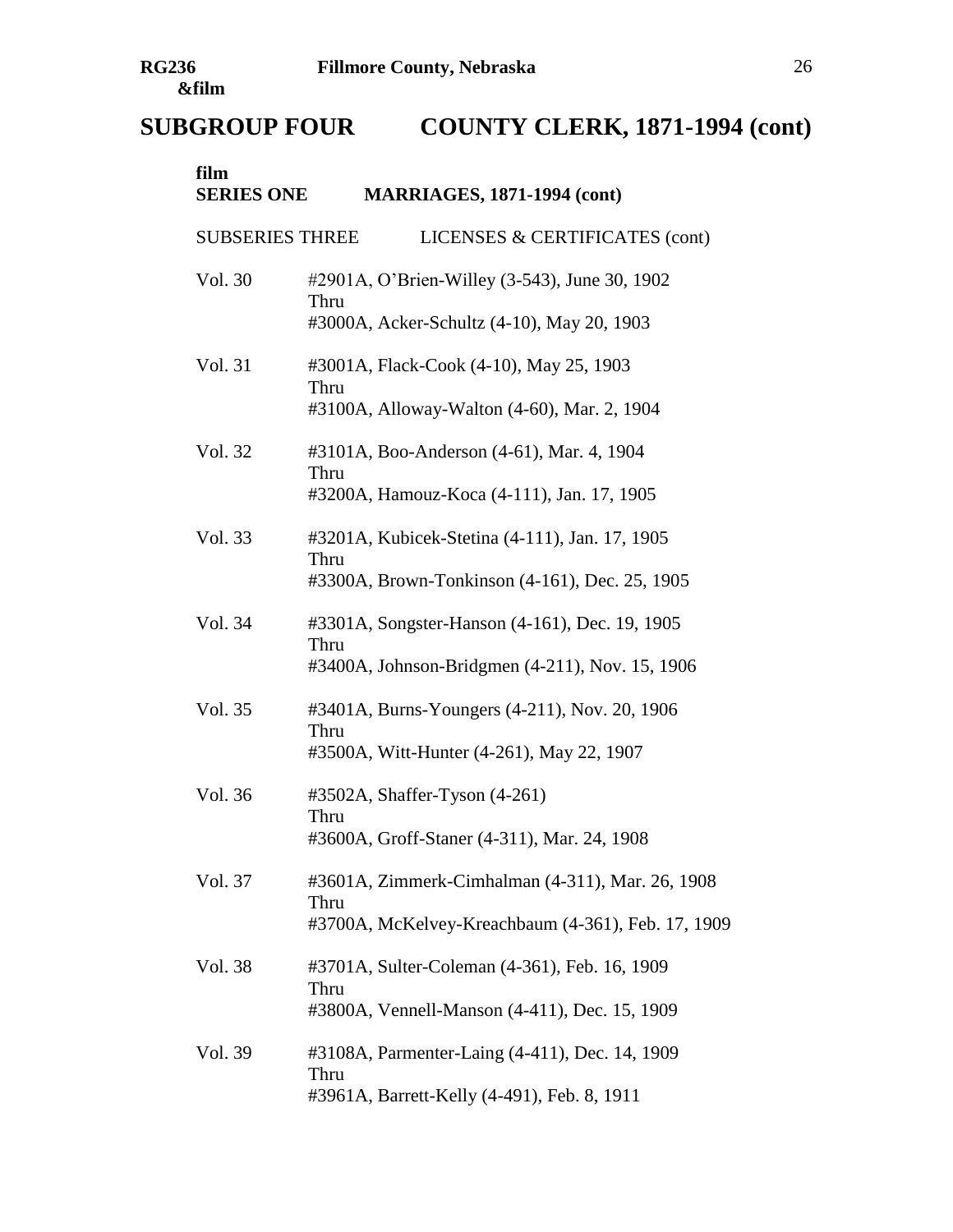| film<br><b>SERIES ONE</b> | <b>MARRIAGES, 1871-1994 (cont)</b>                                                                             |
|---------------------------|----------------------------------------------------------------------------------------------------------------|
| <b>SUBSERIES THREE</b>    | LICENSES & CERTIFICATES (cont)                                                                                 |
| Vol. 30                   | #2901A, O'Brien-Willey (3-543), June 30, 1902<br>Thru<br>#3000A, Acker-Schultz (4-10), May 20, 1903            |
| Vol. 31                   | #3001A, Flack-Cook (4-10), May 25, 1903<br>Thru<br>#3100A, Alloway-Walton (4-60), Mar. 2, 1904                 |
| Vol. 32                   | #3101A, Boo-Anderson (4-61), Mar. 4, 1904<br>Thru<br>#3200A, Hamouz-Koca (4-111), Jan. 17, 1905                |
| Vol. 33                   | #3201A, Kubicek-Stetina (4-111), Jan. 17, 1905<br>Thru<br>#3300A, Brown-Tonkinson (4-161), Dec. 25, 1905       |
| Vol. 34                   | #3301A, Songster-Hanson (4-161), Dec. 19, 1905<br>Thru<br>#3400A, Johnson-Bridgmen (4-211), Nov. 15, 1906      |
| Vol. 35                   | #3401A, Burns-Youngers (4-211), Nov. 20, 1906<br>Thru<br>#3500A, Witt-Hunter (4-261), May 22, 1907             |
| Vol. 36                   | #3502A, Shaffer-Tyson (4-261)<br>Thru<br>#3600A, Groff-Staner (4-311), Mar. 24, 1908                           |
| Vol. 37                   | #3601A, Zimmerk-Cimhalman (4-311), Mar. 26, 1908<br>Thru<br>#3700A, McKelvey-Kreachbaum (4-361), Feb. 17, 1909 |
| Vol. 38                   | #3701A, Sulter-Coleman (4-361), Feb. 16, 1909<br>Thru<br>#3800A, Vennell-Manson (4-411), Dec. 15, 1909         |
| Vol. 39                   | #3108A, Parmenter-Laing (4-411), Dec. 14, 1909<br>Thru<br>#3961A, Barrett-Kelly (4-491), Feb. 8, 1911          |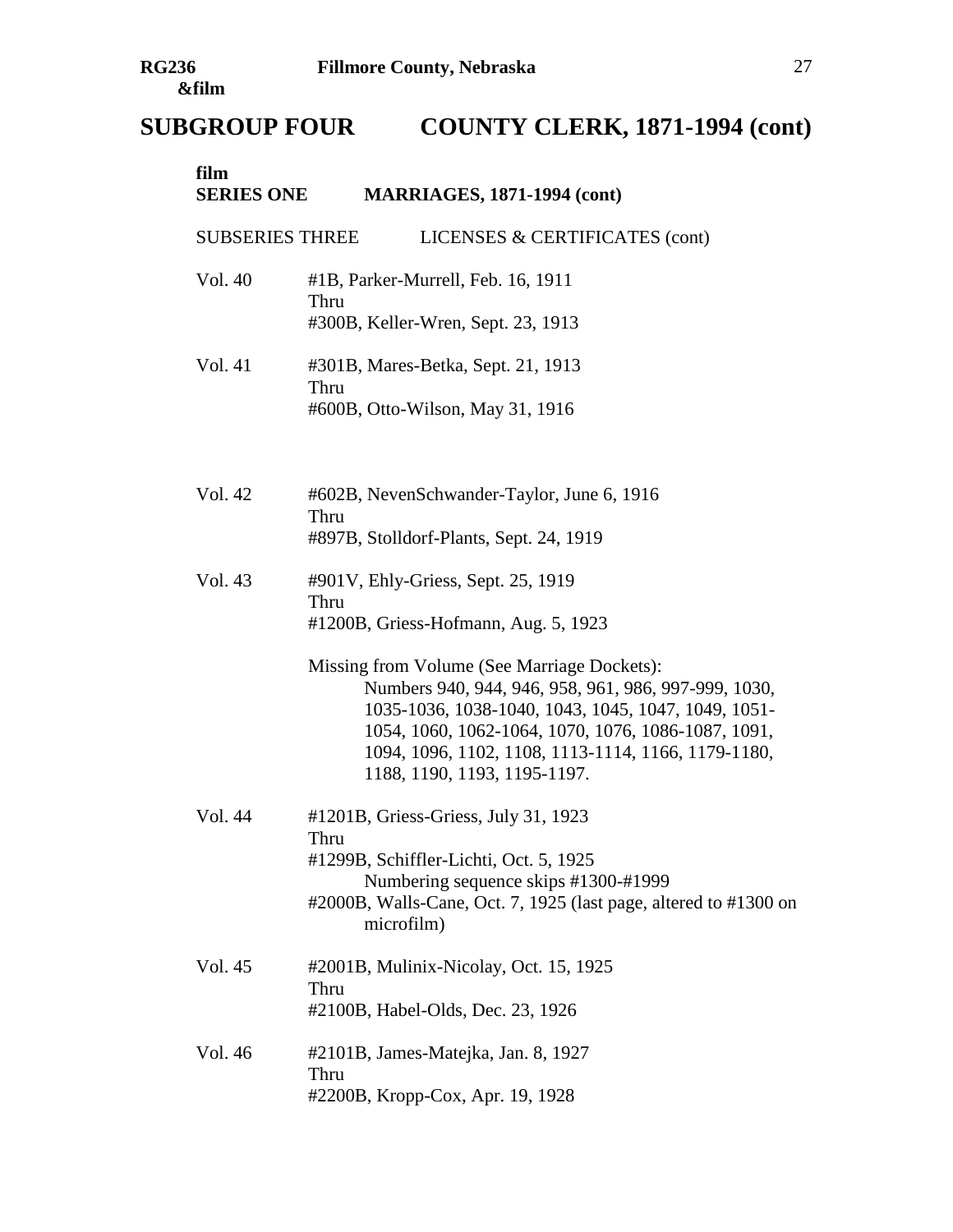| film<br><b>SERIES ONE</b> | <b>MARRIAGES, 1871-1994 (cont)</b>                                                                                                                                                                                                                                                                                                                                                             |
|---------------------------|------------------------------------------------------------------------------------------------------------------------------------------------------------------------------------------------------------------------------------------------------------------------------------------------------------------------------------------------------------------------------------------------|
| <b>SUBSERIES THREE</b>    | LICENSES & CERTIFICATES (cont)                                                                                                                                                                                                                                                                                                                                                                 |
| Vol. 40                   | #1B, Parker-Murrell, Feb. 16, 1911<br>Thru<br>#300B, Keller-Wren, Sept. 23, 1913                                                                                                                                                                                                                                                                                                               |
| Vol. 41                   | #301B, Mares-Betka, Sept. 21, 1913<br>Thru<br>#600B, Otto-Wilson, May 31, 1916                                                                                                                                                                                                                                                                                                                 |
| Vol. 42                   | #602B, NevenSchwander-Taylor, June 6, 1916<br>Thru<br>#897B, Stolldorf-Plants, Sept. 24, 1919                                                                                                                                                                                                                                                                                                  |
| Vol. 43                   | #901V, Ehly-Griess, Sept. 25, 1919<br>Thru<br>#1200B, Griess-Hofmann, Aug. 5, 1923<br>Missing from Volume (See Marriage Dockets):<br>Numbers 940, 944, 946, 958, 961, 986, 997-999, 1030,<br>1035-1036, 1038-1040, 1043, 1045, 1047, 1049, 1051-<br>1054, 1060, 1062-1064, 1070, 1076, 1086-1087, 1091,<br>1094, 1096, 1102, 1108, 1113-1114, 1166, 1179-1180,<br>1188, 1190, 1193, 1195-1197. |
| Vol. 44                   | #1201B, Griess-Griess, July 31, 1923<br>Thru<br>#1299B, Schiffler-Lichti, Oct. 5, 1925<br>Numbering sequence skips #1300-#1999<br>#2000B, Walls-Cane, Oct. 7, 1925 (last page, altered to #1300 on<br>microfilm)                                                                                                                                                                               |
| Vol. 45                   | #2001B, Mulinix-Nicolay, Oct. 15, 1925<br>Thru<br>#2100B, Habel-Olds, Dec. 23, 1926                                                                                                                                                                                                                                                                                                            |
| Vol. 46                   | #2101B, James-Matejka, Jan. 8, 1927<br>Thru<br>#2200B, Kropp-Cox, Apr. 19, 1928                                                                                                                                                                                                                                                                                                                |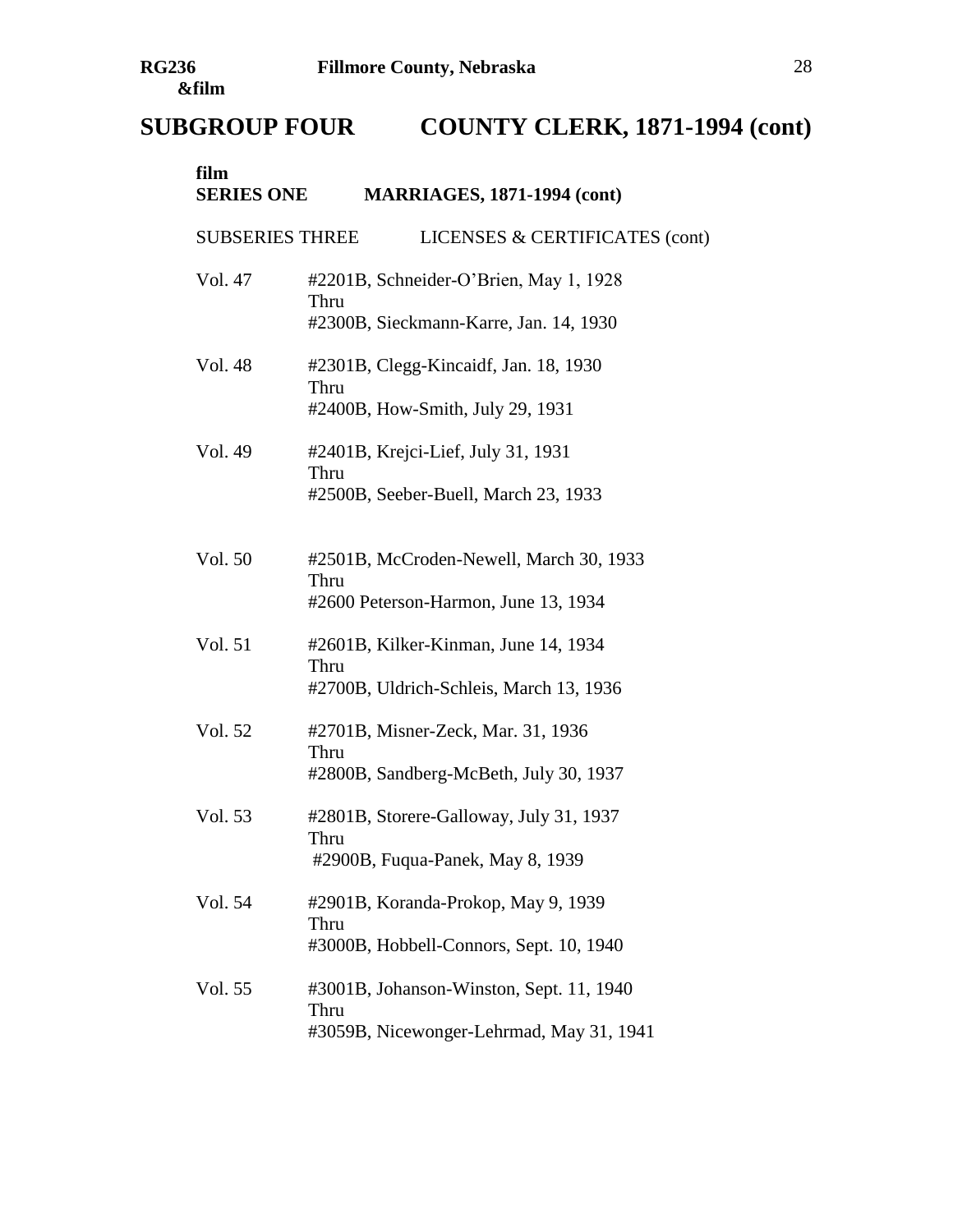| film<br><b>SERIES ONE</b> | <b>MARRIAGES, 1871-1994 (cont)</b>                                                           |
|---------------------------|----------------------------------------------------------------------------------------------|
| <b>SUBSERIES THREE</b>    | LICENSES & CERTIFICATES (cont)                                                               |
| Vol. 47                   | #2201B, Schneider-O'Brien, May 1, 1928<br>Thru<br>#2300B, Sieckmann-Karre, Jan. 14, 1930     |
| Vol. 48                   | #2301B, Clegg-Kincaidf, Jan. 18, 1930<br>Thru<br>#2400B, How-Smith, July 29, 1931            |
| Vol. 49                   | #2401B, Krejci-Lief, July 31, 1931<br>Thru<br>#2500B, Seeber-Buell, March 23, 1933           |
| Vol. 50                   | #2501B, McCroden-Newell, March 30, 1933<br>Thru<br>#2600 Peterson-Harmon, June 13, 1934      |
| Vol. 51                   | #2601B, Kilker-Kinman, June 14, 1934<br>Thru<br>#2700B, Uldrich-Schleis, March 13, 1936      |
| Vol. 52                   | #2701B, Misner-Zeck, Mar. 31, 1936<br>Thru<br>#2800B, Sandberg-McBeth, July 30, 1937         |
| Vol. 53                   | #2801B, Storere-Galloway, July 31, 1937<br>Thru<br>#2900B, Fuqua-Panek, May 8, 1939          |
| Vol. 54                   | #2901B, Koranda-Prokop, May 9, 1939<br>Thru<br>#3000B, Hobbell-Connors, Sept. 10, 1940       |
| Vol. 55                   | #3001B, Johanson-Winston, Sept. 11, 1940<br>Thru<br>#3059B, Nicewonger-Lehrmad, May 31, 1941 |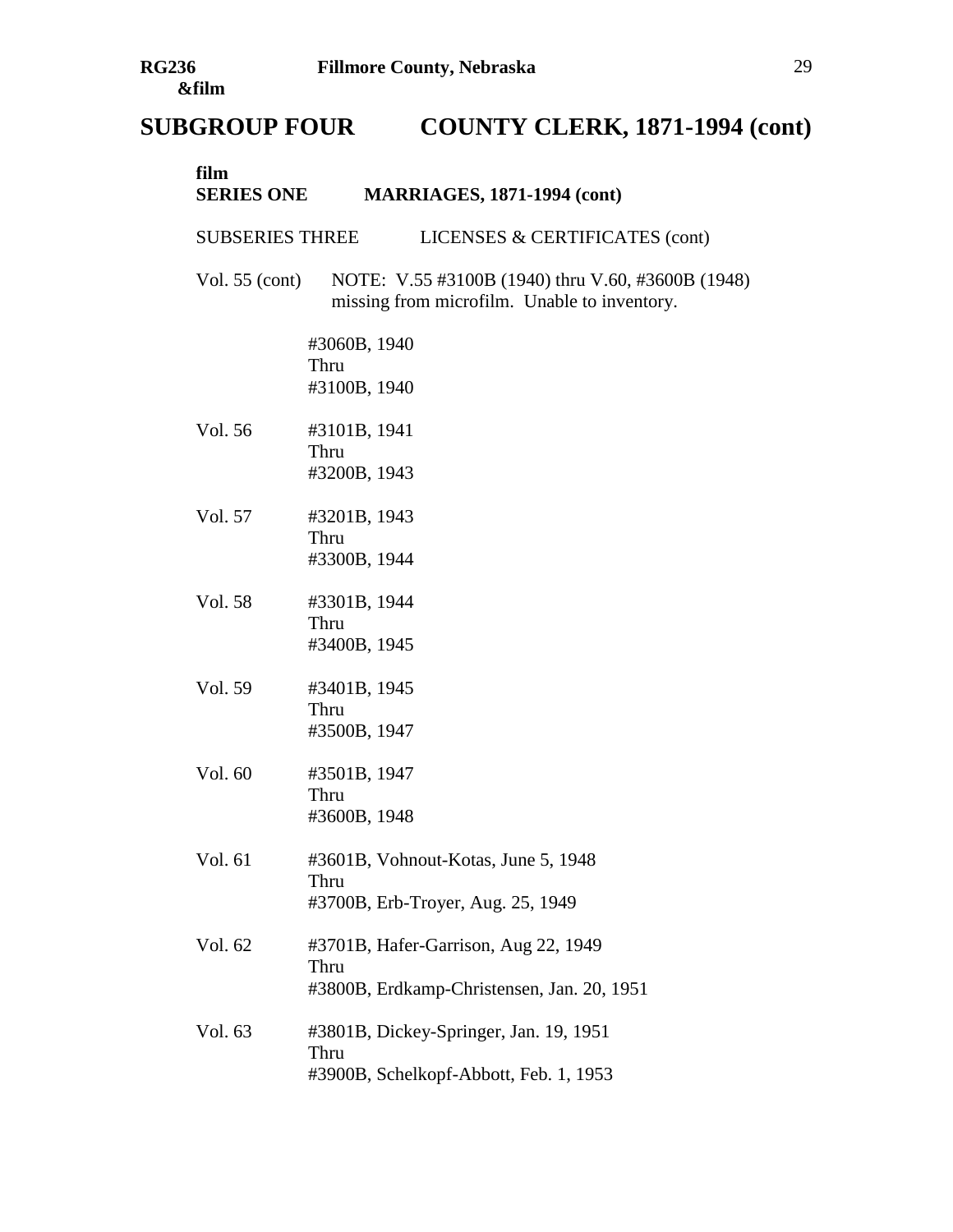| film<br><b>SERIES ONE</b> | <b>MARRIAGES, 1871-1994 (cont)</b>                                                                |
|---------------------------|---------------------------------------------------------------------------------------------------|
| <b>SUBSERIES THREE</b>    | LICENSES & CERTIFICATES (cont)                                                                    |
| Vol. $55$ (cont)          | NOTE: V.55 #3100B (1940) thru V.60, #3600B (1948)<br>missing from microfilm. Unable to inventory. |
|                           | #3060B, 1940<br>Thru<br>#3100B, 1940                                                              |
| Vol. 56                   | #3101B, 1941<br>Thru<br>#3200B, 1943                                                              |
| Vol. 57                   | #3201B, 1943<br>Thru<br>#3300B, 1944                                                              |
| Vol. 58                   | #3301B, 1944<br>Thru<br>#3400B, 1945                                                              |
| Vol. 59                   | #3401B, 1945<br>Thru<br>#3500B, 1947                                                              |
| Vol. 60                   | #3501B, 1947<br>Thru<br>#3600B, 1948                                                              |
| Vol. 61                   | #3601B, Vohnout-Kotas, June 5, 1948<br>Thru<br>#3700B, Erb-Troyer, Aug. 25, 1949                  |
| Vol. 62                   | #3701B, Hafer-Garrison, Aug 22, 1949<br>Thru<br>#3800B, Erdkamp-Christensen, Jan. 20, 1951        |
| Vol. 63                   | #3801B, Dickey-Springer, Jan. 19, 1951<br>Thru<br>#3900B, Schelkopf-Abbott, Feb. 1, 1953          |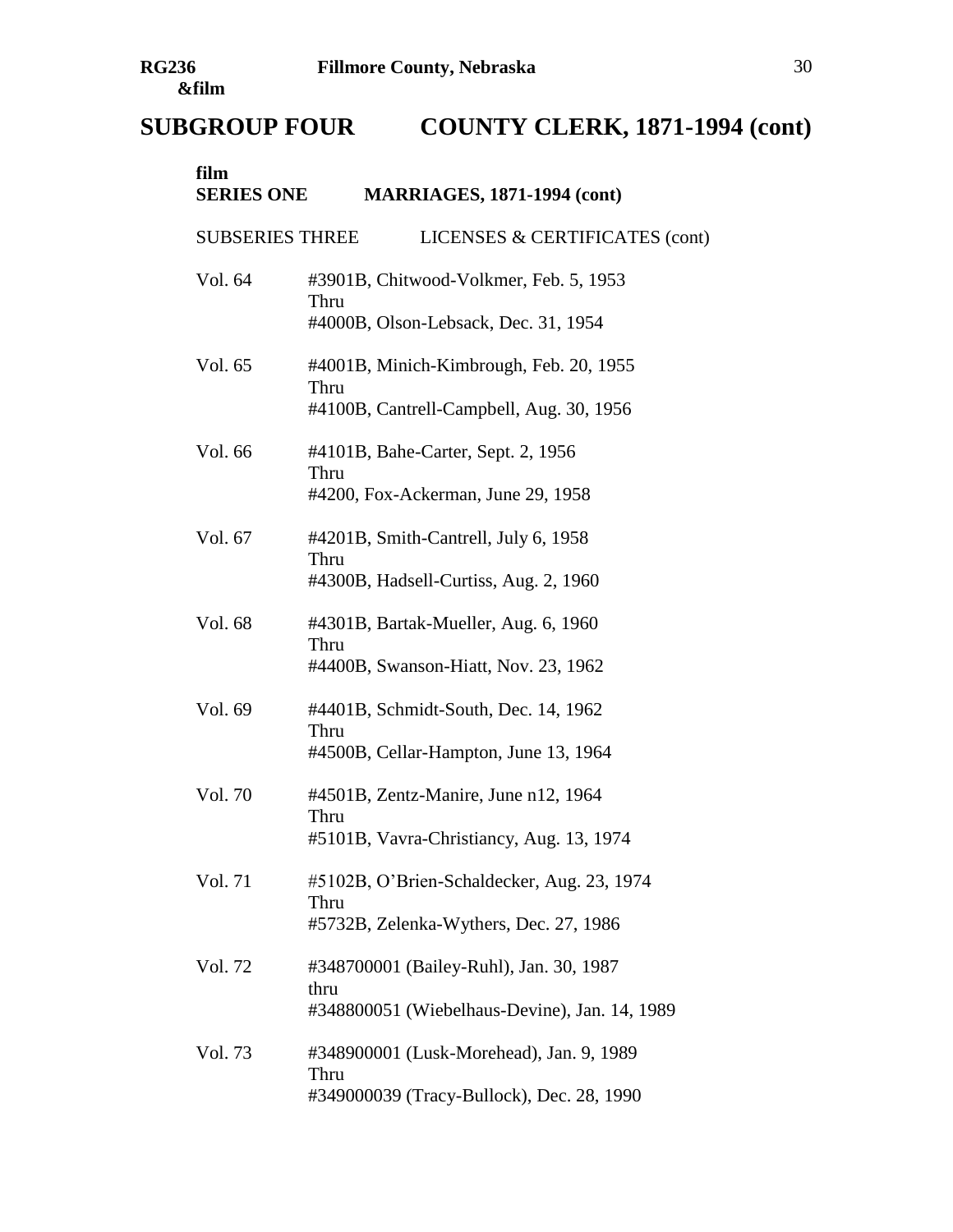| film<br><b>SERIES ONE</b> | <b>MARRIAGES, 1871-1994 (cont)</b>                                                               |
|---------------------------|--------------------------------------------------------------------------------------------------|
| <b>SUBSERIES THREE</b>    | LICENSES & CERTIFICATES (cont)                                                                   |
| Vol. 64                   | #3901B, Chitwood-Volkmer, Feb. 5, 1953<br>Thru<br>#4000B, Olson-Lebsack, Dec. 31, 1954           |
| Vol. 65                   | #4001B, Minich-Kimbrough, Feb. 20, 1955<br>Thru<br>#4100B, Cantrell-Campbell, Aug. 30, 1956      |
| Vol. 66                   | #4101B, Bahe-Carter, Sept. 2, 1956<br>Thru<br>#4200, Fox-Ackerman, June 29, 1958                 |
| Vol. 67                   | #4201B, Smith-Cantrell, July 6, 1958<br>Thru<br>#4300B, Hadsell-Curtiss, Aug. 2, 1960            |
| Vol. 68                   | #4301B, Bartak-Mueller, Aug. 6, 1960<br>Thru<br>#4400B, Swanson-Hiatt, Nov. 23, 1962             |
| Vol. 69                   | #4401B, Schmidt-South, Dec. 14, 1962<br>Thru<br>#4500B, Cellar-Hampton, June 13, 1964            |
| Vol. 70                   | #4501B, Zentz-Manire, June n12, 1964<br>Thru<br>#5101B, Vavra-Christiancy, Aug. 13, 1974         |
| Vol. 71                   | #5102B, O'Brien-Schaldecker, Aug. 23, 1974<br>Thru<br>#5732B, Zelenka-Wythers, Dec. 27, 1986     |
| Vol. 72                   | #348700001 (Bailey-Ruhl), Jan. 30, 1987<br>thru<br>#348800051 (Wiebelhaus-Devine), Jan. 14, 1989 |
| Vol. 73                   | #348900001 (Lusk-Morehead), Jan. 9, 1989<br>Thru<br>#349000039 (Tracy-Bullock), Dec. 28, 1990    |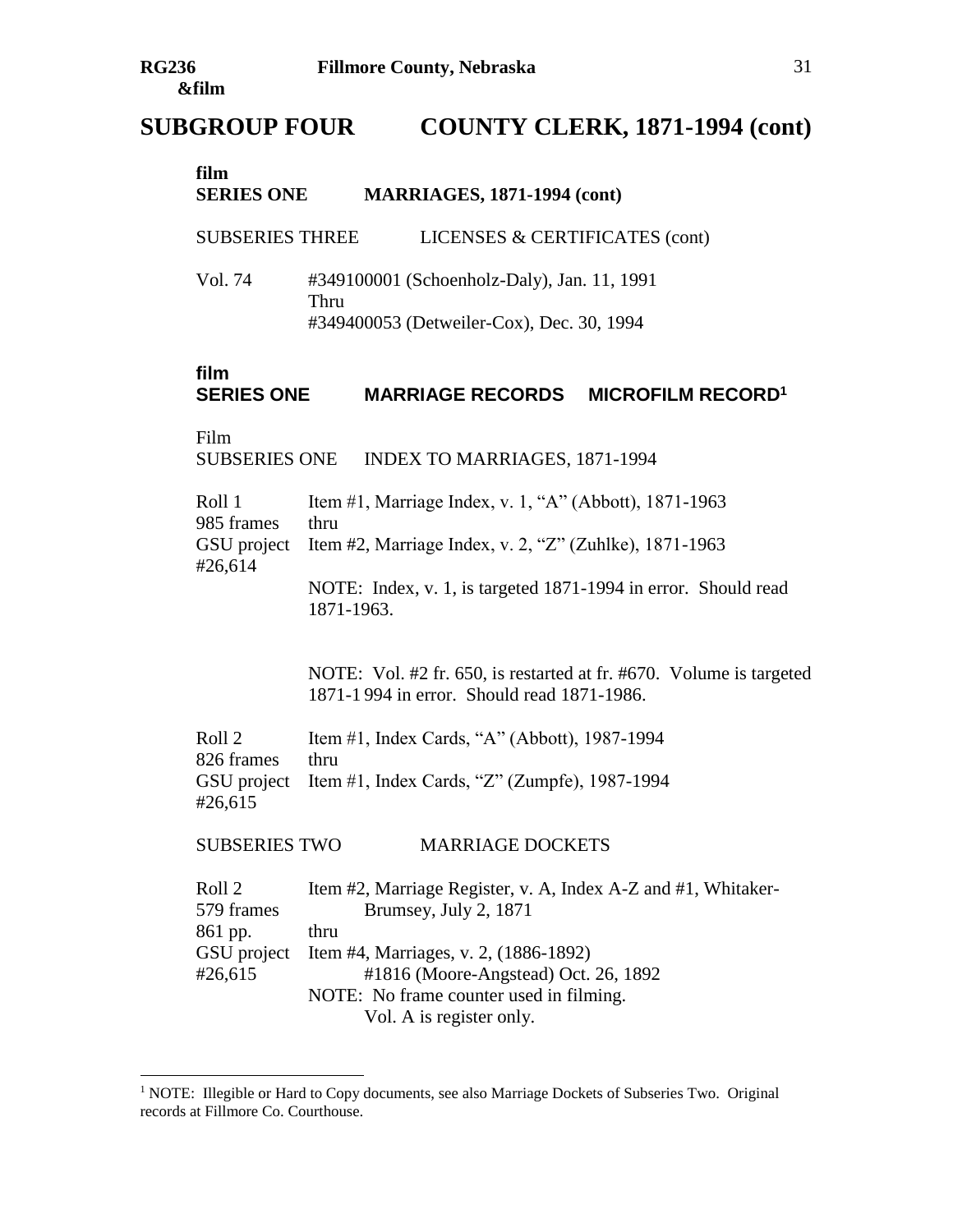#### **film SERIES ONE MARRIAGES, 1871-1994 (cont)**

SUBSERIES THREE LICENSES & CERTIFICATES (cont)

Vol. 74 #349100001 (Schoenholz-Daly), Jan. 11, 1991 Thru #349400053 (Detweiler-Cox), Dec. 30, 1994

#### **film**

# **SERIES ONE MARRIAGE RECORDS MICROFILM RECORD<sup>1</sup>**

Film

 $\overline{a}$ 

SUBSERIES ONE INDEX TO MARRIAGES, 1871-1994

| Roll 1     | Item #1, Marriage Index, v. 1, "A" (Abbott), 1871-1963             |
|------------|--------------------------------------------------------------------|
| 985 frames | thru                                                               |
|            | GSU project Item #2, Marriage Index, v. 2, "Z" (Zuhlke), 1871-1963 |
| #26,614    |                                                                    |
|            | NOTE: Index, v. 1, is targeted 1871-1994 in error. Should read     |
|            | 1871-1963.                                                         |

NOTE: Vol. #2 fr. 650, is restarted at fr. #670. Volume is targeted 1871-1 994 in error. Should read 1871-1986.

Roll 2 Item #1, Index Cards, "A" (Abbott), 1987-1994 826 frames thru GSU project Item #1, Index Cards, "Z" (Zumpfe), 1987-1994 #26,615

SUBSERIES TWO MARRIAGE DOCKETS

| Roll 2     | Item #2, Marriage Register, v. A, Index A-Z and #1, Whitaker- |
|------------|---------------------------------------------------------------|
| 579 frames | Brumsey, July 2, 1871                                         |
| 861 pp.    | thru                                                          |
|            | GSU project Item #4, Marriages, v. 2, (1886-1892)             |
| #26,615    | #1816 (Moore-Angstead) Oct. 26, 1892                          |
|            | NOTE: No frame counter used in filming.                       |
|            | Vol. A is register only.                                      |

<sup>&</sup>lt;sup>1</sup> NOTE: Illegible or Hard to Copy documents, see also Marriage Dockets of Subseries Two. Original records at Fillmore Co. Courthouse.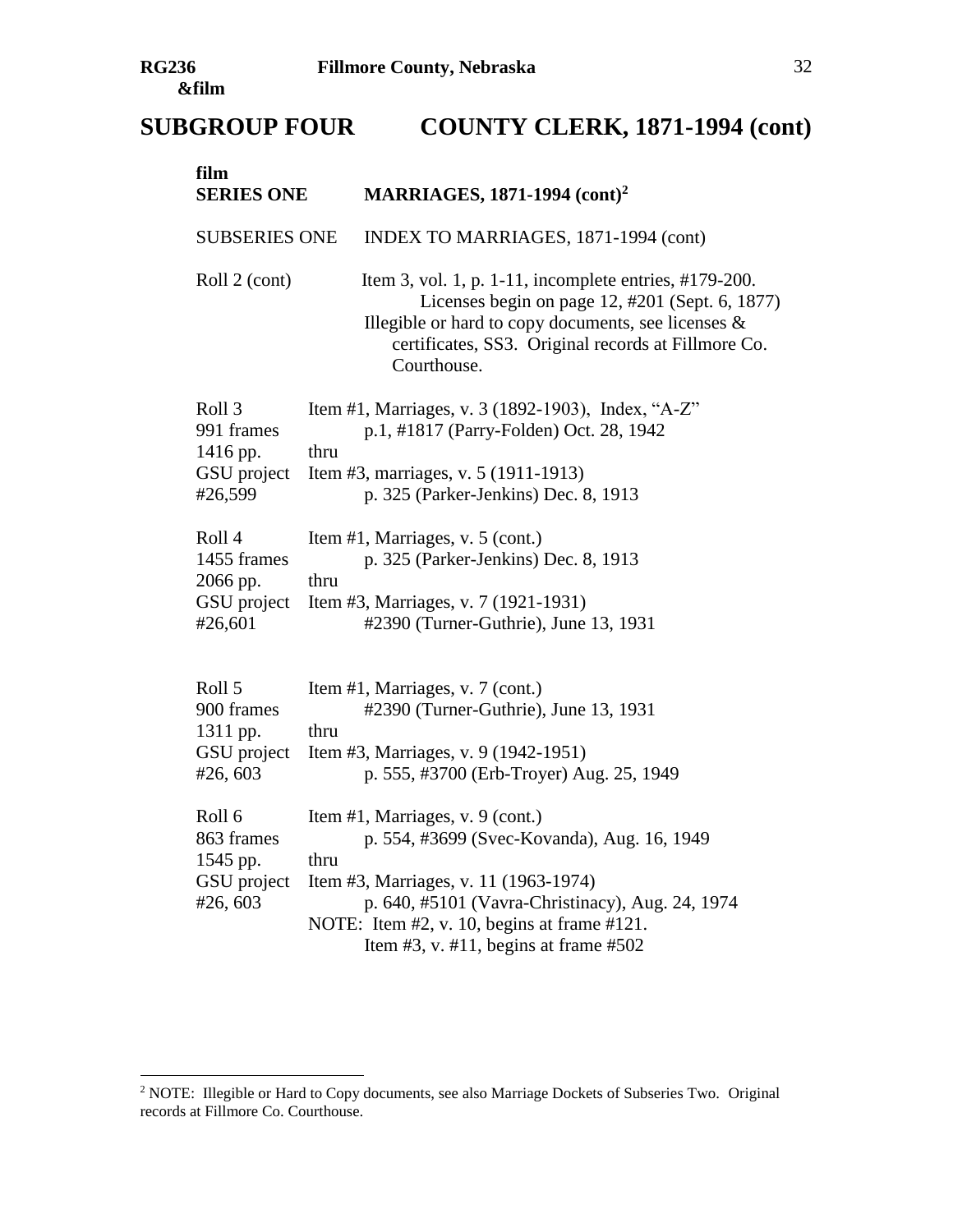| film<br><b>SERIES ONE</b>                                             | <b>MARRIAGES, 1871-1994 (cont)<sup>2</sup></b>                                                                                                                                                                                                                                       |
|-----------------------------------------------------------------------|--------------------------------------------------------------------------------------------------------------------------------------------------------------------------------------------------------------------------------------------------------------------------------------|
| <b>SUBSERIES ONE</b>                                                  | INDEX TO MARRIAGES, 1871-1994 (cont)                                                                                                                                                                                                                                                 |
| Roll 2 (cont)                                                         | Item 3, vol. 1, p. 1-11, incomplete entries, #179-200.<br>Licenses begin on page 12, #201 (Sept. 6, 1877)<br>Illegible or hard to copy documents, see licenses $\&$<br>certificates, SS3. Original records at Fillmore Co.<br>Courthouse.                                            |
| Roll <sub>3</sub><br>991 frames<br>1416 pp.<br>GSU project<br>#26,599 | Item #1, Marriages, v. 3 (1892-1903), Index, "A-Z"<br>p.1, #1817 (Parry-Folden) Oct. 28, 1942<br>thru<br>Item #3, marriages, v. 5 (1911-1913)<br>p. 325 (Parker-Jenkins) Dec. 8, 1913                                                                                                |
| Roll 4<br>1455 frames<br>2066 pp.<br>GSU project<br>#26,601           | Item #1, Marriages, v. 5 (cont.)<br>p. 325 (Parker-Jenkins) Dec. 8, 1913<br>thru<br>Item #3, Marriages, v. 7 (1921-1931)<br>#2390 (Turner-Guthrie), June 13, 1931                                                                                                                    |
| Roll 5<br>900 frames<br>1311 pp.<br>GSU project<br>#26,603            | Item #1, Marriages, v. 7 (cont.)<br>#2390 (Turner-Guthrie), June 13, 1931<br>thru<br>Item #3, Marriages, v. 9 (1942-1951)<br>p. 555, #3700 (Erb-Troyer) Aug. 25, 1949                                                                                                                |
| Roll 6<br>863 frames<br>1545 pp.<br>GSU project<br>#26,603            | Item #1, Marriages, v. 9 (cont.)<br>p. 554, #3699 (Svec-Kovanda), Aug. 16, 1949<br>thru<br>Item #3, Marriages, v. 11 (1963-1974)<br>p. 640, #5101 (Vavra-Christinacy), Aug. 24, 1974<br>NOTE: Item #2, v. 10, begins at frame #121.<br>Item $#3$ , v. $#11$ , begins at frame $#502$ |

<sup>&</sup>lt;sup>2</sup> NOTE: Illegible or Hard to Copy documents, see also Marriage Dockets of Subseries Two. Original records at Fillmore Co. Courthouse.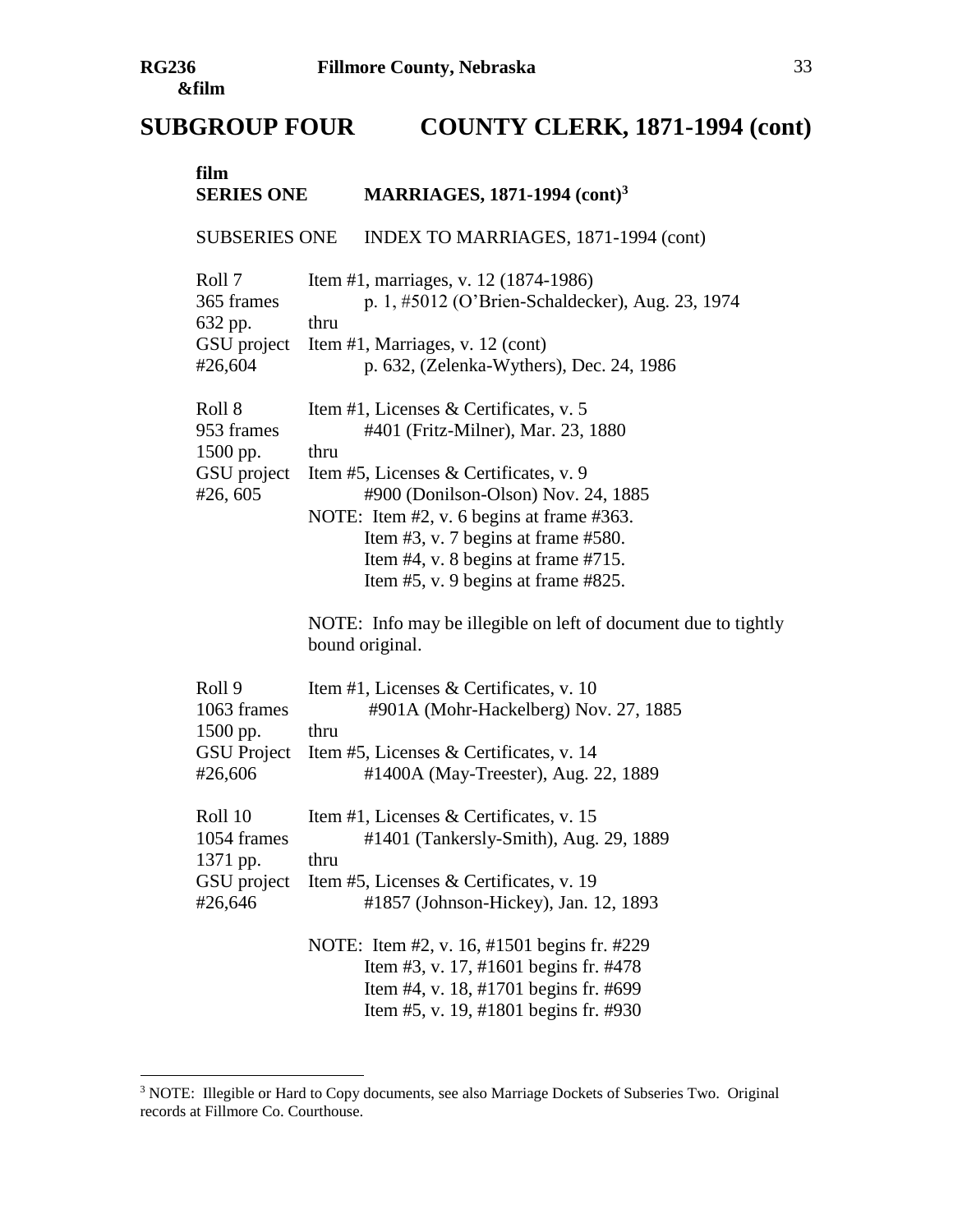| film<br><b>SERIES ONE</b>                                          |      | <b>MARRIAGES, 1871-1994 (cont)<sup>3</sup></b>                                                                                                                                                                                                                                                                                        |  |  |
|--------------------------------------------------------------------|------|---------------------------------------------------------------------------------------------------------------------------------------------------------------------------------------------------------------------------------------------------------------------------------------------------------------------------------------|--|--|
| <b>SUBSERIES ONE</b>                                               |      | INDEX TO MARRIAGES, 1871-1994 (cont)                                                                                                                                                                                                                                                                                                  |  |  |
| Roll 7<br>365 frames<br>632 pp.<br>GSU project<br>#26,604          | thru | Item #1, marriages, v. 12 (1874-1986)<br>p. 1, #5012 (O'Brien-Schaldecker), Aug. 23, 1974<br>Item #1, Marriages, v. 12 (cont)<br>p. 632, (Zelenka-Wythers), Dec. 24, 1986                                                                                                                                                             |  |  |
| Roll 8<br>953 frames<br>1500 pp.<br>GSU project<br>#26,605         | thru | Item #1, Licenses & Certificates, v. 5<br>#401 (Fritz-Milner), Mar. 23, 1880<br>Item #5, Licenses & Certificates, v. 9<br>#900 (Donilson-Olson) Nov. 24, 1885<br>NOTE: Item #2, v. 6 begins at frame #363.<br>Item $#3$ , v. 7 begins at frame $#580$ .<br>Item #4, v. 8 begins at frame #715.<br>Item #5, v. 9 begins at frame #825. |  |  |
|                                                                    |      | NOTE: Info may be illegible on left of document due to tightly<br>bound original.                                                                                                                                                                                                                                                     |  |  |
| Roll 9<br>1063 frames<br>1500 pp.<br><b>GSU</b> Project<br>#26,606 | thru | Item #1, Licenses & Certificates, v. 10<br>#901A (Mohr-Hackelberg) Nov. 27, 1885<br>Item #5, Licenses & Certificates, v. 14<br>#1400A (May-Treester), Aug. 22, 1889                                                                                                                                                                   |  |  |
| Roll 10<br>1054 frames<br>1371 pp.<br>GSU project<br>#26,646       | thru | Item #1, Licenses & Certificates, v. 15<br>#1401 (Tankersly-Smith), Aug. 29, 1889<br>Item #5, Licenses & Certificates, v. 19<br>#1857 (Johnson-Hickey), Jan. 12, 1893<br>NOTE: Item #2, v. 16, #1501 begins fr. #229<br>Item #3, v. 17, #1601 begins fr. #478<br>Item #4, v. 18, #1701 begins fr. #699                                |  |  |
|                                                                    |      | Item #5, v. 19, #1801 begins fr. #930                                                                                                                                                                                                                                                                                                 |  |  |

<sup>&</sup>lt;sup>3</sup> NOTE: Illegible or Hard to Copy documents, see also Marriage Dockets of Subseries Two. Original records at Fillmore Co. Courthouse.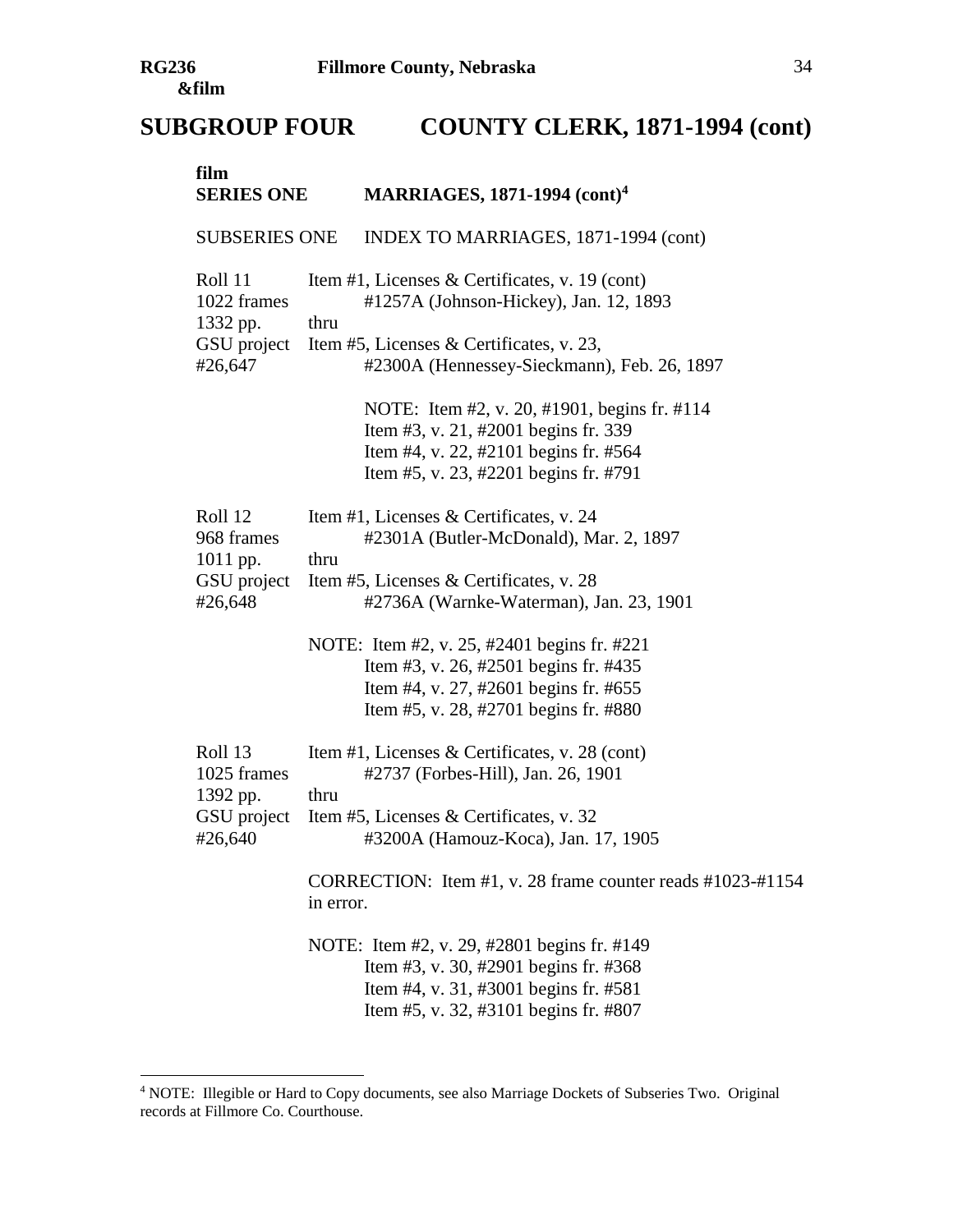| film<br><b>SERIES ONE</b>                                    | <b>MARRIAGES, 1871-1994 (cont)<sup>4</sup></b>                                                                                                                                                                                               |
|--------------------------------------------------------------|----------------------------------------------------------------------------------------------------------------------------------------------------------------------------------------------------------------------------------------------|
| <b>SUBSERIES ONE</b>                                         | INDEX TO MARRIAGES, 1871-1994 (cont)                                                                                                                                                                                                         |
| Roll 11<br>1022 frames<br>1332 pp.<br>GSU project<br>#26,647 | Item #1, Licenses & Certificates, v. 19 (cont)<br>#1257A (Johnson-Hickey), Jan. 12, 1893<br>thru<br>Item #5, Licenses & Certificates, v. 23,<br>#2300A (Hennessey-Sieckmann), Feb. 26, 1897                                                  |
|                                                              | NOTE: Item #2, v. 20, #1901, begins fr. #114<br>Item #3, v. 21, #2001 begins fr. 339<br>Item #4, v. 22, #2101 begins fr. #564<br>Item #5, v. 23, #2201 begins fr. #791                                                                       |
| Roll 12<br>968 frames<br>1011 pp.<br>GSU project<br>#26,648  | Item #1, Licenses & Certificates, v. 24<br>#2301A (Butler-McDonald), Mar. 2, 1897<br>thru<br>Item #5, Licenses & Certificates, v. 28<br>#2736A (Warnke-Waterman), Jan. 23, 1901                                                              |
|                                                              | NOTE: Item #2, v. 25, #2401 begins fr. #221<br>Item #3, v. 26, #2501 begins fr. #435<br>Item #4, v. 27, #2601 begins fr. #655<br>Item #5, v. 28, #2701 begins fr. #880                                                                       |
| Roll 13<br>1025 frames<br>1392 pp.<br>GSU project<br>#26,640 | Item #1, Licenses & Certificates, v. 28 (cont)<br>#2737 (Forbes-Hill), Jan. 26, 1901<br>thru<br>Item #5, Licenses & Certificates, v. 32<br>#3200A (Hamouz-Koca), Jan. 17, 1905<br>CORRECTION: Item #1, v. 28 frame counter reads #1023-#1154 |
|                                                              | in error.<br>NOTE: Item #2, v. 29, #2801 begins fr. #149<br>Item #3, v. 30, #2901 begins fr. #368<br>Item #4, v. 31, #3001 begins fr. #581<br>Item #5, v. 32, #3101 begins fr. #807                                                          |

<sup>&</sup>lt;sup>4</sup> NOTE: Illegible or Hard to Copy documents, see also Marriage Dockets of Subseries Two. Original records at Fillmore Co. Courthouse.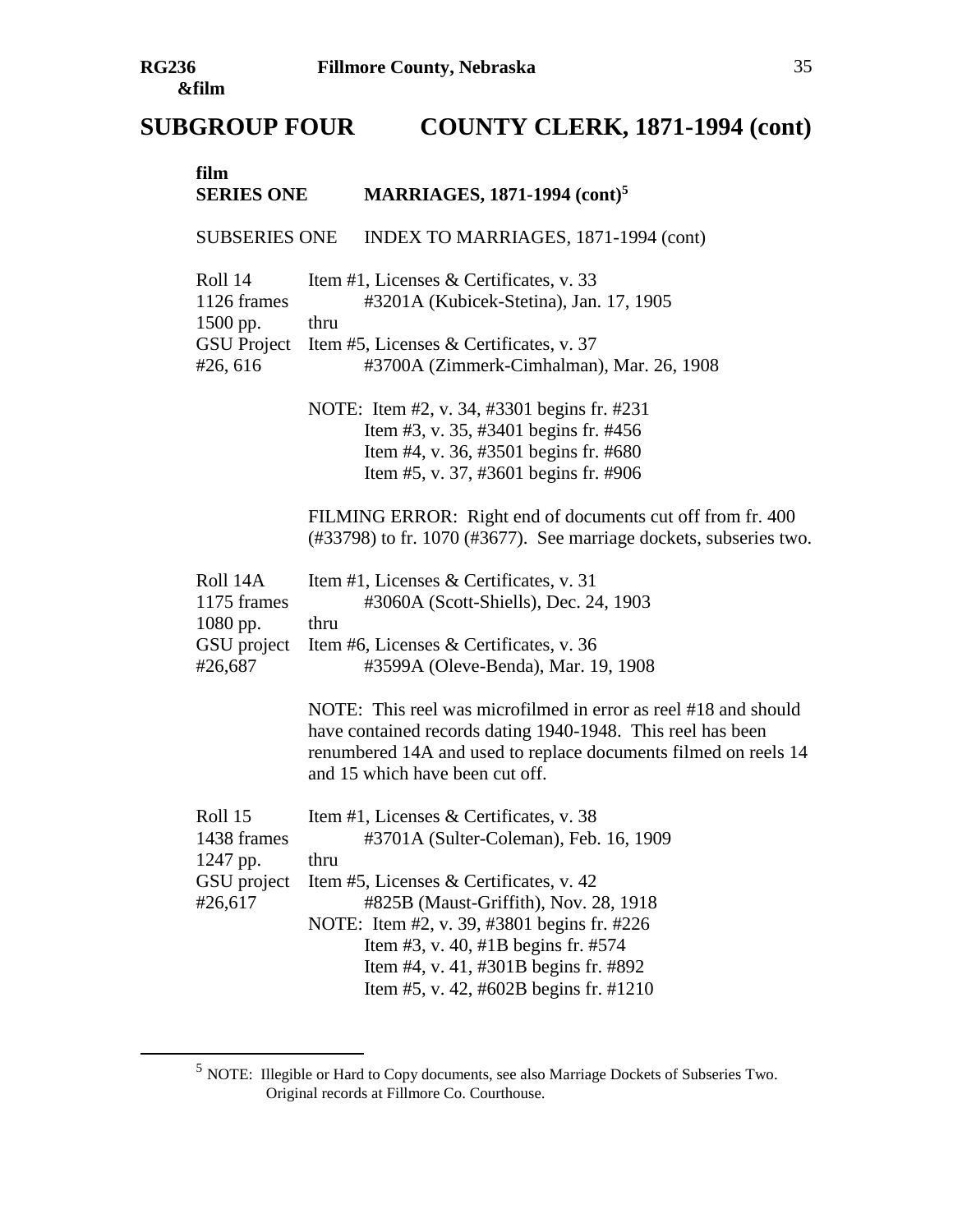| film<br><b>SERIES ONE</b>                                            | <b>MARRIAGES, 1871-1994 (cont)</b> <sup>5</sup>                                                                                                                                                                                                                                                                                                        |
|----------------------------------------------------------------------|--------------------------------------------------------------------------------------------------------------------------------------------------------------------------------------------------------------------------------------------------------------------------------------------------------------------------------------------------------|
| <b>SUBSERIES ONE</b>                                                 | INDEX TO MARRIAGES, 1871-1994 (cont)                                                                                                                                                                                                                                                                                                                   |
| Roll 14<br>1126 frames<br>1500 pp.<br><b>GSU</b> Project<br>#26, 616 | Item #1, Licenses & Certificates, v. 33<br>#3201A (Kubicek-Stetina), Jan. 17, 1905<br>thru<br>Item #5, Licenses & Certificates, v. 37<br>#3700A (Zimmerk-Cimhalman), Mar. 26, 1908                                                                                                                                                                     |
|                                                                      | NOTE: Item #2, v. 34, #3301 begins fr. #231<br>Item #3, v. 35, #3401 begins fr. #456<br>Item #4, v. 36, #3501 begins fr. #680<br>Item #5, v. 37, #3601 begins fr. #906                                                                                                                                                                                 |
|                                                                      | FILMING ERROR: Right end of documents cut off from fr. 400<br>$(\text{\#33798})$ to fr. 1070 ( $\text{\#3677}$ ). See marriage dockets, subseries two.                                                                                                                                                                                                 |
| Roll 14A<br>1175 frames<br>1080 pp.<br>GSU project<br>#26,687        | Item #1, Licenses & Certificates, v. 31<br>#3060A (Scott-Shiells), Dec. 24, 1903<br>thru<br>Item #6, Licenses & Certificates, v. 36<br>#3599A (Oleve-Benda), Mar. 19, 1908                                                                                                                                                                             |
|                                                                      | NOTE: This reel was microfilmed in error as reel #18 and should<br>have contained records dating 1940-1948. This reel has been<br>renumbered 14A and used to replace documents filmed on reels 14<br>and 15 which have been cut off.                                                                                                                   |
| Roll 15<br>1438 frames<br>1247 pp.<br>GSU project<br>#26,617         | Item #1, Licenses & Certificates, v. 38<br>#3701A (Sulter-Coleman), Feb. 16, 1909<br>thru<br>Item #5, Licenses & Certificates, v. 42<br>#825B (Maust-Griffith), Nov. 28, 1918<br>NOTE: Item #2, v. 39, #3801 begins fr. #226<br>Item #3, v. 40, #1B begins fr. #574<br>Item #4, v. 41, #301B begins fr. #892<br>Item #5, v. 42, #602B begins fr. #1210 |

<sup>5</sup> NOTE: Illegible or Hard to Copy documents, see also Marriage Dockets of Subseries Two. Original records at Fillmore Co. Courthouse.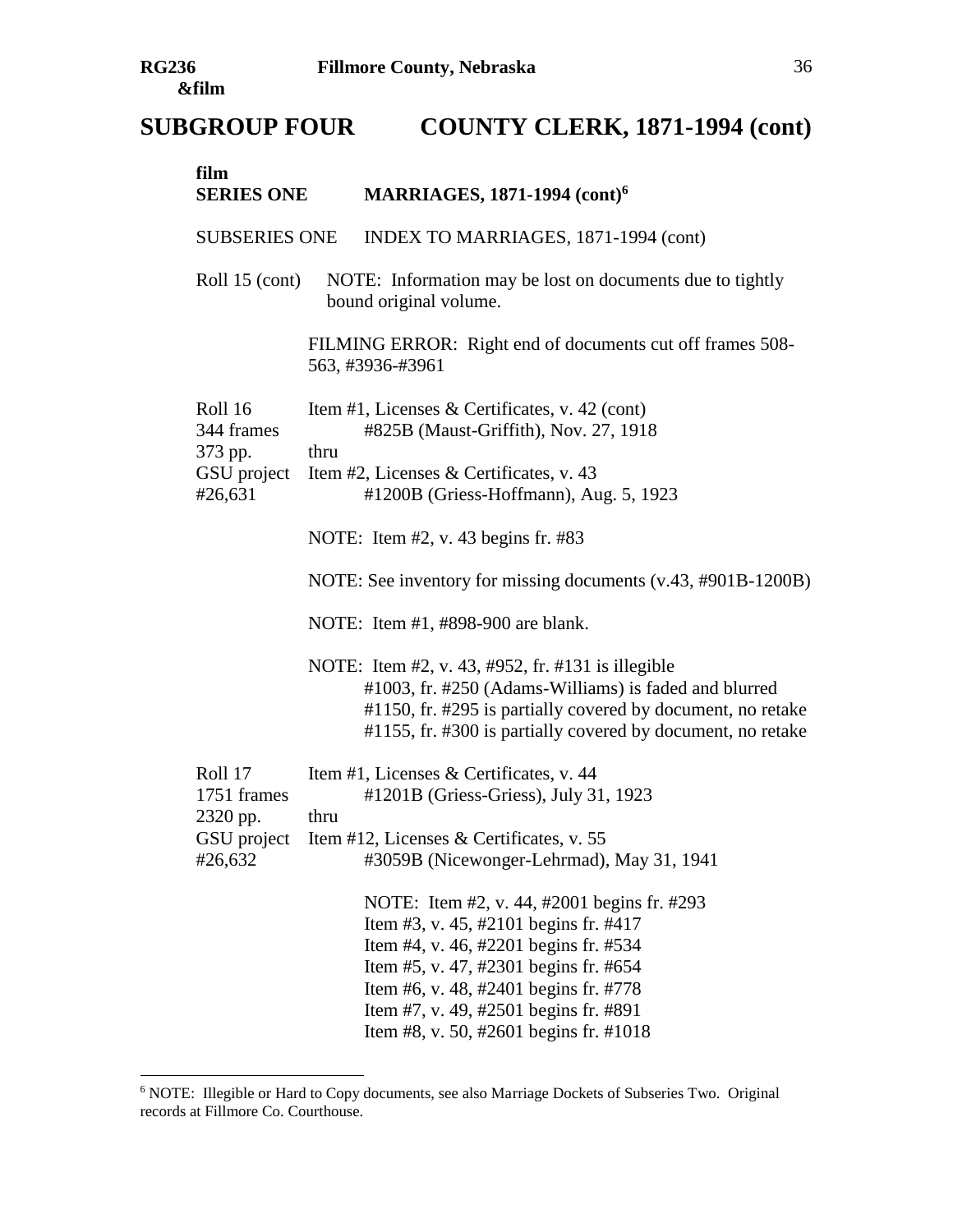| film<br><b>SERIES ONE</b>                         | <b>MARRIAGES, 1871-1994 (cont)<sup>6</sup></b>                                                                                                                                                                                                                                                     |
|---------------------------------------------------|----------------------------------------------------------------------------------------------------------------------------------------------------------------------------------------------------------------------------------------------------------------------------------------------------|
| <b>SUBSERIES ONE</b>                              | INDEX TO MARRIAGES, 1871-1994 (cont)                                                                                                                                                                                                                                                               |
| Roll 15 (cont)                                    | NOTE: Information may be lost on documents due to tightly<br>bound original volume.                                                                                                                                                                                                                |
|                                                   | FILMING ERROR: Right end of documents cut off frames 508-<br>563, #3936-#3961                                                                                                                                                                                                                      |
| Roll 16<br>344 frames                             | Item #1, Licenses & Certificates, v. 42 (cont)<br>#825B (Maust-Griffith), Nov. 27, 1918                                                                                                                                                                                                            |
| 373 pp.<br>GSU project<br>#26,631                 | thru<br>Item #2, Licenses & Certificates, v. 43<br>#1200B (Griess-Hoffmann), Aug. 5, 1923                                                                                                                                                                                                          |
|                                                   | NOTE: Item #2, v. 43 begins fr. #83                                                                                                                                                                                                                                                                |
|                                                   | NOTE: See inventory for missing documents (v.43, #901B-1200B)                                                                                                                                                                                                                                      |
|                                                   | NOTE: Item #1, #898-900 are blank.                                                                                                                                                                                                                                                                 |
|                                                   | NOTE: Item #2, v. 43, #952, fr. #131 is illegible<br>#1003, fr. #250 (Adams-Williams) is faded and blurred<br>#1150, fr. #295 is partially covered by document, no retake<br>#1155, fr. #300 is partially covered by document, no retake                                                           |
| Roll 17                                           | Item #1, Licenses & Certificates, v. 44                                                                                                                                                                                                                                                            |
| 1751 frames<br>2320 pp.<br>GSU project<br>#26,632 | #1201B (Griess-Griess), July 31, 1923<br>thru<br>Item #12, Licenses & Certificates, v. 55<br>#3059B (Nicewonger-Lehrmad), May 31, 1941                                                                                                                                                             |
|                                                   | NOTE: Item #2, v. 44, #2001 begins fr. #293<br>Item #3, v. 45, #2101 begins fr. #417<br>Item #4, v. 46, #2201 begins fr. #534<br>Item #5, v. 47, #2301 begins fr. #654<br>Item #6, v. 48, #2401 begins fr. #778<br>Item #7, v. 49, #2501 begins fr. #891<br>Item #8, v. 50, #2601 begins fr. #1018 |

<sup>&</sup>lt;sup>6</sup> NOTE: Illegible or Hard to Copy documents, see also Marriage Dockets of Subseries Two. Original records at Fillmore Co. Courthouse.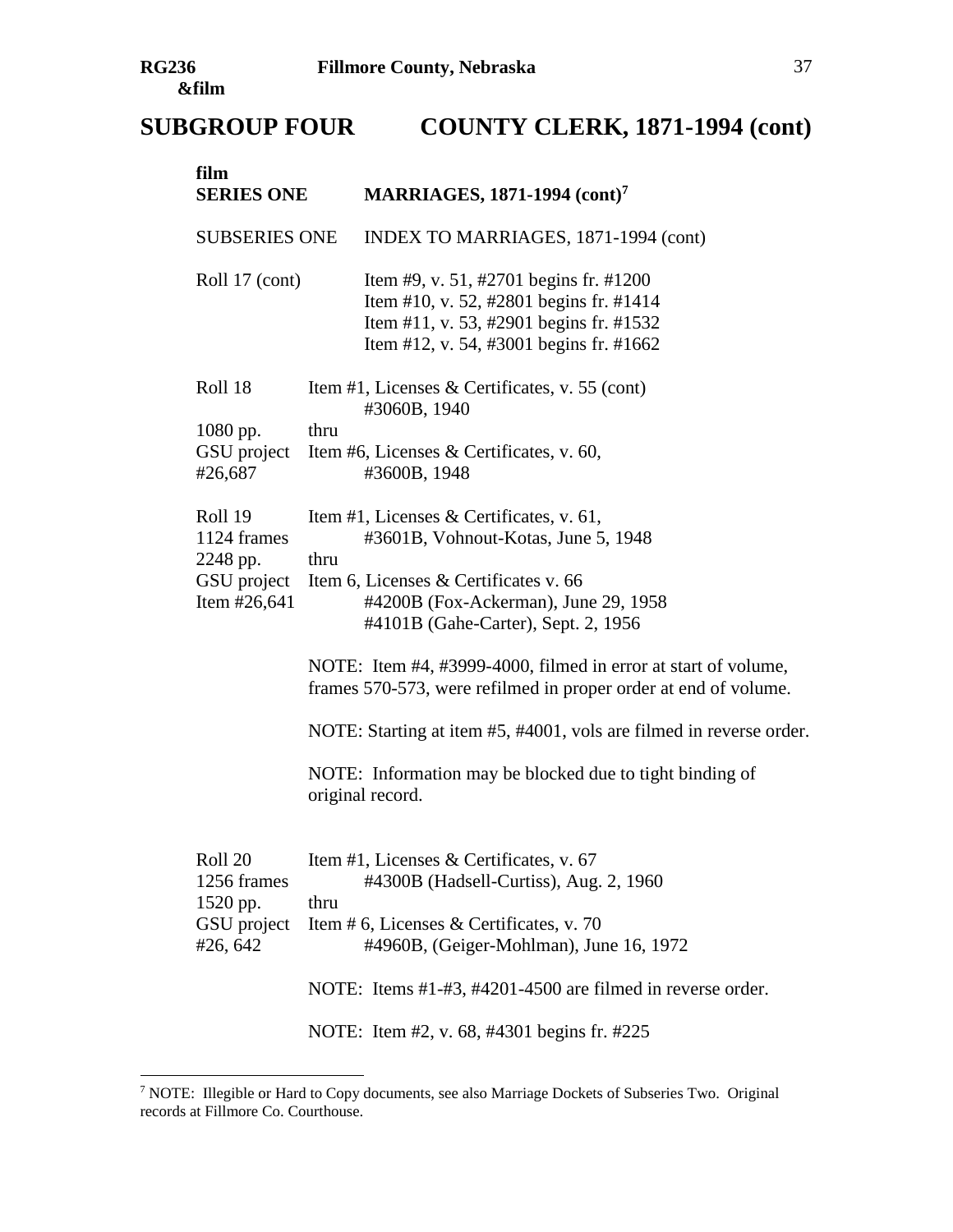| film<br><b>SERIES ONE</b>                                         | <b>MARRIAGES, 1871-1994 (cont)</b> 7                                                                                                                                                                                                                                                          |
|-------------------------------------------------------------------|-----------------------------------------------------------------------------------------------------------------------------------------------------------------------------------------------------------------------------------------------------------------------------------------------|
| <b>SUBSERIES ONE</b>                                              | INDEX TO MARRIAGES, 1871-1994 (cont)                                                                                                                                                                                                                                                          |
| Roll 17 (cont)                                                    | Item #9, v. 51, #2701 begins fr. #1200<br>Item #10, v. 52, #2801 begins fr. #1414<br>Item #11, v. 53, #2901 begins fr. #1532<br>Item #12, v. 54, #3001 begins fr. #1662                                                                                                                       |
| Roll 18                                                           | Item #1, Licenses & Certificates, v. 55 (cont)<br>#3060B, 1940                                                                                                                                                                                                                                |
| 1080 pp.<br>GSU project<br>#26,687                                | thru<br>Item #6, Licenses & Certificates, v. 60,<br>#3600B, 1948                                                                                                                                                                                                                              |
| Roll 19<br>1124 frames<br>2248 pp.<br>GSU project<br>Item #26,641 | Item #1, Licenses & Certificates, v. 61,<br>#3601B, Vohnout-Kotas, June 5, 1948<br>thru<br>Item 6, Licenses & Certificates v. 66<br>#4200B (Fox-Ackerman), June 29, 1958<br>#4101B (Gahe-Carter), Sept. 2, 1956<br>NOTE: Item #4, #3999-4000, filmed in error at start of volume,             |
|                                                                   | frames 570-573, were refilmed in proper order at end of volume.<br>NOTE: Starting at item #5, #4001, vols are filmed in reverse order.<br>NOTE: Information may be blocked due to tight binding of<br>original record.                                                                        |
| Roll 20<br>1256 frames<br>1520 pp.<br>GSU project<br>#26, 642     | Item #1, Licenses & Certificates, v. 67<br>#4300B (Hadsell-Curtiss), Aug. 2, 1960<br>thru<br>Item # 6, Licenses & Certificates, v. 70<br>#4960B, (Geiger-Mohlman), June 16, 1972<br>NOTE: Items #1-#3, #4201-4500 are filmed in reverse order.<br>NOTE: Item #2, v. 68, #4301 begins fr. #225 |

<sup>&</sup>lt;sup>7</sup> NOTE: Illegible or Hard to Copy documents, see also Marriage Dockets of Subseries Two. Original records at Fillmore Co. Courthouse.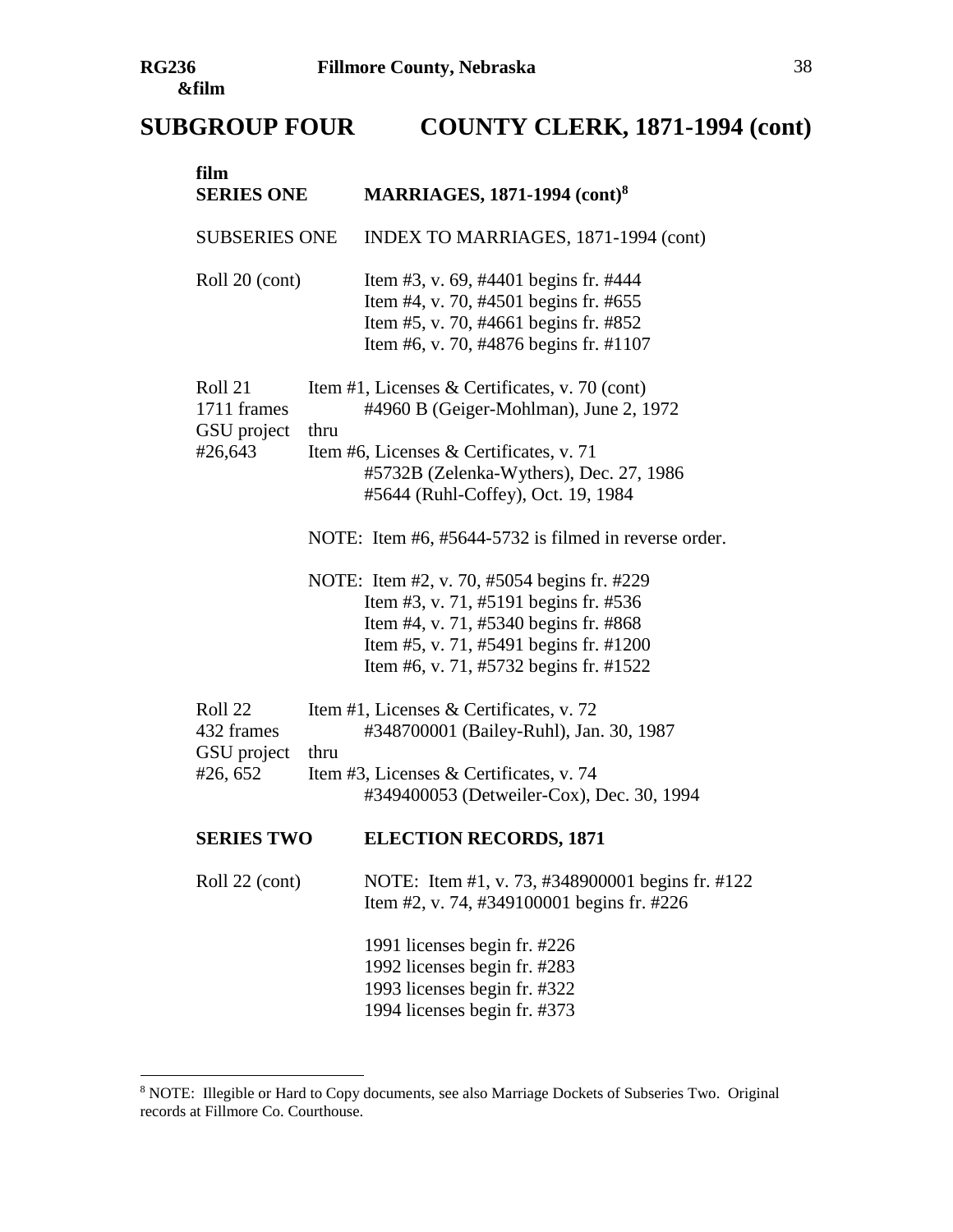$\overline{a}$ 

| film<br><b>SERIES ONE</b>                        |      | <b>MARRIAGES, 1871-1994 (cont)<sup>8</sup></b>                                                                                                                                                                                                                             |
|--------------------------------------------------|------|----------------------------------------------------------------------------------------------------------------------------------------------------------------------------------------------------------------------------------------------------------------------------|
| <b>SUBSERIES ONE</b>                             |      | INDEX TO MARRIAGES, 1871-1994 (cont)                                                                                                                                                                                                                                       |
| Roll 20 (cont)                                   |      | Item #3, v. 69, #4401 begins fr. #444<br>Item #4, v. 70, #4501 begins fr. #655<br>Item #5, v. 70, #4661 begins fr. #852<br>Item #6, v. 70, #4876 begins fr. #1107                                                                                                          |
| Roll 21<br>1711 frames<br>GSU project<br>#26,643 | thru | Item #1, Licenses & Certificates, v. 70 (cont)<br>#4960 B (Geiger-Mohlman), June 2, 1972<br>Item #6, Licenses & Certificates, v. 71<br>#5732B (Zelenka-Wythers), Dec. 27, 1986<br>#5644 (Ruhl-Coffey), Oct. 19, 1984                                                       |
|                                                  |      | NOTE: Item #6, #5644-5732 is filmed in reverse order.<br>NOTE: Item #2, v. 70, #5054 begins fr. #229<br>Item #3, v. 71, #5191 begins fr. #536<br>Item #4, v. 71, #5340 begins fr. #868<br>Item #5, v. 71, #5491 begins fr. #1200<br>Item #6, v. 71, #5732 begins fr. #1522 |
| Roll 22<br>432 frames<br>GSU project<br>#26, 652 | thru | Item #1, Licenses & Certificates, v. 72<br>#348700001 (Bailey-Ruhl), Jan. 30, 1987<br>Item #3, Licenses & Certificates, v. 74<br>#349400053 (Detweiler-Cox), Dec. 30, 1994                                                                                                 |
| <b>SERIES TWO</b>                                |      | <b>ELECTION RECORDS, 1871</b>                                                                                                                                                                                                                                              |
| Roll 22 (cont)                                   |      | NOTE: Item #1, v. 73, #348900001 begins fr. #122<br>Item #2, v. 74, #349100001 begins fr. #226<br>1991 licenses begin fr. #226<br>1992 licenses begin fr. #283<br>1993 licenses begin fr. #322<br>1994 licenses begin fr. #373                                             |

<sup>&</sup>lt;sup>8</sup> NOTE: Illegible or Hard to Copy documents, see also Marriage Dockets of Subseries Two. Original records at Fillmore Co. Courthouse.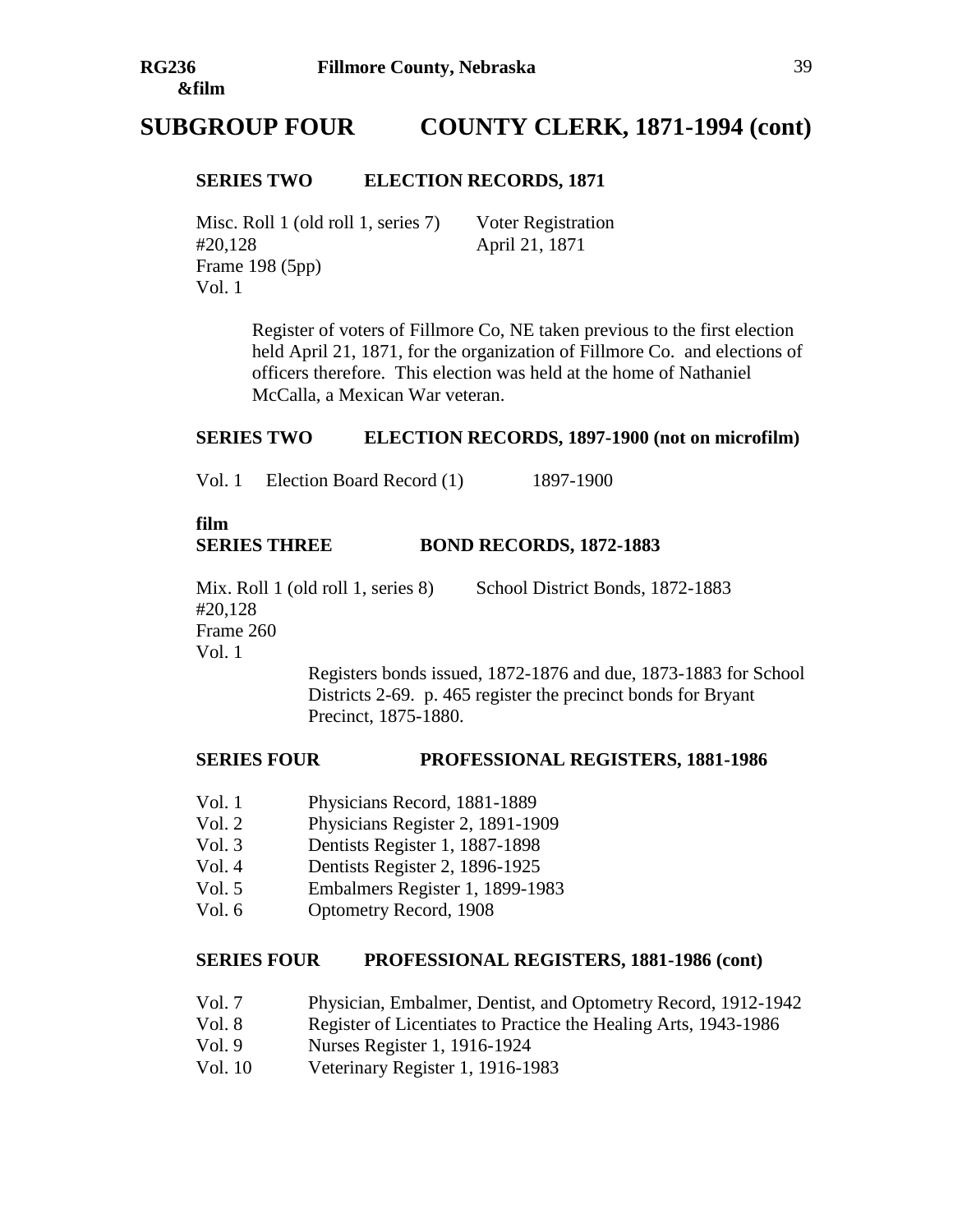# **SUBGROUP FOUR COUNTY CLERK, 1871-1994 (cont)**

#### **SERIES TWO ELECTION RECORDS, 1871**

Misc. Roll 1 (old roll 1, series 7) Voter Registration #20,128 April 21, 1871 Frame 198 (5pp) Vol. 1

Register of voters of Fillmore Co, NE taken previous to the first election held April 21, 1871, for the organization of Fillmore Co. and elections of officers therefore. This election was held at the home of Nathaniel McCalla, a Mexican War veteran.

#### **SERIES TWO ELECTION RECORDS, 1897-1900 (not on microfilm)**

Vol. 1 Election Board Record (1) 1897-1900

## **film SERIES THREE BOND RECORDS, 1872-1883**

Mix. Roll 1 (old roll 1, series 8) School District Bonds, 1872-1883 #20,128 Frame 260 Vol. 1

Registers bonds issued, 1872-1876 and due, 1873-1883 for School Districts 2-69. p. 465 register the precinct bonds for Bryant Precinct, 1875-1880.

#### **SERIES FOUR PROFESSIONAL REGISTERS, 1881-1986**

- Vol. 1 Physicians Record, 1881-1889
- Vol. 2 Physicians Register 2, 1891-1909
- Vol. 3 Dentists Register 1, 1887-1898
- Vol. 4 Dentists Register 2, 1896-1925
- Vol. 5 Embalmers Register 1, 1899-1983
- Vol. 6 Optometry Record, 1908

#### **SERIES FOUR PROFESSIONAL REGISTERS, 1881-1986 (cont)**

- Vol. 7 Physician, Embalmer, Dentist, and Optometry Record, 1912-1942
- Vol. 8 Register of Licentiates to Practice the Healing Arts, 1943-1986
- Vol. 9 Nurses Register 1, 1916-1924
- Vol. 10 Veterinary Register 1, 1916-1983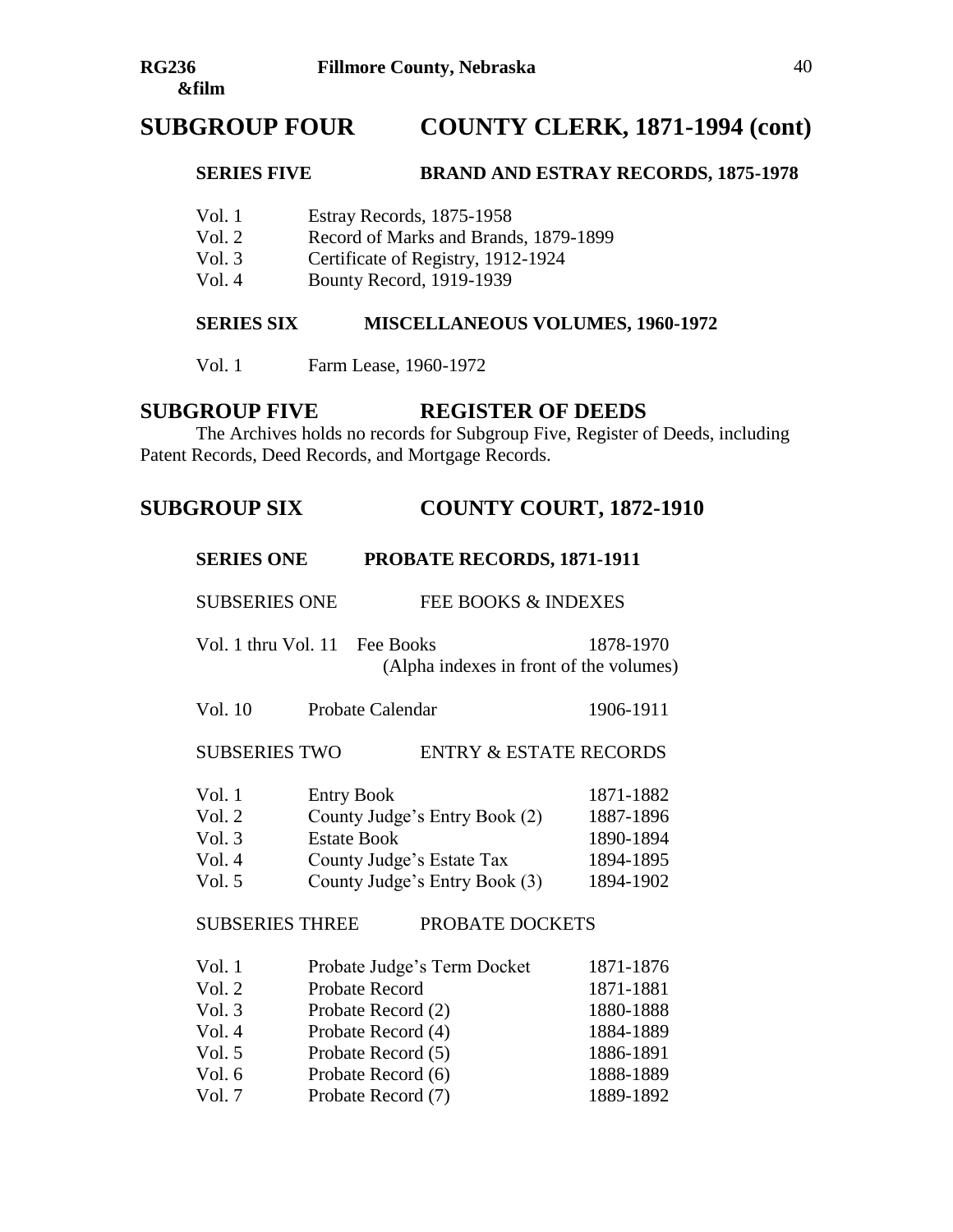# **SUBGROUP FOUR COUNTY CLERK, 1871-1994 (cont)**

#### **SERIES FIVE BRAND AND ESTRAY RECORDS, 1875-1978**

- Vol. 1 Estray Records, 1875-1958
- Vol. 2 Record of Marks and Brands, 1879-1899
- Vol. 3 Certificate of Registry, 1912-1924
- Vol. 4 Bounty Record, 1919-1939

#### **SERIES SIX MISCELLANEOUS VOLUMES, 1960-1972**

Vol. 1 Farm Lease, 1960-1972

## **SUBGROUP FIVE REGISTER OF DEEDS**

The Archives holds no records for Subgroup Five, Register of Deeds, including Patent Records, Deed Records, and Mortgage Records.

# **SUBGROUP SIX COUNTY COURT, 1872-1910**

| <b>SERIES ONE</b>                                                   | PROBATE RECORDS, 1871-1911                                                                                                                                         |                                                                                         |
|---------------------------------------------------------------------|--------------------------------------------------------------------------------------------------------------------------------------------------------------------|-----------------------------------------------------------------------------------------|
| <b>SUBSERIES ONE</b>                                                | FEE BOOKS & INDEXES                                                                                                                                                |                                                                                         |
| Vol. 1 thru Vol. 11                                                 | Fee Books<br>(Alpha indexes in front of the volumes)                                                                                                               | 1878-1970                                                                               |
| Vol. 10                                                             | <b>Probate Calendar</b>                                                                                                                                            | 1906-1911                                                                               |
| <b>SUBSERIES TWO</b>                                                | <b>ENTRY &amp; ESTATE RECORDS</b>                                                                                                                                  |                                                                                         |
| Vol.1<br>Vol. 2<br>Vol. $3$<br>Vol.4<br>Vol. 5                      | <b>Entry Book</b><br>County Judge's Entry Book (2)<br><b>Estate Book</b><br>County Judge's Estate Tax<br>County Judge's Entry Book (3)                             | 1871-1882<br>1887-1896<br>1890-1894<br>1894-1895<br>1894-1902                           |
| <b>SUBSERIES THREE</b>                                              | PROBATE DOCKETS                                                                                                                                                    |                                                                                         |
| Vol.1<br>Vol. 2<br>Vol. $3$<br>Vol. 4<br>Vol. 5<br>Vol. 6<br>Vol. 7 | Probate Judge's Term Docket<br><b>Probate Record</b><br>Probate Record (2)<br>Probate Record (4)<br>Probate Record (5)<br>Probate Record (6)<br>Probate Record (7) | 1871-1876<br>1871-1881<br>1880-1888<br>1884-1889<br>1886-1891<br>1888-1889<br>1889-1892 |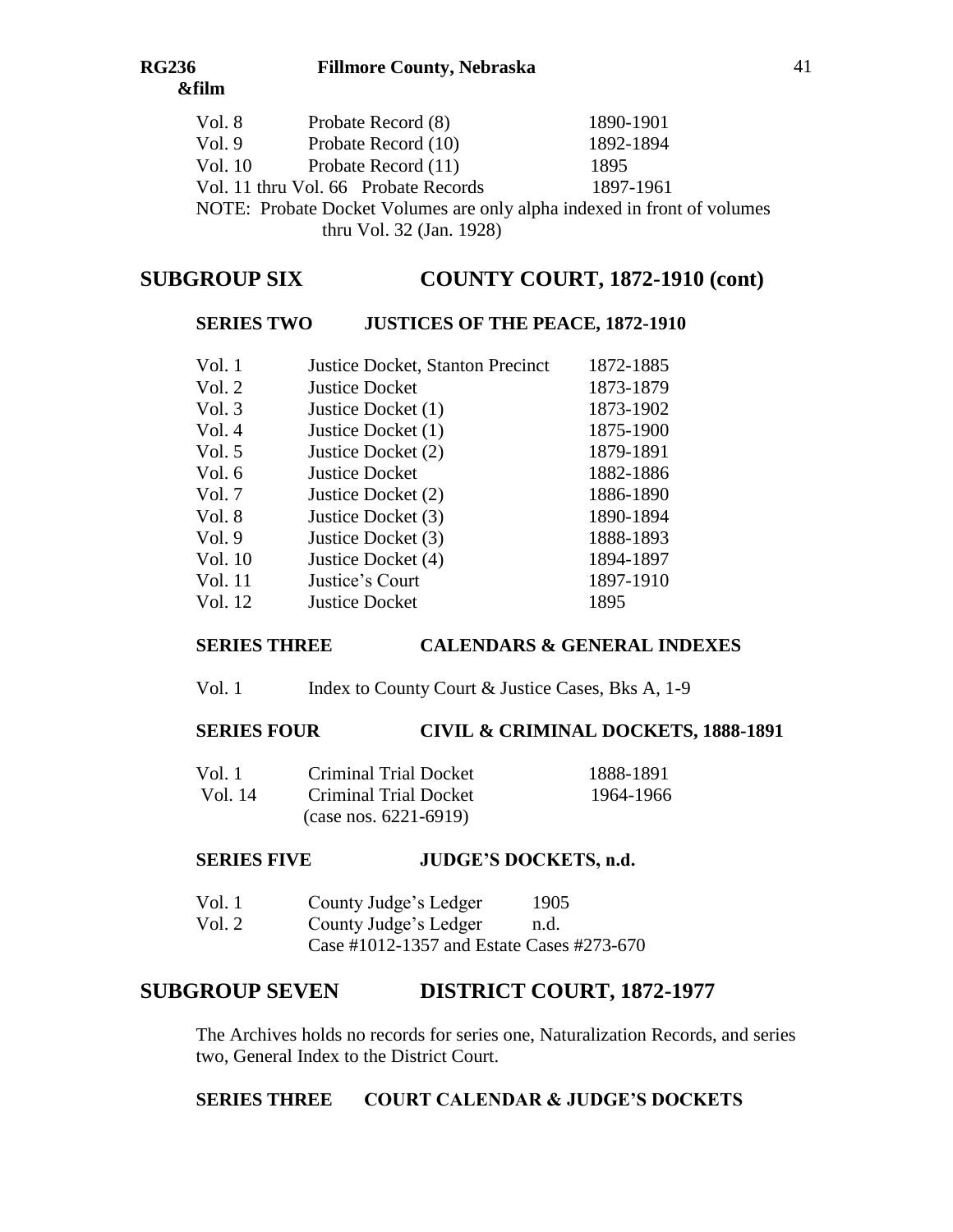| Vol. 8  | Probate Record (8)                                                      | 1890-1901 |
|---------|-------------------------------------------------------------------------|-----------|
| Vol. 9  | Probate Record (10)                                                     | 1892-1894 |
| Vol. 10 | Probate Record (11)                                                     | 1895      |
|         | Vol. 11 thru Vol. 66 Probate Records                                    | 1897-1961 |
|         | NOTE: Probate Docket Volumes are only alpha indexed in front of volumes |           |
|         |                                                                         |           |

thru Vol. 32 (Jan. 1928)

# **SUBGROUP SIX COUNTY COURT, 1872-1910 (cont)**

# **SERIES TWO JUSTICES OF THE PEACE, 1872-1910**

| Vol. 1  | <b>Justice Docket, Stanton Precinct</b> | 1872-1885 |
|---------|-----------------------------------------|-----------|
| Vol. 2  | <b>Justice Docket</b>                   | 1873-1879 |
| Vol. 3  | Justice Docket (1)                      | 1873-1902 |
| Vol. 4  | Justice Docket (1)                      | 1875-1900 |
| Vol. 5  | Justice Docket (2)                      | 1879-1891 |
| Vol. 6  | <b>Justice Docket</b>                   | 1882-1886 |
| Vol. 7  | Justice Docket (2)                      | 1886-1890 |
| Vol. 8  | Justice Docket (3)                      | 1890-1894 |
| Vol. 9  | Justice Docket (3)                      | 1888-1893 |
| Vol. 10 | Justice Docket (4)                      | 1894-1897 |
| Vol. 11 | Justice's Court                         | 1897-1910 |
| Vol. 12 | <b>Justice Docket</b>                   | 1895      |
|         |                                         |           |

## **SERIES THREE CALENDARS & GENERAL INDEXES**

Vol. 1 Index to County Court & Justice Cases, Bks A, 1-9

# **SERIES FOUR CIVIL & CRIMINAL DOCKETS, 1888-1891**

| Vol. 1– | <b>Criminal Trial Docket</b>              | 1888-1891 |
|---------|-------------------------------------------|-----------|
| Vol. 14 | Criminal Trial Docket                     | 1964-1966 |
|         | $\frac{(case \, nos. \, 6221 - 6919)}{2}$ |           |

## **SERIES FIVE JUDGE'S DOCKETS, n.d.**

| Vol. 1   | County Judge's Ledger | 1905 |
|----------|-----------------------|------|
| Vol. $2$ | County Judge's Ledger | n.d. |

Case #1012-1357 and Estate Cases #273-670

# **SUBGROUP SEVEN DISTRICT COURT, 1872-1977**

The Archives holds no records for series one, Naturalization Records, and series two, General Index to the District Court.

# **SERIES THREE COURT CALENDAR & JUDGE'S DOCKETS**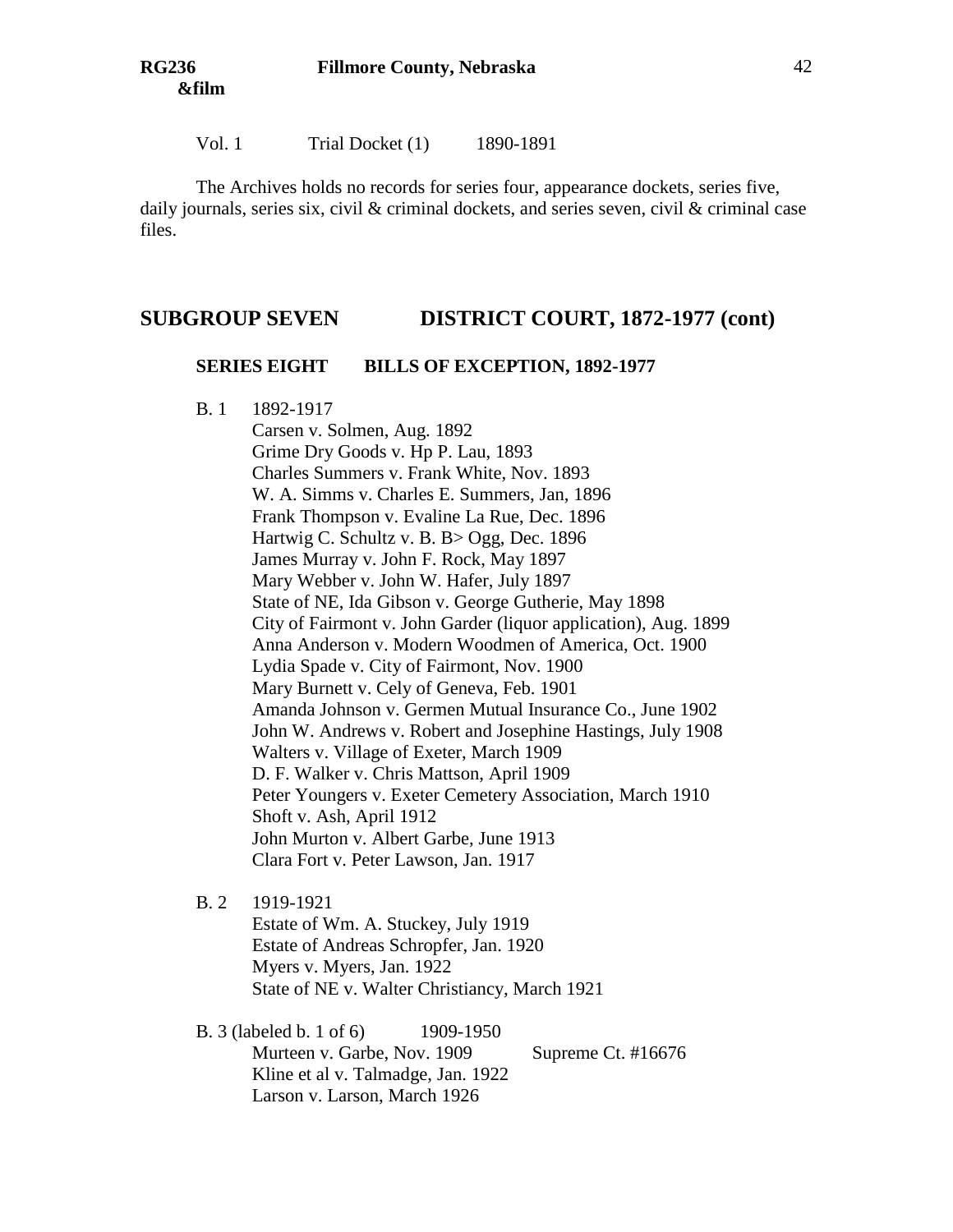Vol. 1 Trial Docket (1) 1890-1891

The Archives holds no records for series four, appearance dockets, series five, daily journals, series six, civil  $\&$  criminal dockets, and series seven, civil  $\&$  criminal case files.

## **SUBGROUP SEVEN DISTRICT COURT, 1872-1977 (cont)**

#### **SERIES EIGHT BILLS OF EXCEPTION, 1892-1977**

B. 1 1892-1917

Carsen v. Solmen, Aug. 1892 Grime Dry Goods v. Hp P. Lau, 1893 Charles Summers v. Frank White, Nov. 1893 W. A. Simms v. Charles E. Summers, Jan, 1896 Frank Thompson v. Evaline La Rue, Dec. 1896 Hartwig C. Schultz v. B. B > Ogg, Dec. 1896 James Murray v. John F. Rock, May 1897 Mary Webber v. John W. Hafer, July 1897 State of NE, Ida Gibson v. George Gutherie, May 1898 City of Fairmont v. John Garder (liquor application), Aug. 1899 Anna Anderson v. Modern Woodmen of America, Oct. 1900 Lydia Spade v. City of Fairmont, Nov. 1900 Mary Burnett v. Cely of Geneva, Feb. 1901 Amanda Johnson v. Germen Mutual Insurance Co., June 1902 John W. Andrews v. Robert and Josephine Hastings, July 1908 Walters v. Village of Exeter, March 1909 D. F. Walker v. Chris Mattson, April 1909 Peter Youngers v. Exeter Cemetery Association, March 1910 Shoft v. Ash, April 1912 John Murton v. Albert Garbe, June 1913 Clara Fort v. Peter Lawson, Jan. 1917

B. 2 1919-1921

Estate of Wm. A. Stuckey, July 1919 Estate of Andreas Schropfer, Jan. 1920 Myers v. Myers, Jan. 1922 State of NE v. Walter Christiancy, March 1921

B. 3 (labeled b. 1 of 6) 1909-1950 Murteen v. Garbe, Nov. 1909 Supreme Ct. #16676 Kline et al v. Talmadge, Jan. 1922 Larson v. Larson, March 1926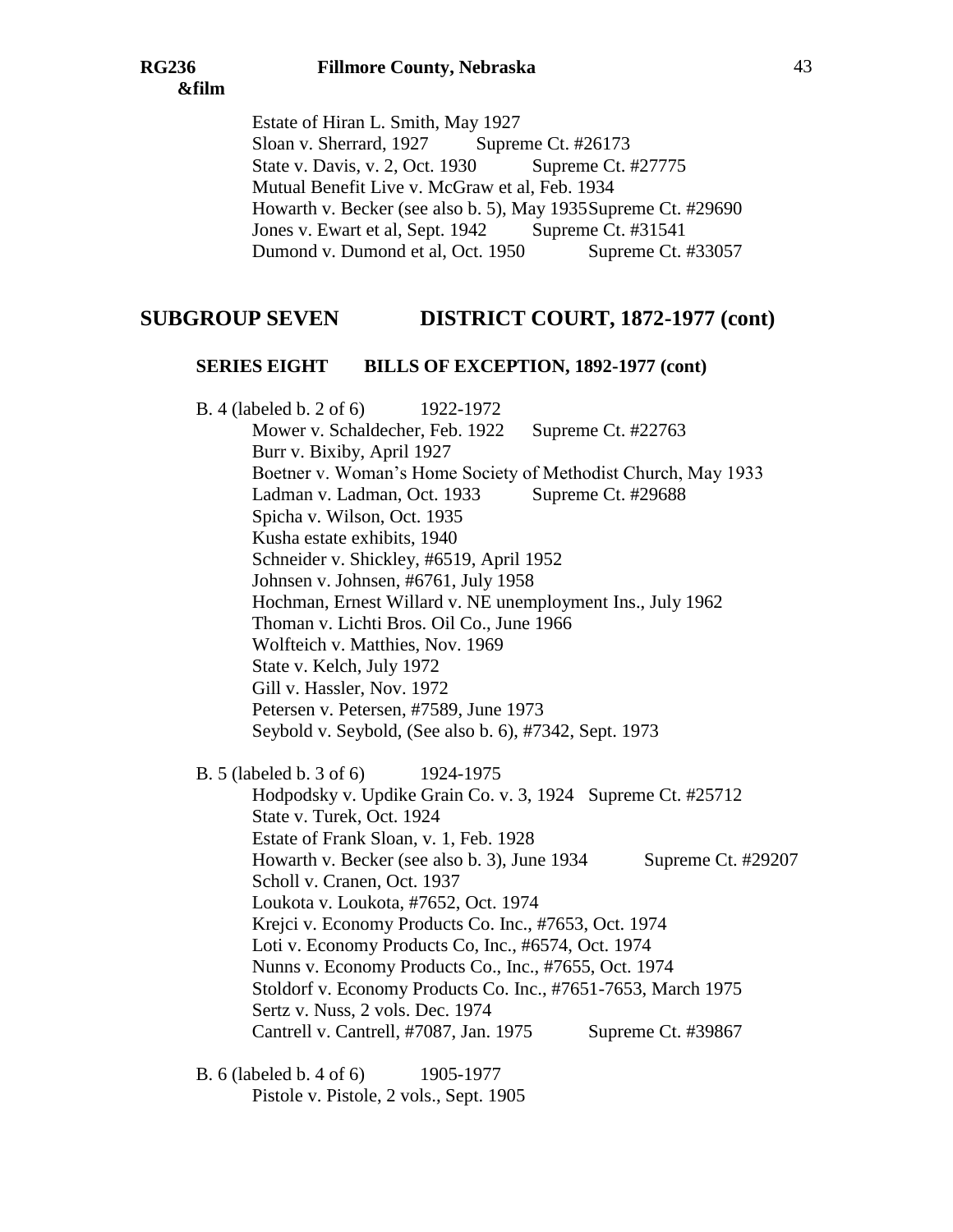Estate of Hiran L. Smith, May 1927 Sloan v. Sherrard, 1927 Supreme Ct. #26173 State v. Davis, v. 2, Oct. 1930 Supreme Ct. #27775 Mutual Benefit Live v. McGraw et al, Feb. 1934 Howarth v. Becker (see also b. 5), May 1935Supreme Ct. #29690 Jones v. Ewart et al, Sept. 1942 Supreme Ct. #31541 Dumond v. Dumond et al, Oct. 1950 Supreme Ct. #33057

## **SUBGROUP SEVEN DISTRICT COURT, 1872-1977 (cont)**

#### **SERIES EIGHT BILLS OF EXCEPTION, 1892-1977 (cont)**

B. 4 (labeled b. 2 of 6) 1922-1972 Mower v. Schaldecher, Feb. 1922 Supreme Ct. #22763 Burr v. Bixiby, April 1927 Boetner v. Woman's Home Society of Methodist Church, May 1933 Ladman v. Ladman, Oct. 1933 Supreme Ct. #29688 Spicha v. Wilson, Oct. 1935 Kusha estate exhibits, 1940 Schneider v. Shickley, #6519, April 1952 Johnsen v. Johnsen, #6761, July 1958 Hochman, Ernest Willard v. NE unemployment Ins., July 1962 Thoman v. Lichti Bros. Oil Co., June 1966 Wolfteich v. Matthies, Nov. 1969 State v. Kelch, July 1972 Gill v. Hassler, Nov. 1972 Petersen v. Petersen, #7589, June 1973 Seybold v. Seybold, (See also b. 6), #7342, Sept. 1973 B. 5 (labeled b. 3 of 6) 1924-1975 Hodpodsky v. Updike Grain Co. v. 3, 1924 Supreme Ct. #25712 State v. Turek, Oct. 1924 Estate of Frank Sloan, v. 1, Feb. 1928 Howarth v. Becker (see also b. 3), June 1934 Supreme Ct. #29207 Scholl v. Cranen, Oct. 1937 Loukota v. Loukota, #7652, Oct. 1974 Krejci v. Economy Products Co. Inc., #7653, Oct. 1974 Loti v. Economy Products Co, Inc., #6574, Oct. 1974 Nunns v. Economy Products Co., Inc., #7655, Oct. 1974 Stoldorf v. Economy Products Co. Inc., #7651-7653, March 1975 Sertz v. Nuss, 2 vols. Dec. 1974 Cantrell v. Cantrell, #7087, Jan. 1975 Supreme Ct. #39867

B. 6 (labeled b. 4 of 6) 1905-1977 Pistole v. Pistole, 2 vols., Sept. 1905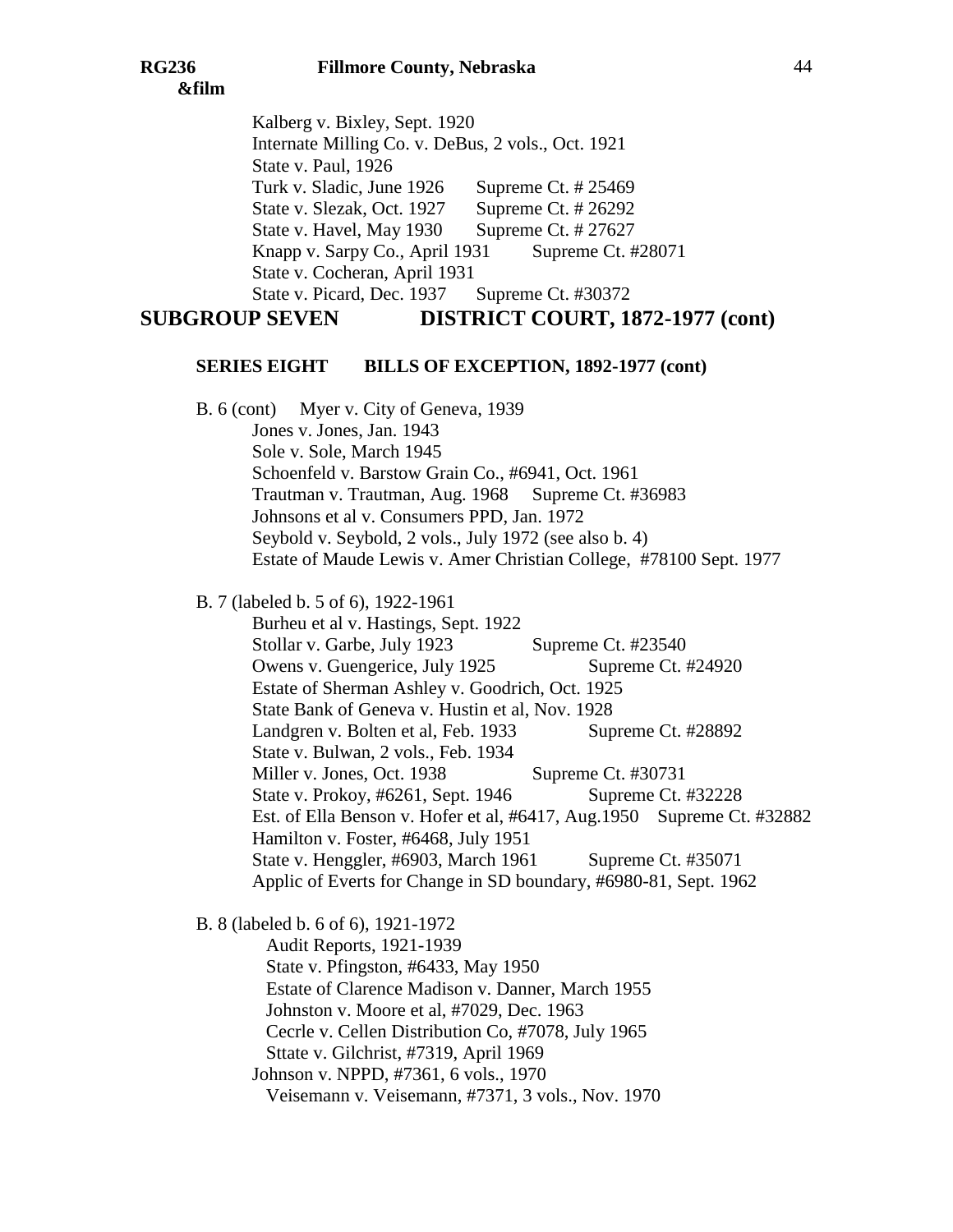Kalberg v. Bixley, Sept. 1920 Internate Milling Co. v. DeBus, 2 vols., Oct. 1921 State v. Paul, 1926 Turk v. Sladic, June 1926 Supreme Ct. # 25469 State v. Slezak, Oct. 1927 Supreme Ct. # 26292 State v. Havel, May 1930 Supreme Ct. # 27627 Knapp v. Sarpy Co., April 1931 Supreme Ct. #28071 State v. Cocheran, April 1931 State v. Picard, Dec. 1937 Supreme Ct. #30372 **SUBGROUP SEVEN DISTRICT COURT, 1872-1977 (cont)**

# **SERIES EIGHT BILLS OF EXCEPTION, 1892-1977 (cont)**

B. 6 (cont) Myer v. City of Geneva, 1939 Jones v. Jones, Jan. 1943 Sole v. Sole, March 1945 Schoenfeld v. Barstow Grain Co., #6941, Oct. 1961 Trautman v. Trautman, Aug. 1968 Supreme Ct. #36983 Johnsons et al v. Consumers PPD, Jan. 1972 Seybold v. Seybold, 2 vols., July 1972 (see also b. 4) Estate of Maude Lewis v. Amer Christian College, #78100 Sept. 1977

B. 7 (labeled b. 5 of 6), 1922-1961

Burheu et al v. Hastings, Sept. 1922 Stollar v. Garbe, July 1923 Supreme Ct. #23540 Owens v. Guengerice, July 1925 Supreme Ct. #24920 Estate of Sherman Ashley v. Goodrich, Oct. 1925 State Bank of Geneva v. Hustin et al, Nov. 1928 Landgren v. Bolten et al, Feb. 1933 Supreme Ct. #28892 State v. Bulwan, 2 vols., Feb. 1934 Miller v. Jones, Oct. 1938 Supreme Ct. #30731 State v. Prokoy, #6261, Sept. 1946 Supreme Ct. #32228 Est. of Ella Benson v. Hofer et al, #6417, Aug.1950 Supreme Ct. #32882 Hamilton v. Foster, #6468, July 1951 State v. Henggler, #6903, March 1961 Supreme Ct. #35071 Applic of Everts for Change in SD boundary, #6980-81, Sept. 1962

B. 8 (labeled b. 6 of 6), 1921-1972

Audit Reports, 1921-1939 State v. Pfingston, #6433, May 1950 Estate of Clarence Madison v. Danner, March 1955 Johnston v. Moore et al, #7029, Dec. 1963 Cecrle v. Cellen Distribution Co, #7078, July 1965 Sttate v. Gilchrist, #7319, April 1969 Johnson v. NPPD, #7361, 6 vols., 1970 Veisemann v. Veisemann, #7371, 3 vols., Nov. 1970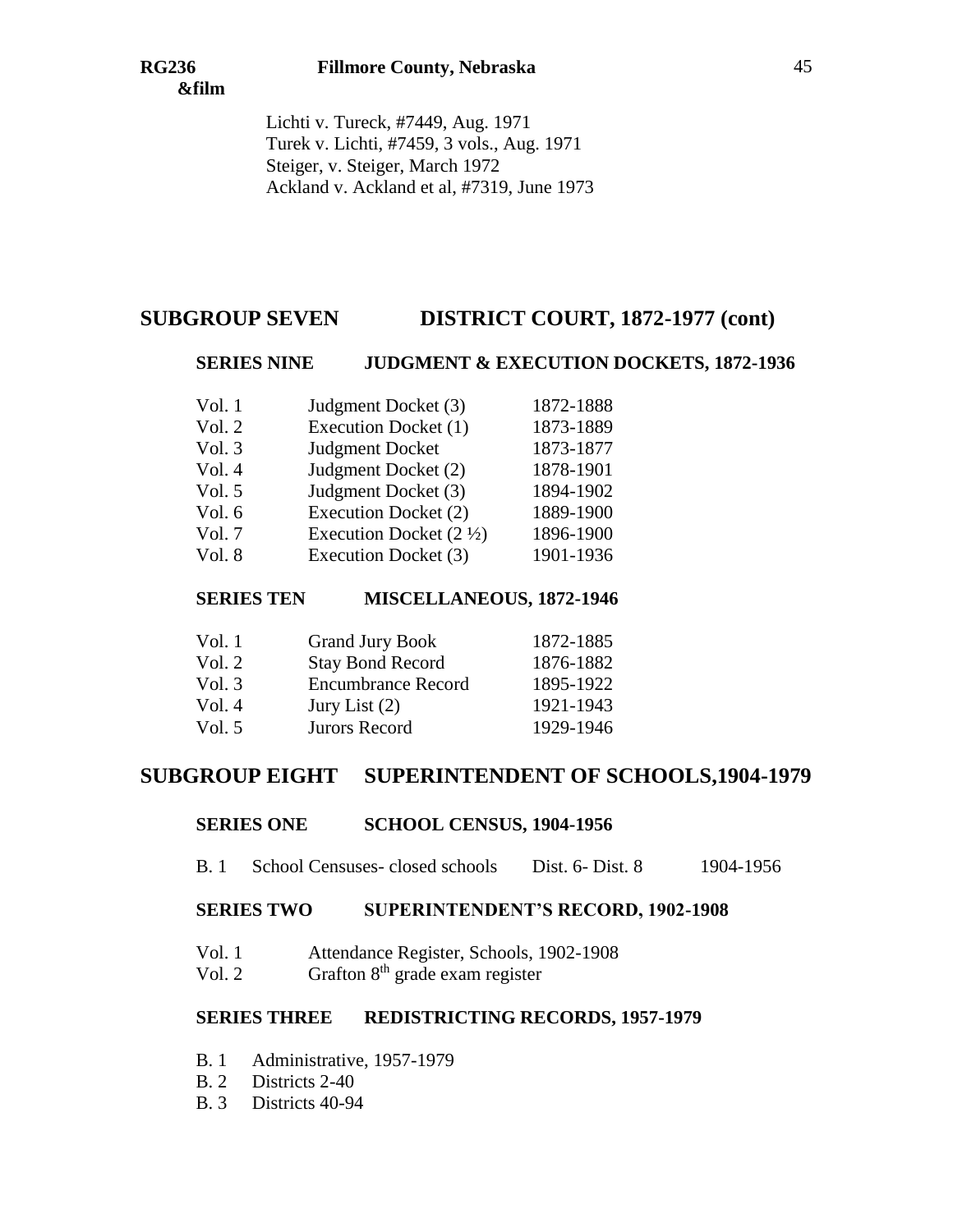Lichti v. Tureck, #7449, Aug. 1971 Turek v. Lichti, #7459, 3 vols., Aug. 1971 Steiger, v. Steiger, March 1972 Ackland v. Ackland et al, #7319, June 1973

# **SUBGROUP SEVEN DISTRICT COURT, 1872-1977 (cont)**

### **SERIES NINE JUDGMENT & EXECUTION DOCKETS, 1872-1936**

| Vol.1    | Judgment Docket (3)                | 1872-1888 |
|----------|------------------------------------|-----------|
| Vol. 2   | Execution Docket (1)               | 1873-1889 |
| Vol. 3   | <b>Judgment Docket</b>             | 1873-1877 |
| Vol. 4   | Judgment Docket (2)                | 1878-1901 |
| Vol. $5$ | Judgment Docket (3)                | 1894-1902 |
| Vol. $6$ | Execution Docket (2)               | 1889-1900 |
| Vol. 7   | Execution Docket $(2 \frac{1}{2})$ | 1896-1900 |
| Vol. 8   | Execution Docket (3)               | 1901-1936 |

### **SERIES TEN MISCELLANEOUS, 1872-1946**

| Vol. 1 | <b>Grand Jury Book</b>    | 1872-1885 |
|--------|---------------------------|-----------|
| Vol. 2 | <b>Stay Bond Record</b>   | 1876-1882 |
| Vol. 3 | <b>Encumbrance Record</b> | 1895-1922 |
| Vol. 4 | Jury List $(2)$           | 1921-1943 |
| Vol. 5 | Jurors Record             | 1929-1946 |
|        |                           |           |

## **SUBGROUP EIGHT SUPERINTENDENT OF SCHOOLS,1904-1979**

#### **SERIES ONE SCHOOL CENSUS, 1904-1956**

B. 1 School Censuses- closed schools Dist. 6- Dist. 8 1904-1956

### **SERIES TWO SUPERINTENDENT'S RECORD, 1902-1908**

- Vol. 1 Attendance Register, Schools, 1902-1908
- Vol. 2 Grafton  $8<sup>th</sup>$  grade exam register

#### **SERIES THREE REDISTRICTING RECORDS, 1957-1979**

- B. 1 Administrative, 1957-1979
- B. 2 Districts 2-40
- B. 3 Districts 40-94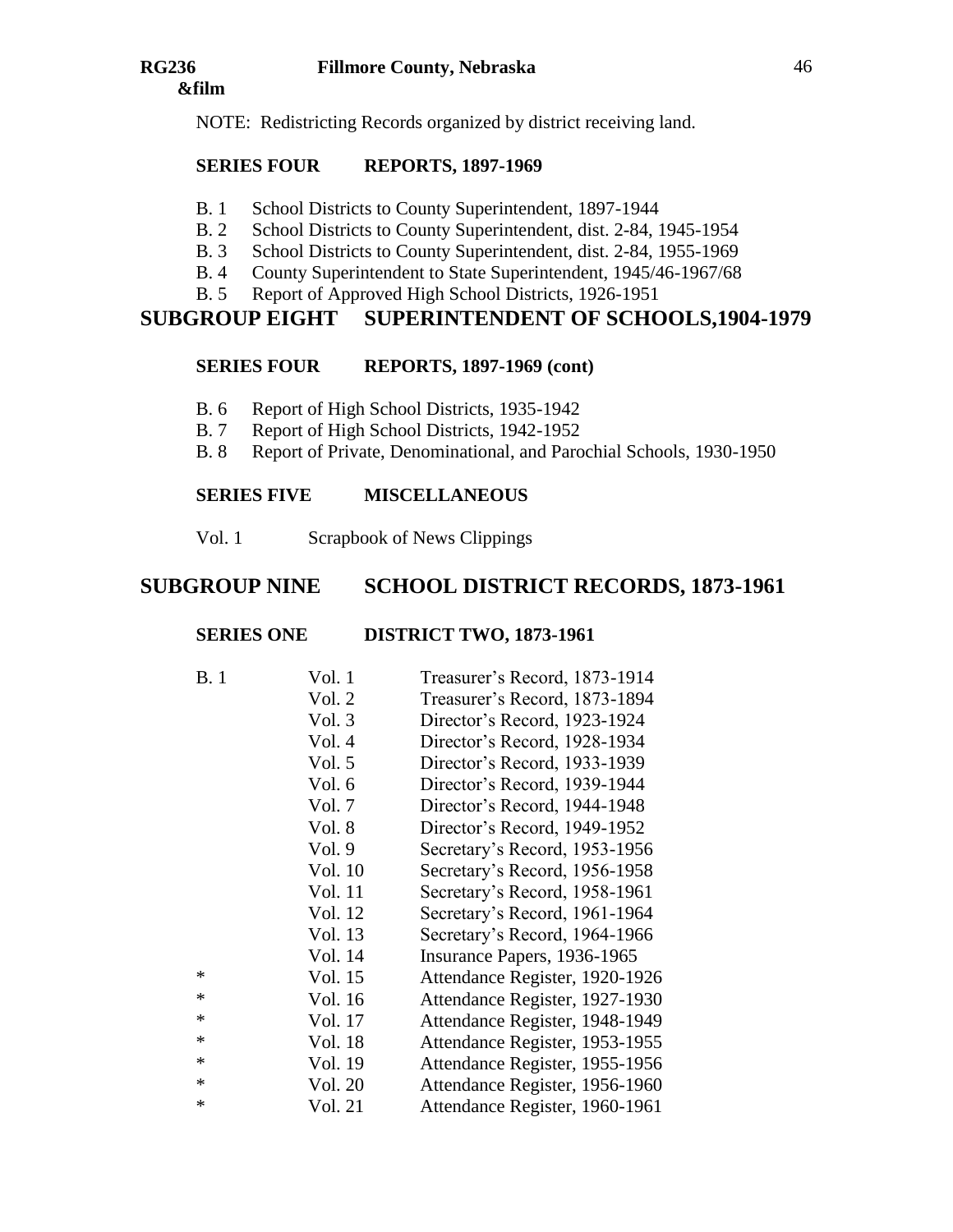NOTE: Redistricting Records organized by district receiving land.

# **SERIES FOUR REPORTS, 1897-1969**

- B. 1 School Districts to County Superintendent, 1897-1944
- B. 2 School Districts to County Superintendent, dist. 2-84, 1945-1954
- B. 3 School Districts to County Superintendent, dist. 2-84, 1955-1969
- B. 4 County Superintendent to State Superintendent, 1945/46-1967/68
- B. 5 Report of Approved High School Districts, 1926-1951

# **SUBGROUP EIGHT SUPERINTENDENT OF SCHOOLS,1904-1979**

## **SERIES FOUR REPORTS, 1897-1969 (cont)**

- B. 6 Report of High School Districts, 1935-1942
- B. 7 Report of High School Districts, 1942-1952
- B. 8 Report of Private, Denominational, and Parochial Schools, 1930-1950

# **SERIES FIVE MISCELLANEOUS**

Vol. 1 Scrapbook of News Clippings

# **SUBGROUP NINE SCHOOL DISTRICT RECORDS, 1873-1961**

# **SERIES ONE DISTRICT TWO, 1873-1961**

| B.1    | Vol. 1  | Treasurer's Record, 1873-1914  |
|--------|---------|--------------------------------|
|        | Vol. 2  | Treasurer's Record, 1873-1894  |
|        | Vol. 3  | Director's Record, 1923-1924   |
|        | Vol. 4  | Director's Record, 1928-1934   |
|        | Vol. 5  | Director's Record, 1933-1939   |
|        | Vol. 6  | Director's Record, 1939-1944   |
|        | Vol. 7  | Director's Record, 1944-1948   |
|        | Vol. 8  | Director's Record, 1949-1952   |
|        | Vol. 9  | Secretary's Record, 1953-1956  |
|        | Vol. 10 | Secretary's Record, 1956-1958  |
|        | Vol. 11 | Secretary's Record, 1958-1961  |
|        | Vol. 12 | Secretary's Record, 1961-1964  |
|        | Vol. 13 | Secretary's Record, 1964-1966  |
|        | Vol. 14 | Insurance Papers, 1936-1965    |
| $\ast$ | Vol. 15 | Attendance Register, 1920-1926 |
| $\ast$ | Vol. 16 | Attendance Register, 1927-1930 |
| $\ast$ | Vol. 17 | Attendance Register, 1948-1949 |
| $\ast$ | Vol. 18 | Attendance Register, 1953-1955 |
| $\ast$ | Vol. 19 | Attendance Register, 1955-1956 |
| $\ast$ | Vol. 20 | Attendance Register, 1956-1960 |
| ∗      | Vol. 21 | Attendance Register, 1960-1961 |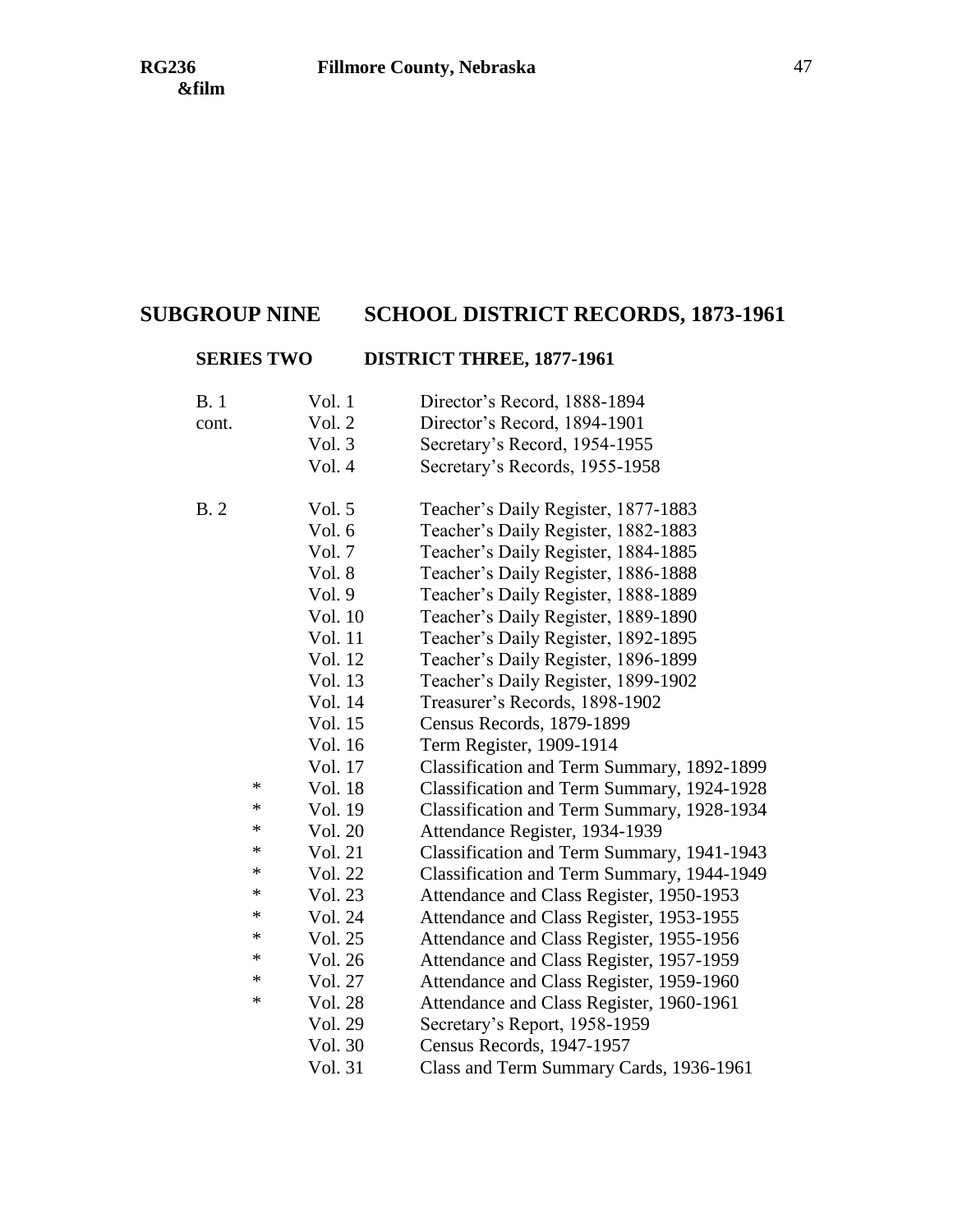# **SUBGROUP NINE SCHOOL DISTRICT RECORDS, 1873-1961**

# **SERIES TWO DISTRICT THREE, 1877-1961**

| B. 1  | Vol. 1  | Director's Record, 1888-1894               |
|-------|---------|--------------------------------------------|
| cont. | Vol. 2  | Director's Record, 1894-1901               |
|       | Vol. 3  | Secretary's Record, 1954-1955              |
|       | Vol. 4  | Secretary's Records, 1955-1958             |
| B. 2  | Vol. 5  | Teacher's Daily Register, 1877-1883        |
|       | Vol. 6  | Teacher's Daily Register, 1882-1883        |
|       | Vol. 7  | Teacher's Daily Register, 1884-1885        |
|       | Vol. 8  | Teacher's Daily Register, 1886-1888        |
|       | Vol. 9  | Teacher's Daily Register, 1888-1889        |
|       | Vol. 10 | Teacher's Daily Register, 1889-1890        |
|       | Vol. 11 | Teacher's Daily Register, 1892-1895        |
|       | Vol. 12 | Teacher's Daily Register, 1896-1899        |
|       | Vol. 13 | Teacher's Daily Register, 1899-1902        |
|       | Vol. 14 | Treasurer's Records, 1898-1902             |
|       | Vol. 15 | Census Records, 1879-1899                  |
|       | Vol. 16 | Term Register, 1909-1914                   |
|       | Vol. 17 | Classification and Term Summary, 1892-1899 |
| ∗     | Vol. 18 | Classification and Term Summary, 1924-1928 |
| ∗     | Vol. 19 | Classification and Term Summary, 1928-1934 |
| *     | Vol. 20 | Attendance Register, 1934-1939             |
| *     | Vol. 21 | Classification and Term Summary, 1941-1943 |
| *     | Vol. 22 | Classification and Term Summary, 1944-1949 |
| *     | Vol. 23 | Attendance and Class Register, 1950-1953   |
| *     | Vol. 24 | Attendance and Class Register, 1953-1955   |
| ∗     | Vol. 25 | Attendance and Class Register, 1955-1956   |
| ∗     | Vol. 26 | Attendance and Class Register, 1957-1959   |
| *     | Vol. 27 | Attendance and Class Register, 1959-1960   |
| ∗     | Vol. 28 | Attendance and Class Register, 1960-1961   |
|       | Vol. 29 | Secretary's Report, 1958-1959              |
|       | Vol. 30 | Census Records, 1947-1957                  |
|       | Vol. 31 | Class and Term Summary Cards, 1936-1961    |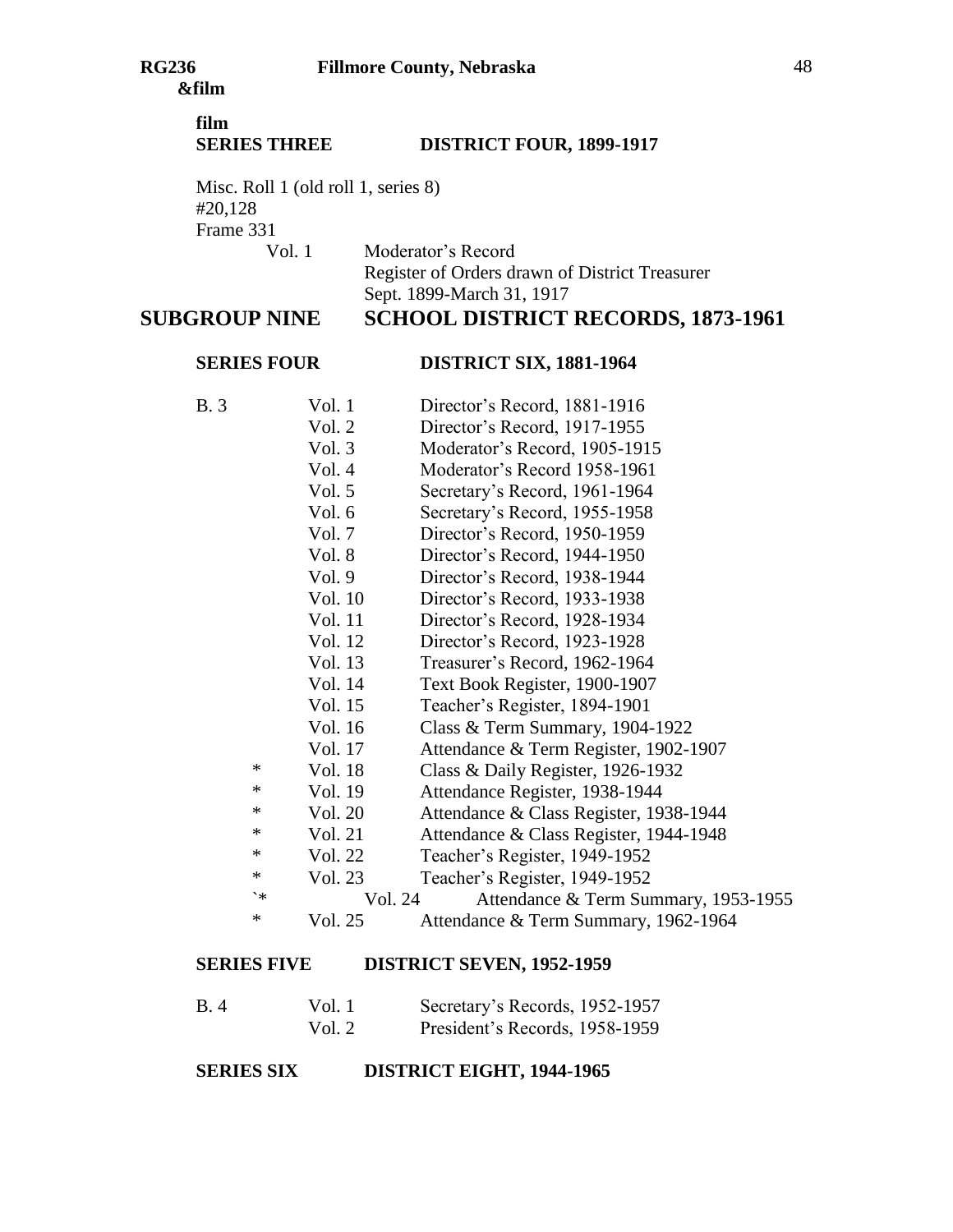# **film SERIES THREE DISTRICT FOUR, 1899-1917**

Misc. Roll 1 (old roll 1, series 8) #20,128 Frame 331

Vol. 1 Moderator's Record Register of Orders drawn of District Treasurer Sept. 1899-March 31, 1917

# **SUBGROUP NINE SCHOOL DISTRICT RECORDS, 1873-1961**

# **SERIES FOUR DISTRICT SIX, 1881-1964**

- B. 3 Vol. 1 Director's Record, 1881-1916 Vol. 2 Director's Record, 1917-1955 Vol. 3 Moderator's Record, 1905-1915 Vol. 4 Moderator's Record 1958-1961 Vol. 5 Secretary's Record, 1961-1964 Vol. 6 Secretary's Record, 1955-1958 Vol. 7 Director's Record, 1950-1959 Vol. 8 Director's Record, 1944-1950 Vol. 9 Director's Record, 1938-1944 Vol. 10 Director's Record, 1933-1938 Vol. 11 Director's Record, 1928-1934 Vol. 12 Director's Record, 1923-1928 Vol. 13 Treasurer's Record, 1962-1964 Vol. 14 Text Book Register, 1900-1907 Vol. 15 Teacher's Register, 1894-1901 Vol. 16 Class & Term Summary, 1904-1922 Vol. 17 Attendance & Term Register, 1902-1907 \* Vol. 18 Class & Daily Register, 1926-1932 \* Vol. 19 Attendance Register, 1938-1944 \* Vol. 20 Attendance & Class Register, 1938-1944 \* Vol. 21 Attendance & Class Register, 1944-1948 \* Vol. 22 Teacher's Register, 1949-1952 \* Vol. 23 Teacher's Register, 1949-1952 `\* Vol. 24 Attendance & Term Summary, 1953-1955 \* Vol. 25 Attendance & Term Summary, 1962-1964 **SERIES FIVE DISTRICT SEVEN, 1952-1959**
- B. 4 Vol. 1 Secretary's Records, 1952-1957 Vol. 2 President's Records, 1958-1959

**SERIES SIX DISTRICT EIGHT, 1944-1965**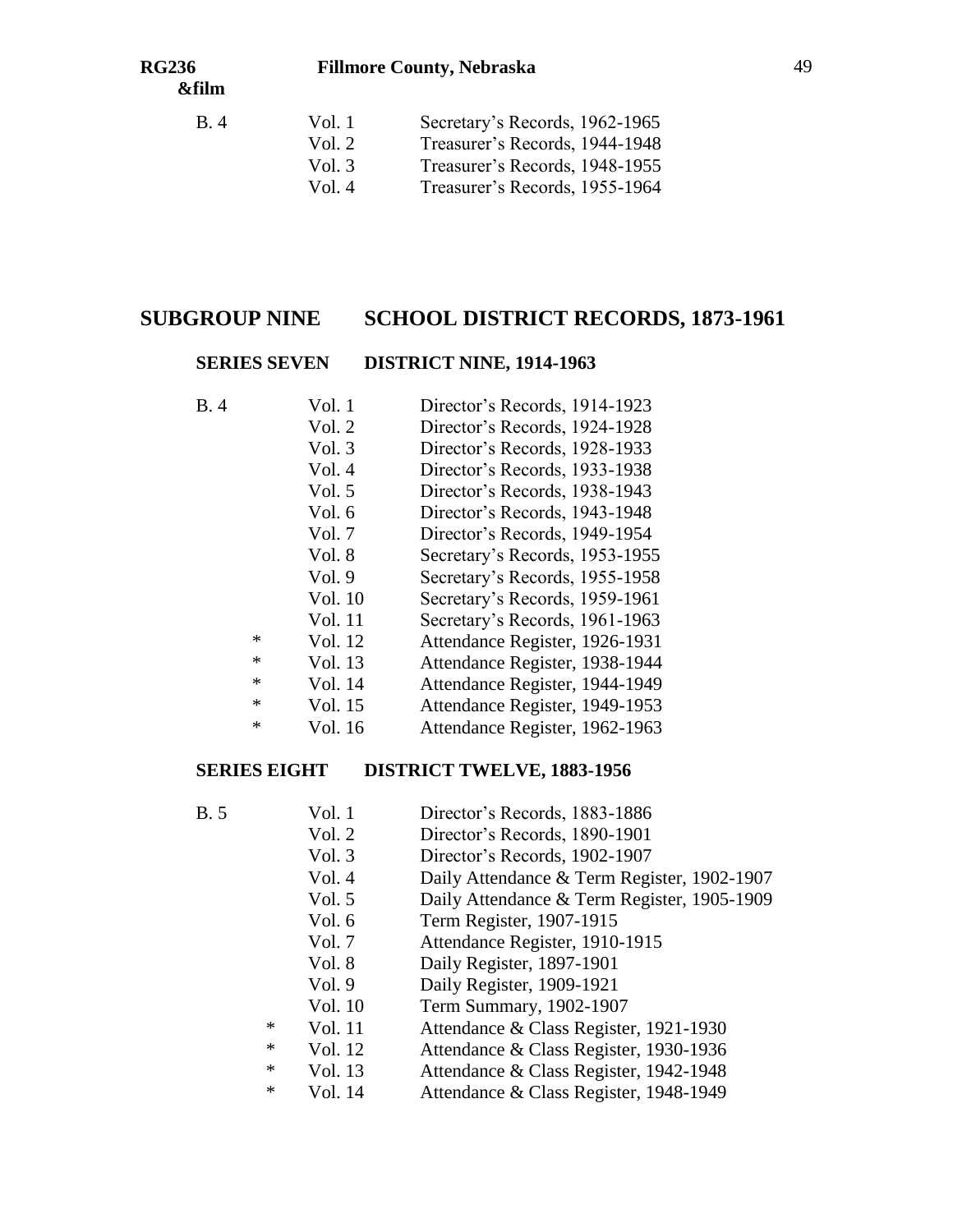| B. 4 | Vol. 1   | Secretary's Records, 1962-1965 |
|------|----------|--------------------------------|
|      | Vol. $2$ | Treasurer's Records, 1944-1948 |
|      | Vol. $3$ | Treasurer's Records, 1948-1955 |
|      | Vol. $4$ | Treasurer's Records, 1955-1964 |

## **SUBGROUP NINE SCHOOL DISTRICT RECORDS, 1873-1961**

#### **SERIES SEVEN DISTRICT NINE, 1914-1963**

| B.4 | Vol. 1 | Director's Records, 1914-1923 |
|-----|--------|-------------------------------|
|     | Vol. 2 | Director's Records, 1924-1928 |
|     | Vol. 3 | Director's Records, 1928-1933 |
|     | Vol. 4 | Director's Records, 1933-1938 |
|     | Vol. 5 | Director's Records, 1938-1943 |

- Vol. 6 Director's Records, 1943-1948
- Vol. 7 Director's Records, 1949-1954
- Vol. 8 Secretary's Records, 1953-1955
- Vol. 9 Secretary's Records, 1955-1958
- Vol. 10 Secretary's Records, 1959-1961
- Vol. 11 Secretary's Records, 1961-1963
- \* Vol. 12 Attendance Register, 1926-1931
- \* Vol. 13 Attendance Register, 1938-1944
- \* Vol. 14 Attendance Register, 1944-1949
- \* Vol. 15 Attendance Register, 1949-1953
- \* Vol. 16 Attendance Register, 1962-1963

## **SERIES EIGHT DISTRICT TWELVE, 1883-1956**

- B. 5 Vol. 1 Director's Records, 1883-1886
	- Vol. 2 Director's Records, 1890-1901
		- Vol. 3 Director's Records, 1902-1907
		- Vol. 4 Daily Attendance & Term Register, 1902-1907
		- Vol. 5 Daily Attendance & Term Register, 1905-1909
		- Vol. 6 Term Register, 1907-1915
		- Vol. 7 Attendance Register, 1910-1915
		- Vol. 8 Daily Register, 1897-1901
	- Vol. 9 Daily Register, 1909-1921
	- Vol. 10 Term Summary, 1902-1907
	- \* Vol. 11 Attendance & Class Register, 1921-1930
	- \* Vol. 12 Attendance & Class Register, 1930-1936
	- \* Vol. 13 Attendance & Class Register, 1942-1948
	- \* Vol. 14 Attendance & Class Register, 1948-1949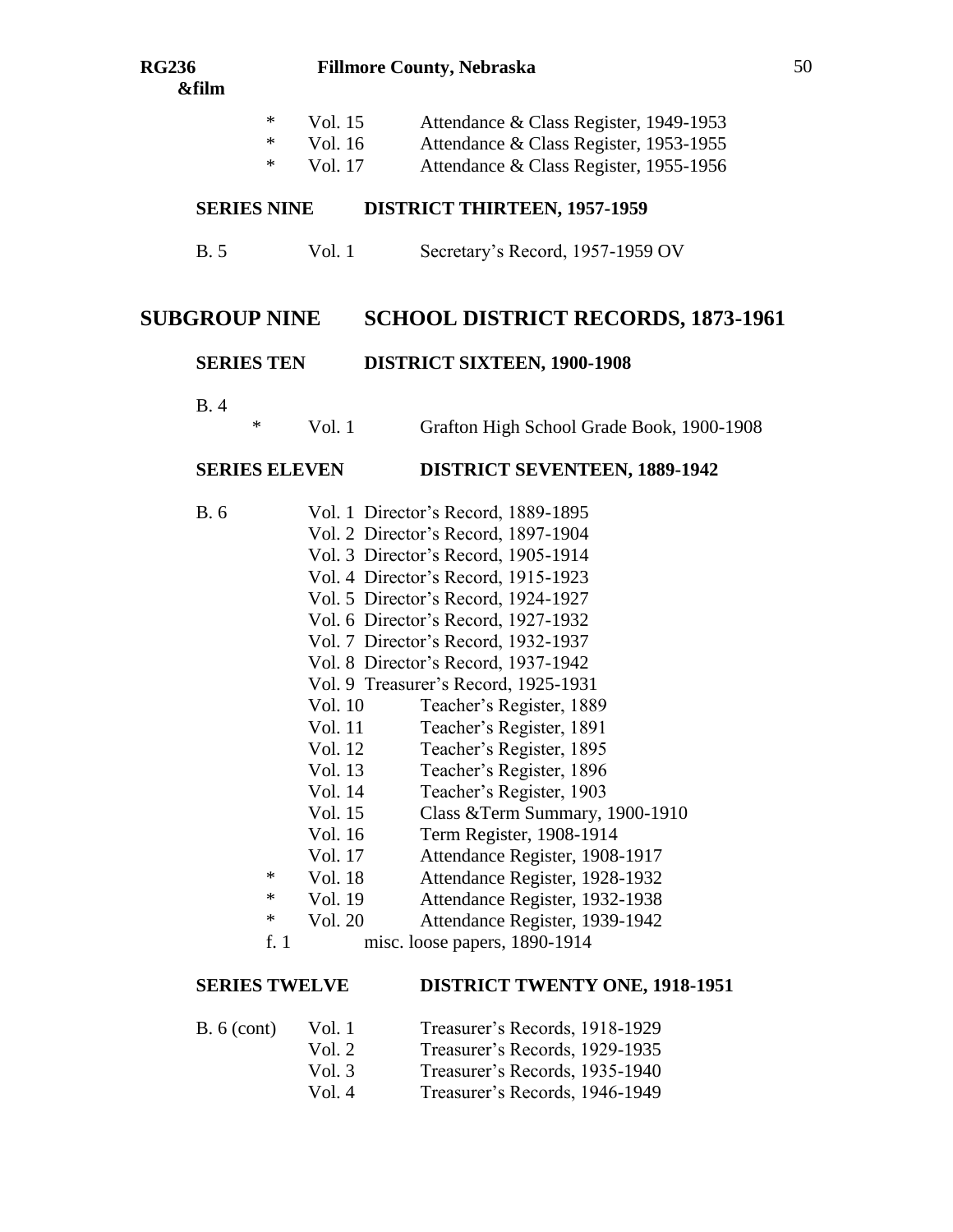\* Vol. 17 Attendance & Class Register, 1955-1956

## **SERIES NINE DISTRICT THIRTEEN, 1957-1959**

B. 5 Vol. 1 Secretary's Record, 1957-1959 OV

# **SUBGROUP NINE SCHOOL DISTRICT RECORDS, 1873-1961**

## **SERIES TEN DISTRICT SIXTEEN, 1900-1908**

B. 4

\* Vol. 1 Grafton High School Grade Book, 1900-1908

## **SERIES ELEVEN DISTRICT SEVENTEEN, 1889-1942**

- B. 6 Vol. 1 Director's Record, 1889-1895
	- Vol. 2 Director's Record, 1897-1904
		- Vol. 3 Director's Record, 1905-1914
		- Vol. 4 Director's Record, 1915-1923
		- Vol. 5 Director's Record, 1924-1927
		- Vol. 6 Director's Record, 1927-1932
		- Vol. 7 Director's Record, 1932-1937
		- Vol. 8 Director's Record, 1937-1942
		- Vol. 9 Treasurer's Record, 1925-1931
		- Vol. 10 Teacher's Register, 1889
		- Vol. 11 Teacher's Register, 1891
		- Vol. 12 Teacher's Register, 1895
		- Vol. 13 Teacher's Register, 1896
		- Vol. 14 Teacher's Register, 1903
		- Vol. 15 Class &Term Summary, 1900-1910
		- Vol. 16 Term Register, 1908-1914
	- Vol. 17 Attendance Register, 1908-1917
	- \* Vol. 18 Attendance Register, 1928-1932
	- \* Vol. 19 Attendance Register, 1932-1938
	- \* Vol. 20 Attendance Register, 1939-1942
	- f. 1 misc. loose papers, 1890-1914

## **SERIES TWELVE DISTRICT TWENTY ONE, 1918-1951**

| B. 6 (cont) | Vol. 1   | Treasurer's Records, 1918-1929 |
|-------------|----------|--------------------------------|
|             | Vol. $2$ | Treasurer's Records, 1929-1935 |
|             | Vol. $3$ | Treasurer's Records, 1935-1940 |
|             | Vol. 4   | Treasurer's Records, 1946-1949 |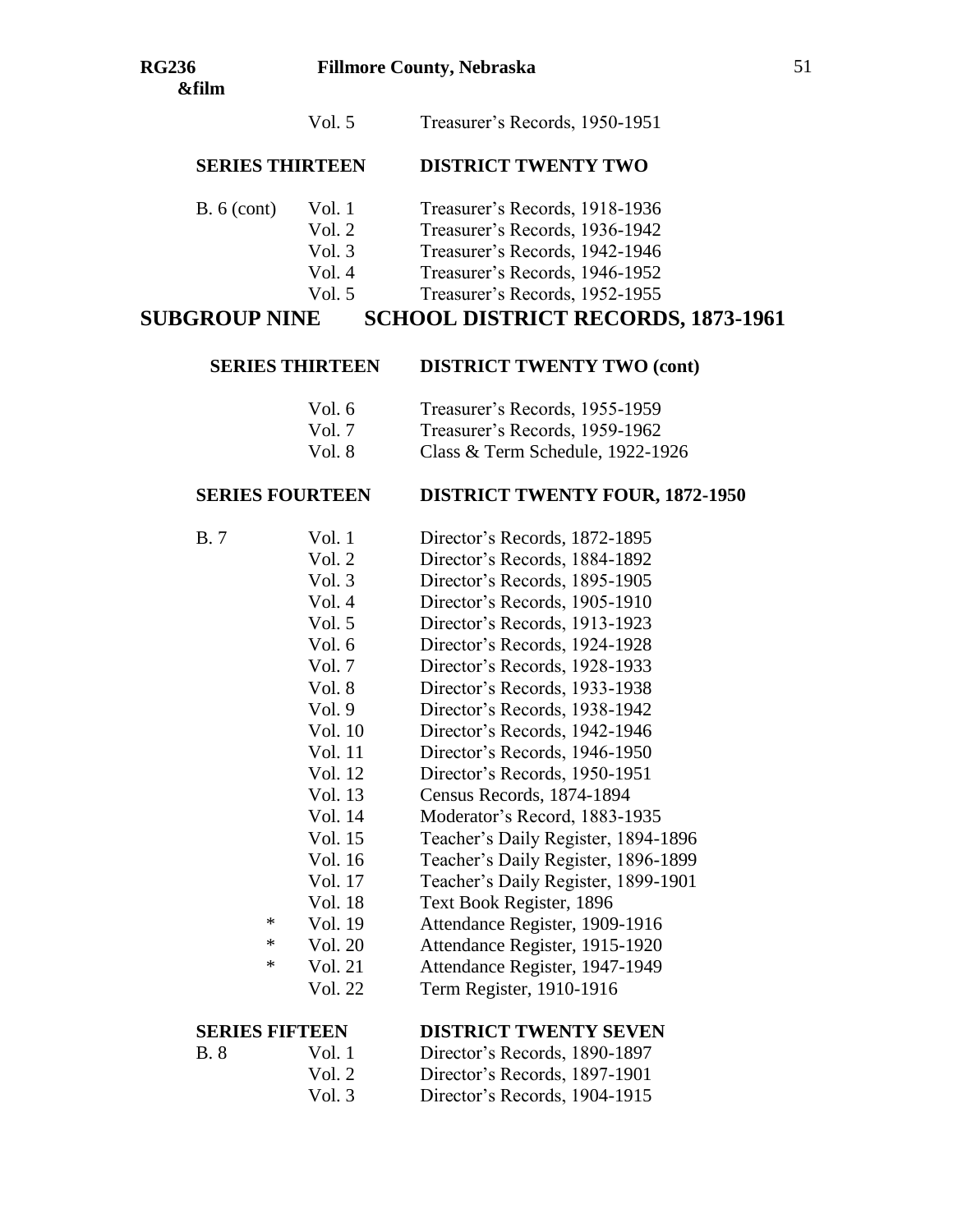## **SERIES THIRTEEN DISTRICT TWENTY TWO**

- B. 6 (cont) Vol. 1 Treasurer's Records, 1918-1936
	- Vol. 2 Treasurer's Records, 1936-1942
		- Vol. 3 Treasurer's Records, 1942-1946
		- Vol. 4 Treasurer's Records, 1946-1952
		- Vol. 5 Treasurer's Records, 1952-1955

## **SUBGROUP NINE SCHOOL DISTRICT RECORDS, 1873-1961**

#### **SERIES THIRTEEN DISTRICT TWENTY TWO (cont)**

- Vol. 6 Treasurer's Records, 1955-1959
- Vol. 7 Treasurer's Records, 1959-1962
- Vol. 8 Class & Term Schedule, 1922-1926

## **SERIES FOURTEEN DISTRICT TWENTY FOUR, 1872-1950**

- B. 7 Vol. 1 Director's Records, 1872-1895
	- Vol. 2 Director's Records, 1884-1892
		- Vol. 3 Director's Records, 1895-1905
	- Vol. 4 Director's Records, 1905-1910
	- Vol. 5 Director's Records, 1913-1923
	- Vol. 6 Director's Records, 1924-1928
	- Vol. 7 Director's Records, 1928-1933
	- Vol. 8 Director's Records, 1933-1938
	- Vol. 9 Director's Records, 1938-1942
	- Vol. 10 Director's Records, 1942-1946
	- Vol. 11 Director's Records, 1946-1950
	- Vol. 12 Director's Records, 1950-1951
	- Vol. 13 Census Records, 1874-1894
	- Vol. 14 Moderator's Record, 1883-1935
	- Vol. 15 Teacher's Daily Register, 1894-1896
	- Vol. 16 Teacher's Daily Register, 1896-1899
	- Vol. 17 Teacher's Daily Register, 1899-1901
	- Vol. 18 Text Book Register, 1896
	- \* Vol. 19 Attendance Register, 1909-1916
	- \* Vol. 20 Attendance Register, 1915-1920
	- \* Vol. 21 Attendance Register, 1947-1949
		- Vol. 22 Term Register, 1910-1916

## **SERIES FIFTEEN DISTRICT TWENTY SEVEN**

- B. 8 Vol. 1 Director's Records, 1890-1897
	- Vol. 2 Director's Records, 1897-1901
	- Vol. 3 Director's Records, 1904-1915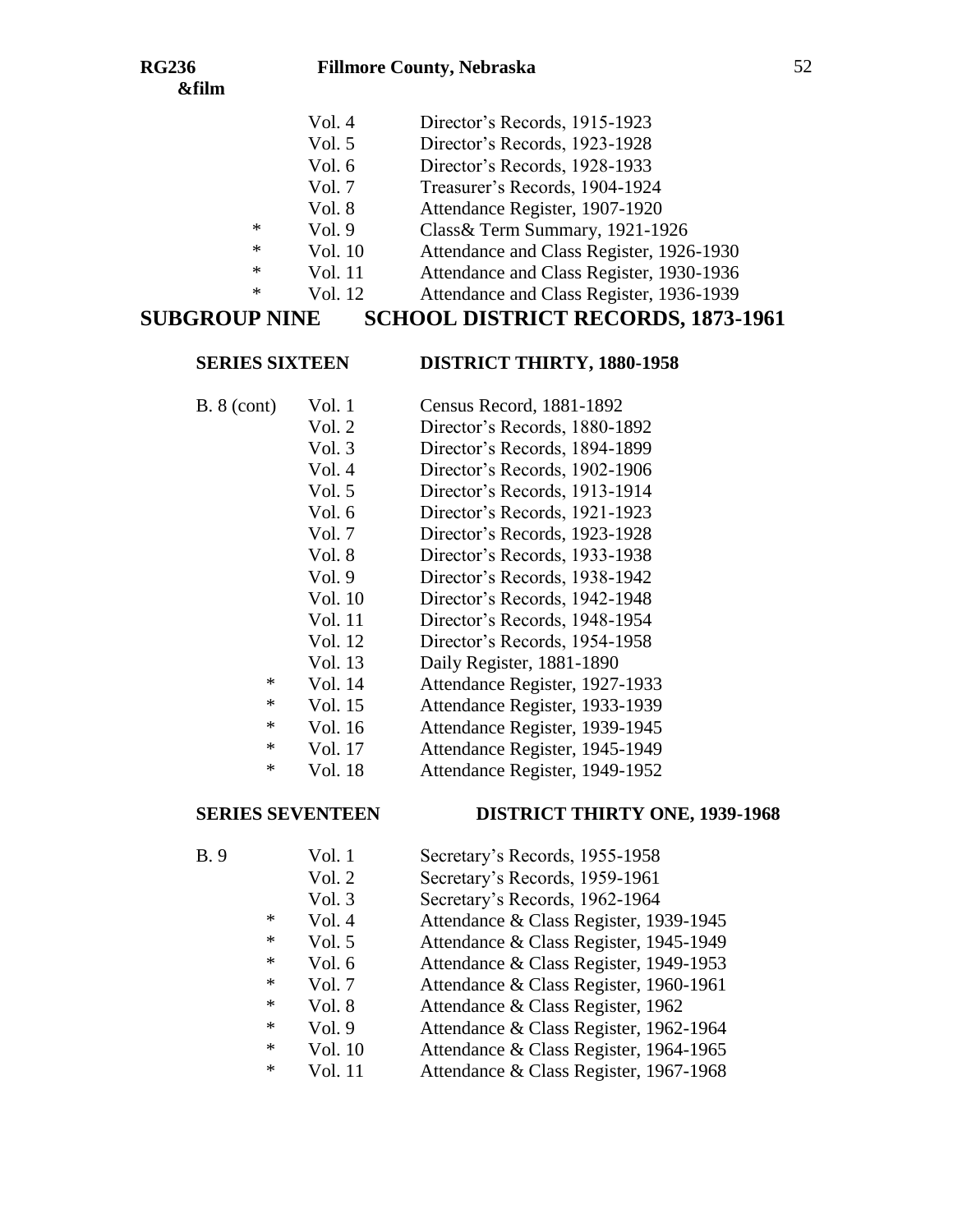- Vol. 5 Director's Records, 1923-1928
- Vol. 6 Director's Records, 1928-1933
- Vol. 7 Treasurer's Records, 1904-1924
- Vol. 8 Attendance Register, 1907-1920
- \* Vol. 9 Class& Term Summary, 1921-1926
- \* Vol. 10 Attendance and Class Register, 1926-1930
- \* Vol. 11 Attendance and Class Register, 1930-1936
	- Vol. 12 Attendance and Class Register, 1936-1939

# **SUBGROUP NINE SCHOOL DISTRICT RECORDS, 1873-1961**

#### **SERIES SIXTEEN DISTRICT THIRTY, 1880-1958**

- B. 8 (cont) Vol. 1 Census Record, 1881-1892
	- Vol. 2 Director's Records, 1880-1892
	- Vol. 3 Director's Records, 1894-1899
	- Vol. 4 Director's Records, 1902-1906 Vol. 5 Director's Records, 1913-1914
	- Vol. 6 Director's Records, 1921-1923
	- Vol. 7 Director's Records, 1923-1928
	-
	- Vol. 8 Director's Records, 1933-1938
	- Vol. 9 Director's Records, 1938-1942
	- Vol. 10 Director's Records, 1942-1948 Vol. 11 Director's Records, 1948-1954
	-
	- Vol. 12 Director's Records, 1954-1958
	- Vol. 13 Daily Register, 1881-1890
	- \* Vol. 14 Attendance Register, 1927-1933
	- \* Vol. 15 Attendance Register, 1933-1939
	- \* Vol. 16 Attendance Register, 1939-1945
	- \* Vol. 17 Attendance Register, 1945-1949 \* Vol. 18 Attendance Register, 1949-1952

## **SERIES SEVENTEEN DISTRICT THIRTY ONE, 1939-1968**

B. 9 Vol. 1 Secretary's Records, 1955-1958 Vol. 2 Secretary's Records, 1959-1961 Vol. 3 Secretary's Records, 1962-1964 \* Vol. 4 Attendance & Class Register, 1939-1945 \* Vol. 5 Attendance & Class Register, 1945-1949 \* Vol. 6 Attendance & Class Register, 1949-1953 \* Vol. 7 Attendance & Class Register, 1960-1961 \* Vol. 8 Attendance & Class Register, 1962<br>\* Vol. 9 Attendance & Class Register 1962 Vol. 9 Attendance & Class Register, 1962-1964 \* Vol. 10 Attendance & Class Register, 1964-1965 \* Vol. 11 Attendance & Class Register, 1967-1968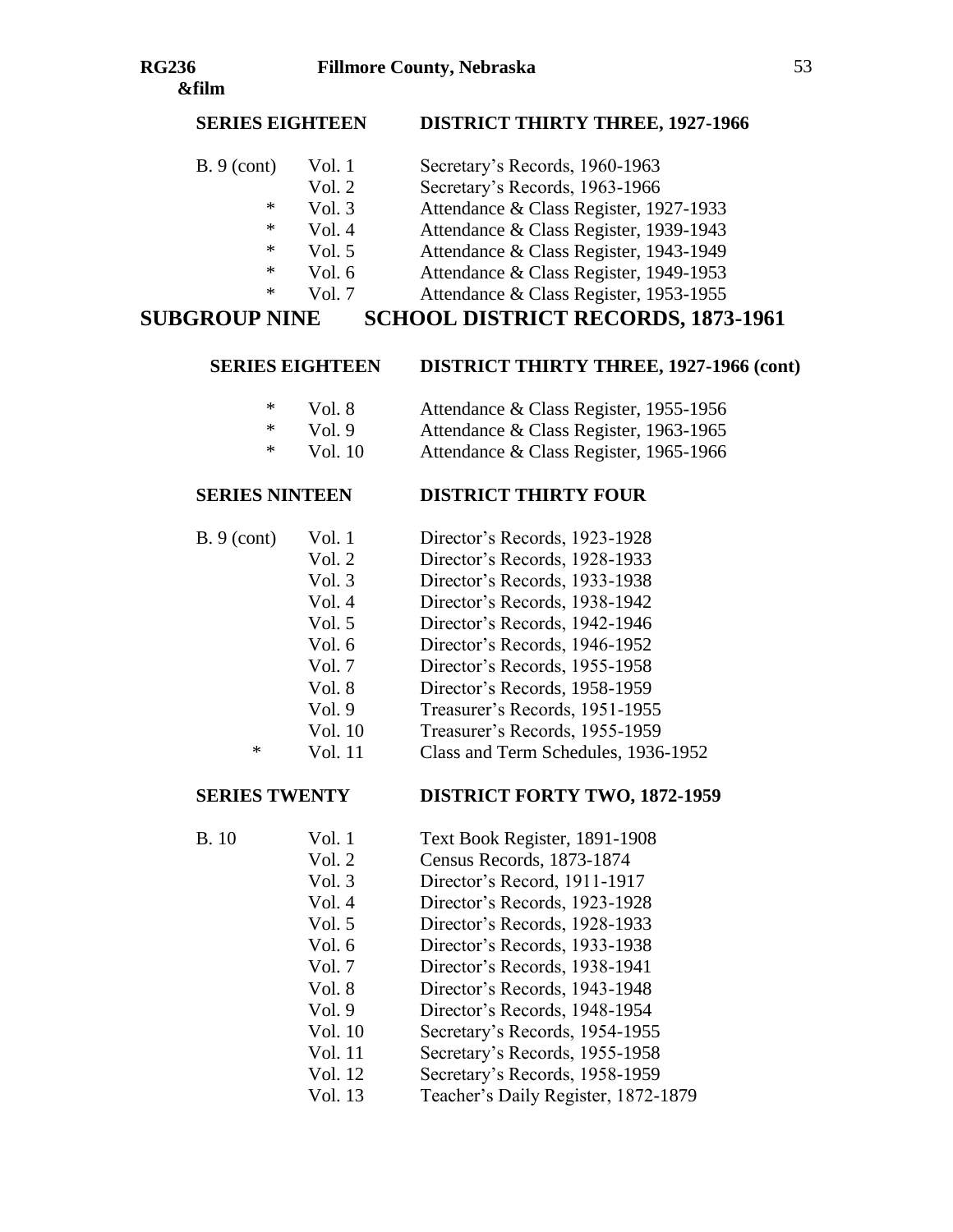### **SERIES EIGHTEEN DISTRICT THIRTY THREE, 1927-1966**

| B.9 (cont) | Vol. 1 | Secretary's Records, 1960-1963         |
|------------|--------|----------------------------------------|
|            | Vol. 2 | Secretary's Records, 1963-1966         |
| *          | Vol. 3 | Attendance & Class Register, 1927-1933 |
| *          | Vol. 4 | Attendance & Class Register, 1939-1943 |
| ∗          | Vol. 5 | Attendance & Class Register, 1943-1949 |
| *          | Vol. 6 | Attendance & Class Register, 1949-1953 |

- 
- \* Vol. 7 Attendance & Class Register, 1953-1955

# **SUBGROUP NINE SCHOOL DISTRICT RECORDS, 1873-1961**

#### **SERIES EIGHTEEN DISTRICT THIRTY THREE, 1927-1966 (cont)**

| ∗ | Vol. 8 | Attendance & Class Register, 1955-1956 |
|---|--------|----------------------------------------|
| ∗ | Vol. 9 | Attendance & Class Register, 1963-1965 |

\* Vol. 10 Attendance & Class Register, 1965-1966

#### **SERIES NINTEEN DISTRICT THIRTY FOUR**

| B.9 (cont) | Vol. 1   | Director's Records, 1923-1928 |
|------------|----------|-------------------------------|
|            | Vol. $2$ | Director's Records, 1928-1933 |
|            | Vol. $3$ | Director's Records, 1933-1938 |
|            | TT 1 4   | $D' = 2D - 1$ 1.020.1010      |

- Vol. 4 Director's Records, 1938-1942
- Vol. 5 Director's Records, 1942-1946
- Vol. 6 Director's Records, 1946-1952
- Vol. 7 Director's Records, 1955-1958
- Vol. 8 Director's Records, 1958-1959
- Vol. 9 Treasurer's Records, 1951-1955
- Vol. 10 Treasurer's Records, 1955-1959
- \* Vol. 11 Class and Term Schedules, 1936-1952

### **SERIES TWENTY DISTRICT FORTY TWO, 1872-1959**

- B. 10 Vol. 1 Text Book Register, 1891-1908
	- Vol. 2 Census Records, 1873-1874
	- Vol. 3 Director's Record, 1911-1917
	- Vol. 4 Director's Records, 1923-1928
	- Vol. 5 Director's Records, 1928-1933
	- Vol. 6 Director's Records, 1933-1938
	- Vol. 7 Director's Records, 1938-1941
	- Vol. 8 Director's Records, 1943-1948
	- Vol. 9 Director's Records, 1948-1954
	- Vol. 10 Secretary's Records, 1954-1955
	-
	- Vol. 11 Secretary's Records, 1955-1958
	- Vol. 12 Secretary's Records, 1958-1959
	- Vol. 13 Teacher's Daily Register, 1872-1879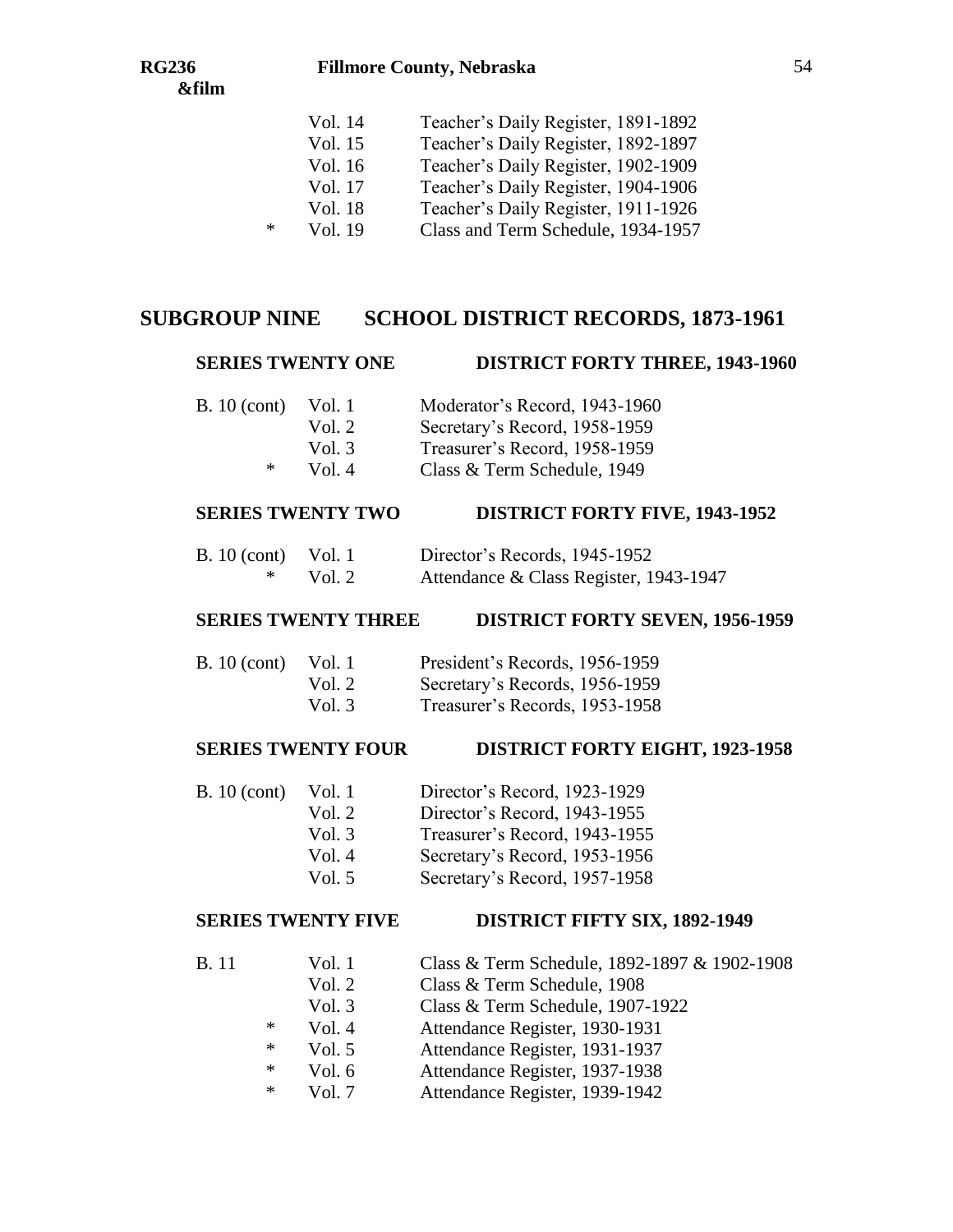#### **RG236 Fillmore County, Nebraska**

## Vol. 14 Teacher's Daily Register, 1891-1892 Vol. 15 Teacher's Daily Register, 1892-1897 Vol. 16 Teacher's Daily Register, 1902-1909 Vol. 17 Teacher's Daily Register, 1904-1906 Vol. 18 Teacher's Daily Register, 1911-1926 \* Vol. 19 Class and Term Schedule, 1934-1957

## **SUBGROUP NINE SCHOOL DISTRICT RECORDS, 1873-1961**

#### **SERIES TWENTY ONE DISTRICT FORTY THREE, 1943-1960**

| <b>B.</b> 10 (cont) | Vol. 1   | Moderator's Record, 1943-1960 |
|---------------------|----------|-------------------------------|
|                     | Vol. $2$ | Secretary's Record, 1958-1959 |
|                     | Vol. $3$ | Treasurer's Record, 1958-1959 |
| ∗                   | Vol. $4$ | Class & Term Schedule, 1949   |

## **SERIES TWENTY TWO DISTRICT FORTY FIVE, 1943-1952**

| B. $10$ (cont) Vol. 1 |        | Director's Records, 1945-1952          |
|-----------------------|--------|----------------------------------------|
|                       | Vol. 2 | Attendance & Class Register, 1943-1947 |

#### **SERIES TWENTY THREE DISTRICT FORTY SEVEN, 1956-1959**

| <b>B.</b> 10 (cont) | Vol. 1   | President's Records, 1956-1959 |
|---------------------|----------|--------------------------------|
|                     | Vol. 2   | Secretary's Records, 1956-1959 |
|                     | Vol. $3$ | Treasurer's Records, 1953-1958 |

#### **SERIES TWENTY FOUR DISTRICT FORTY EIGHT, 1923-1958**

- B. 10 (cont) Vol. 1 Director's Record, 1923-1929
	- Vol. 2 Director's Record, 1943-1955
	- Vol. 3 Treasurer's Record, 1943-1955
	- Vol. 4 Secretary's Record, 1953-1956
	- Vol. 5 Secretary's Record, 1957-1958

#### **SERIES TWENTY FIVE DISTRICT FIFTY SIX, 1892-1949**

- B. 11 Vol. 1 Class & Term Schedule, 1892-1897 & 1902-1908
	- Vol. 2 Class & Term Schedule, 1908
	- Vol. 3 Class & Term Schedule, 1907-1922
	- \* Vol. 4 Attendance Register, 1930-1931
	- \* Vol. 5 Attendance Register, 1931-1937
	- \* Vol. 6 Attendance Register, 1937-1938
	- \* Vol. 7 Attendance Register, 1939-1942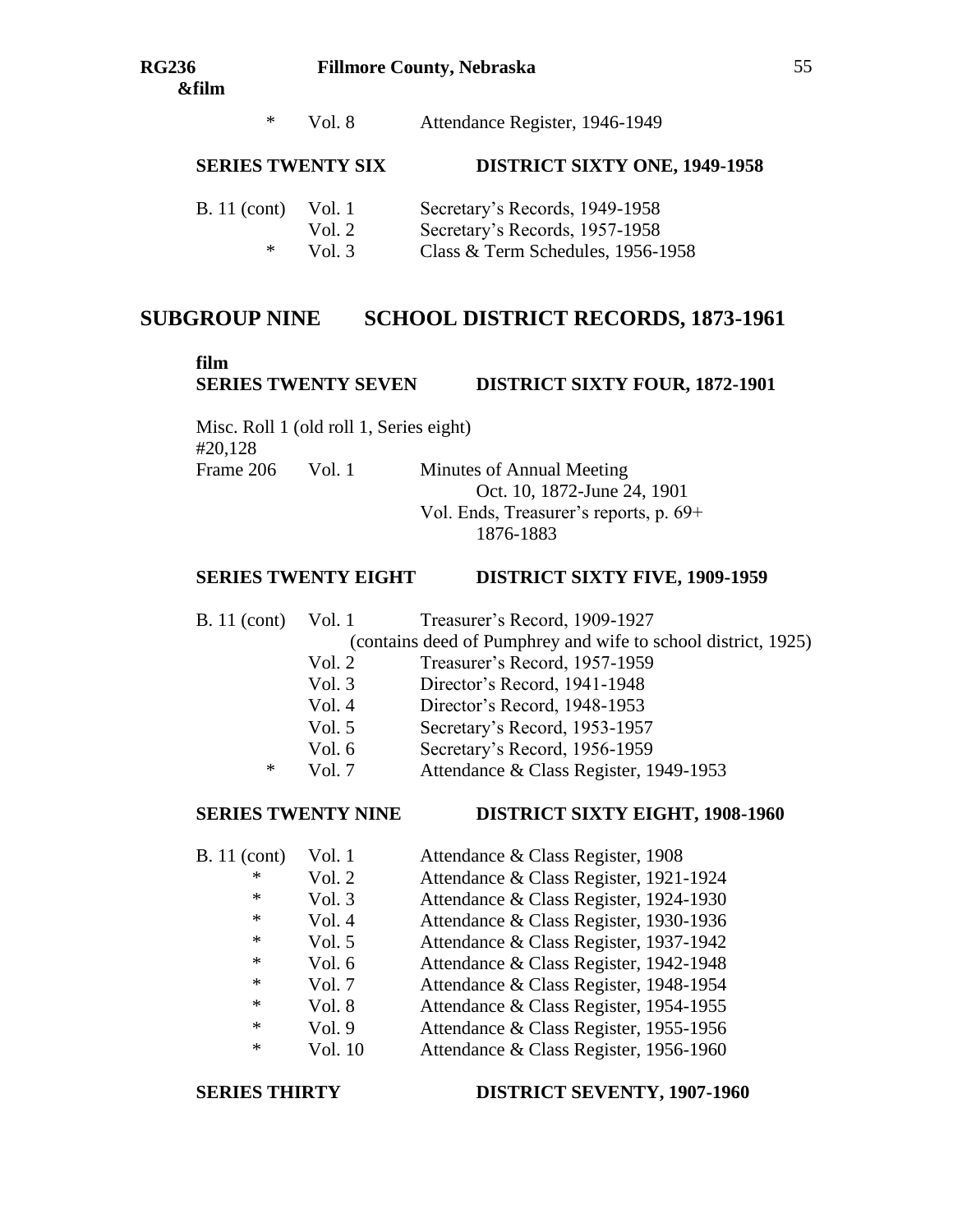\* Vol. 8 Attendance Register, 1946-1949

### **SERIES TWENTY SIX DISTRICT SIXTY ONE, 1949-1958**

| <b>B.</b> 11 (cont) | Vol. 1   | Secretary's Records, 1949-1958    |
|---------------------|----------|-----------------------------------|
|                     | Vol. $2$ | Secretary's Records, 1957-1958    |
| ∗                   | Vol. $3$ | Class & Term Schedules, 1956-1958 |

## **SUBGROUP NINE SCHOOL DISTRICT RECORDS, 1873-1961**

#### **film**

## **SERIES TWENTY SEVEN DISTRICT SIXTY FOUR, 1872-1901**

Misc. Roll 1 (old roll 1, Series eight) #20,128 Frame 206 Vol. 1 Minutes of Annual Meeting

Oct. 10, 1872-June 24, 1901 Vol. Ends, Treasurer's reports, p. 69+ 1876-1883

#### **SERIES TWENTY EIGHT DISTRICT SIXTY FIVE, 1909-1959**

B. 11 (cont) Vol. 1 Treasurer's Record, 1909-1927

(contains deed of Pumphrey and wife to school district, 1925)

- Vol. 2 Treasurer's Record, 1957-1959
- Vol. 3 Director's Record, 1941-1948
- Vol. 4 Director's Record, 1948-1953
- Vol. 5 Secretary's Record, 1953-1957
- Vol. 6 Secretary's Record, 1956-1959
- \* Vol. 7 Attendance & Class Register, 1949-1953

### **SERIES TWENTY NINE DISTRICT SIXTY EIGHT, 1908-1960**

B. 11 (cont) Vol. 1 Attendance & Class Register, 1908 \* Vol. 2 Attendance & Class Register, 1921-1924 \* Vol. 3 Attendance & Class Register, 1924-1930<br> $*$  Vol. 4 Attendance & Class Register, 1930-1936 Vol. 4 Attendance & Class Register, 1930-1936 \* Vol. 5 Attendance & Class Register, 1937-1942 \* Vol. 6 Attendance & Class Register, 1942-1948 \* Vol. 7 Attendance & Class Register, 1948-1954 \* Vol. 8 Attendance & Class Register, 1954-1955 \* Vol. 9 Attendance & Class Register, 1955-1956 \* Vol. 10 Attendance & Class Register, 1956-1960

#### **SERIES THIRTY DISTRICT SEVENTY, 1907-1960**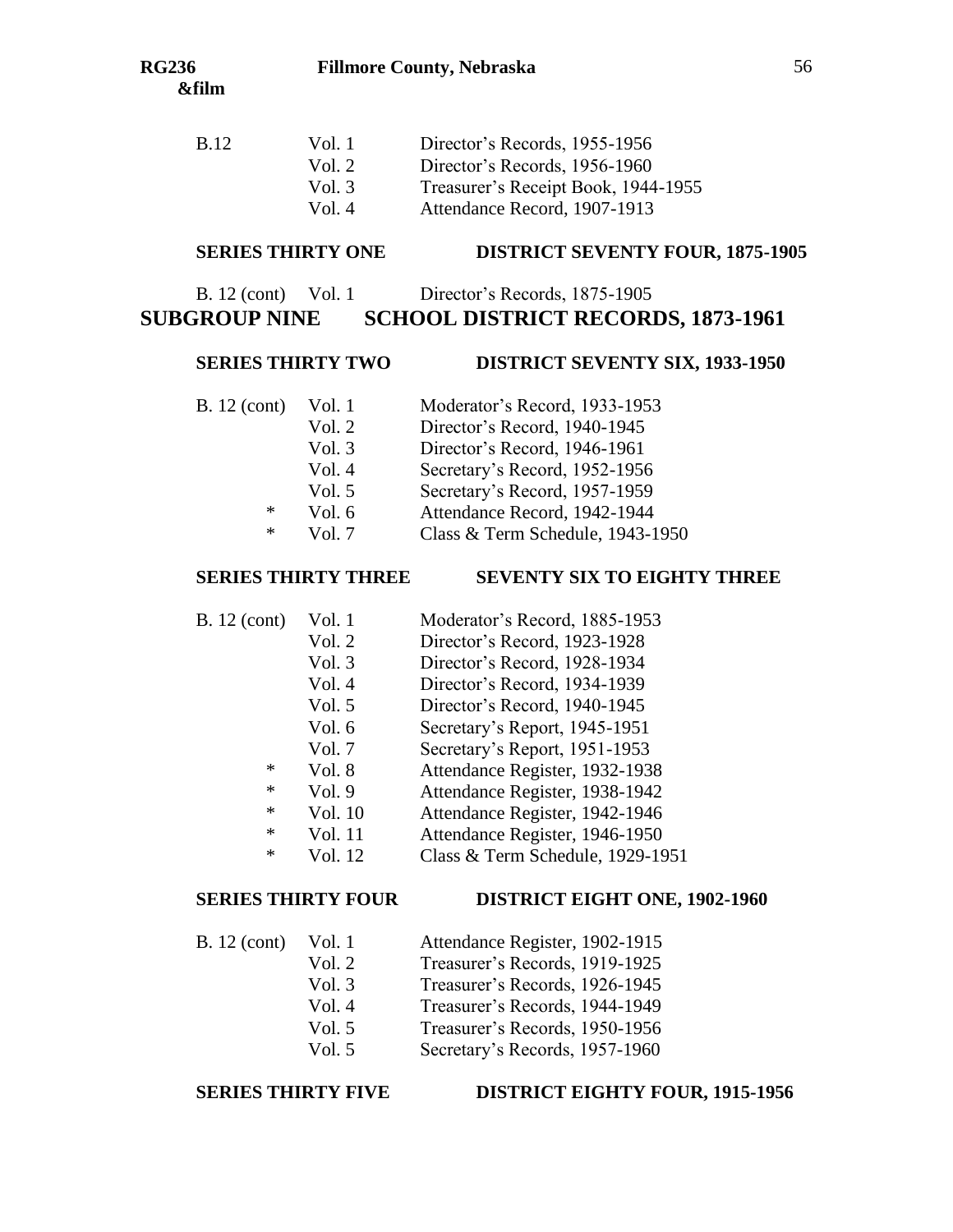#### **RG236 Fillmore County, Nebraska**

| B.12 | Vol. 1   | Director's Records, 1955-1956       |
|------|----------|-------------------------------------|
|      | Vol. $2$ | Director's Records, 1956-1960       |
|      | Vol. $3$ | Treasurer's Receipt Book, 1944-1955 |
|      | Vol. $4$ | Attendance Record, 1907-1913        |

#### **SERIES THIRTY ONE DISTRICT SEVENTY FOUR, 1875-1905**

| B. 12 (cont) Vol. 1  | Director's Records, 1875-1905             |
|----------------------|-------------------------------------------|
| <b>SUBGROUP NINE</b> | <b>SCHOOL DISTRICT RECORDS, 1873-1961</b> |

#### **SERIES THIRTY TWO DISTRICT SEVENTY SIX, 1933-1950**

- B. 12 (cont) Vol. 1 Moderator's Record, 1933-1953 Vol. 2 Director's Record, 1940-1945
	- Vol. 3 Director's Record, 1946-1961
	- Vol. 4 Secretary's Record, 1952-1956
	- Vol. 5 Secretary's Record, 1957-1959
	- \* Vol. 6 Attendance Record, 1942-1944
	- \* Vol. 7 Class & Term Schedule, 1943-1950

### **SERIES THIRTY THREE SEVENTY SIX TO EIGHTY THREE**

- B. 12 (cont) Vol. 1 Moderator's Record, 1885-1953
	- Vol. 2 Director's Record, 1923-1928
	- Vol. 3 Director's Record, 1928-1934
	- Vol. 4 Director's Record, 1934-1939
	- Vol. 5 Director's Record, 1940-1945
	- Vol. 6 Secretary's Report, 1945-1951
	- Vol. 7 Secretary's Report, 1951-1953
	- \* Vol. 8 Attendance Register, 1932-1938
	- \* Vol. 9 Attendance Register, 1938-1942
	- \* Vol. 10 Attendance Register, 1942-1946
	- \* Vol. 11 Attendance Register, 1946-1950
	- \* Vol. 12 Class & Term Schedule, 1929-1951

## **SERIES THIRTY FOUR DISTRICT EIGHT ONE, 1902-1960**

- B. 12 (cont) Vol. 1 Attendance Register, 1902-1915 Vol. 2 Treasurer's Records, 1919-1925
	- Vol. 3 Treasurer's Records, 1926-1945
	- Vol. 4 Treasurer's Records, 1944-1949
	- Vol. 5 Treasurer's Records, 1950-1956
	- Vol. 5 Secretary's Records, 1957-1960

### **SERIES THIRTY FIVE DISTRICT EIGHTY FOUR, 1915-1956**

56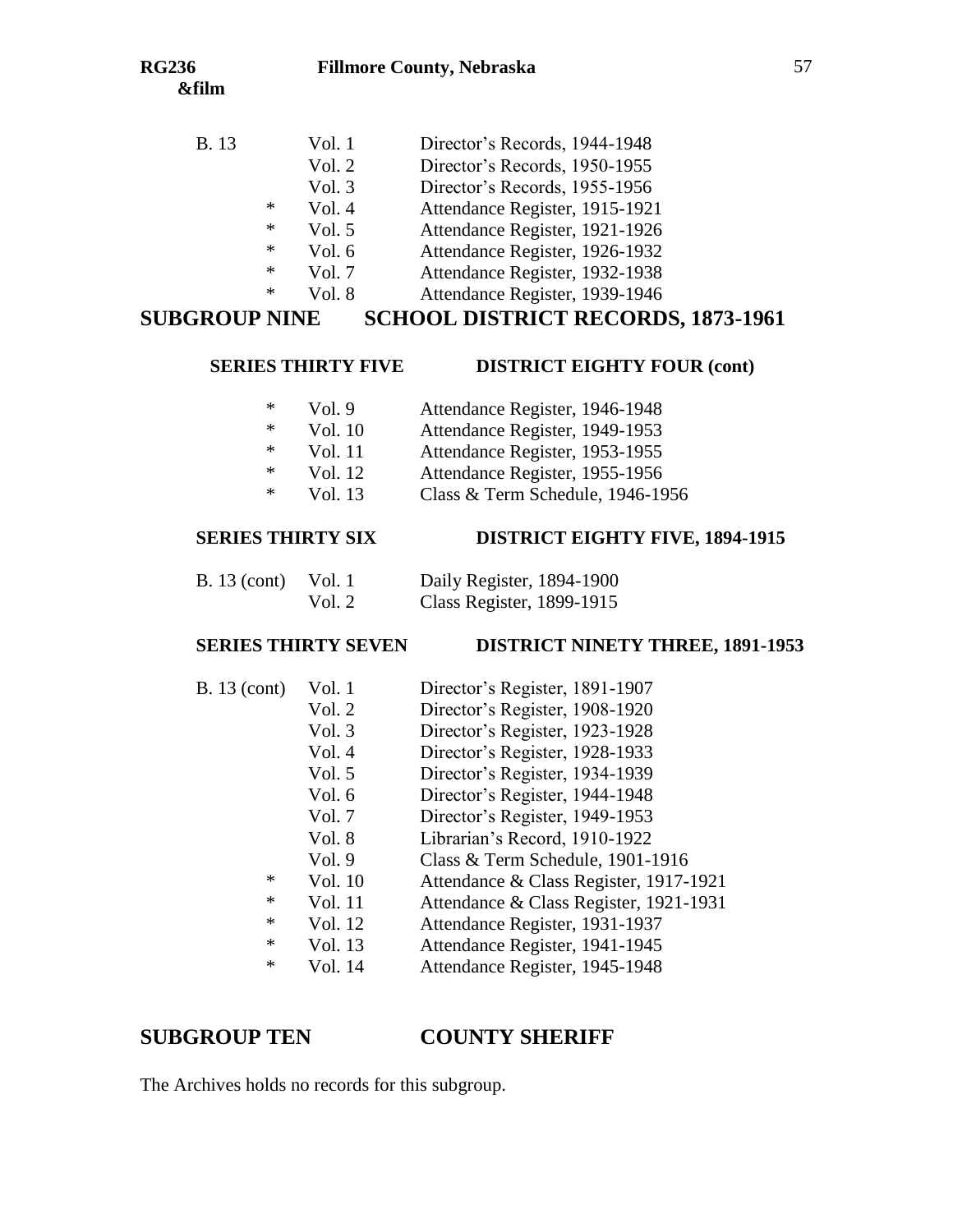#### **RG236 Fillmore County, Nebraska**

| <b>B.</b> 13 |   | Vol. 1<br>Vol. 2 | Director's Records, 1944-1948<br>Director's Records, 1950-1955 |
|--------------|---|------------------|----------------------------------------------------------------|
|              |   | Vol.3            | Director's Records, 1955-1956                                  |
|              | ∗ | Vol.4            | Attendance Register, 1915-1921                                 |
|              | * | Vol. 5           | Attendance Register, 1921-1926                                 |
|              | * | Vol. 6           | Attendance Register, 1926-1932                                 |
|              | * | Vol. 7           | Attendance Register, 1932-1938                                 |

\* Vol. 8 Attendance Register, 1939-1946

# **SUBGROUP NINE SCHOOL DISTRICT RECORDS, 1873-1961**

#### **SERIES THIRTY FIVE DISTRICT EIGHTY FOUR (cont)**

- \* Vol. 9 Attendance Register, 1946-1948 \* Vol. 10 Attendance Register, 1949-1953
- 
- \* Vol. 11 Attendance Register, 1953-1955
- \* Vol. 12 Attendance Register, 1955-1956
- \* Vol. 13 Class & Term Schedule, 1946-1956

## **SERIES THIRTY SIX DISTRICT EIGHTY FIVE, 1894-1915**

| B. 13 (cont) Vol. 1 |        | Daily Register, 1894-1900 |
|---------------------|--------|---------------------------|
|                     | Vol. 2 | Class Register, 1899-1915 |

### **SERIES THIRTY SEVEN DISTRICT NINETY THREE, 1891-1953**

| <b>B.</b> 13 (cont) | Vol. 1   | Director's Register, 1891-1907         |
|---------------------|----------|----------------------------------------|
|                     | Vol. 2   | Director's Register, 1908-1920         |
|                     | Vol. 3   | Director's Register, 1923-1928         |
|                     | Vol. 4   | Director's Register, 1928-1933         |
|                     | Vol. $5$ | Director's Register, 1934-1939         |
|                     | Vol. $6$ | Director's Register, 1944-1948         |
|                     | Vol. 7   | Director's Register, 1949-1953         |
|                     | Vol. 8   | Librarian's Record, 1910-1922          |
|                     | Vol. 9   | Class & Term Schedule, 1901-1916       |
| *                   | Vol. 10  | Attendance & Class Register, 1917-1921 |
| *                   | Vol. 11  | Attendance & Class Register, 1921-1931 |
| *                   | Vol. 12  | Attendance Register, 1931-1937         |
| $\ast$              | Vol. 13  | Attendance Register, 1941-1945         |
| *                   | Vol. 14  | Attendance Register, 1945-1948         |
|                     |          |                                        |

## **SUBGROUP TEN COUNTY SHERIFF**

The Archives holds no records for this subgroup.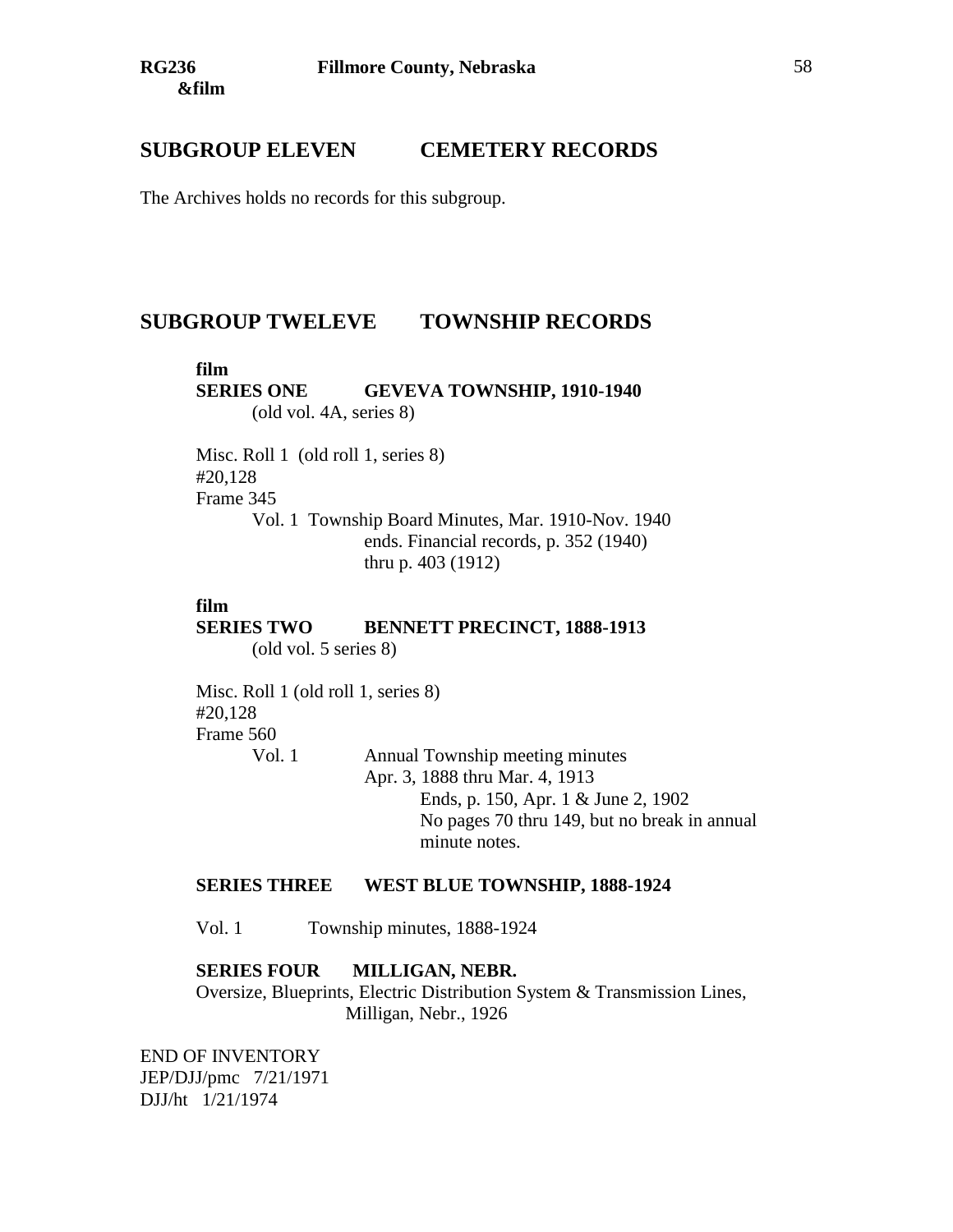# **SUBGROUP ELEVEN CEMETERY RECORDS**

The Archives holds no records for this subgroup.

# **SUBGROUP TWELEVE TOWNSHIP RECORDS**

#### **film**

**SERIES ONE GEVEVA TOWNSHIP, 1910-1940** (old vol. 4A, series 8)

Misc. Roll 1 (old roll 1, series 8) #20,128 Frame 345 Vol. 1 Township Board Minutes, Mar. 1910-Nov. 1940 ends. Financial records, p. 352 (1940) thru p. 403 (1912)

#### **film**

#### **SERIES TWO BENNETT PRECINCT, 1888-1913** (old vol. 5 series 8)

Misc. Roll 1 (old roll 1, series 8) #20,128 Frame 560 Vol. 1 Annual Township meeting minutes

Apr. 3, 1888 thru Mar. 4, 1913 Ends, p. 150, Apr. 1 & June 2, 1902 No pages 70 thru 149, but no break in annual minute notes.

### **SERIES THREE WEST BLUE TOWNSHIP, 1888-1924**

Vol. 1 Township minutes, 1888-1924

### **SERIES FOUR MILLIGAN, NEBR.**

Oversize, Blueprints, Electric Distribution System & Transmission Lines, Milligan, Nebr., 1926

END OF INVENTORY JEP/DJJ/pmc 7/21/1971 DJJ/ht 1/21/1974